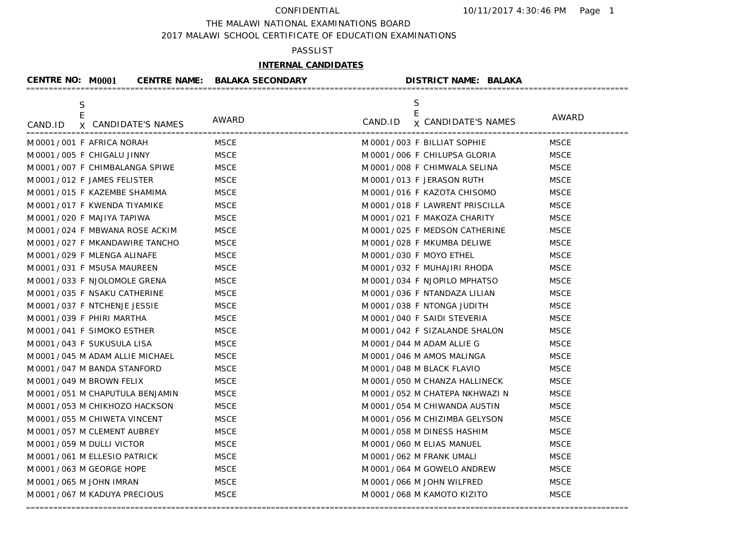THE MALAWI NATIONAL EXAMINATIONS BOARD

2017 MALAWI SCHOOL CERTIFICATE OF EDUCATION EXAMINATIONS

## PASSLIST

# **INTERNAL CANDIDATES**

| <b>CENTRE NO: M0001</b>                            | <b>CENTRE NAME: BALAKA SECONDARY</b> |         | <b>DISTRICT NAME: BALAKA</b>         |              |
|----------------------------------------------------|--------------------------------------|---------|--------------------------------------|--------------|
| $\mathsf S$<br>E<br>X CANDIDATE'S NAMES<br>CAND.ID | AWARD                                | CAND.ID | S<br>E<br><b>x CANDIDATE'S NAMES</b> | <b>AWARD</b> |
| M0001/001 F AFRICA NORAH                           | MSCE                                 |         | M0001/003 F BILLIAT SOPHIE           | <b>MSCE</b>  |
| M0001/005 F CHIGALU JINNY                          | <b>MSCE</b>                          |         | M 0001/006 F CHILUPSA GLORIA         | <b>MSCE</b>  |
| M0001/007 F CHIMBALANGA SPIWE                      | <b>MSCE</b>                          |         | M 0001 / 008 F CHIMWALA SELINA       | <b>MSCE</b>  |
| M 0001/012 F JAMES FELISTER                        | <b>MSCE</b>                          |         | M 0001/013 F JERASON RUTH            | <b>MSCE</b>  |
| M 0001/015 F KAZEMBE SHAMIMA                       | <b>MSCE</b>                          |         | M 0001/016 F KAZOTA CHISOMO          | <b>MSCE</b>  |
| M 0001/017 F KWENDA TIYAMIKE                       | <b>MSCE</b>                          |         | M 0001/018 F LAWRENT PRISCILLA       | <b>MSCE</b>  |
| M 0001 / 020 F MAJIYA TAPIWA                       | <b>MSCE</b>                          |         | M 0001/021 F MAKOZA CHARITY          | <b>MSCE</b>  |
| M0001/024 F MBWANA ROSE ACKIM                      | <b>MSCE</b>                          |         | M 0001 / 025 F MEDSON CATHERINE      | <b>MSCE</b>  |
| M 0001 / 027 F MKANDAWIRE TANCHO                   | <b>MSCE</b>                          |         | M 0001/028 F MKUMBA DELIWE           | <b>MSCE</b>  |
| M 0001 / 029 F MLENGA ALINAFE                      | <b>MSCE</b>                          |         | M 0001 / 030 F MOYO ETHEL            | <b>MSCE</b>  |
| M 0001 / 031 F MSUSA MAUREEN                       | <b>MSCE</b>                          |         | M 0001/032 F MUHAJIRI RHODA          | <b>MSCE</b>  |
| M 0001 / 033 F NJOLOMOLE GRENA                     | <b>MSCE</b>                          |         | M 0001/034 F NJOPILO MPHATSO         | <b>MSCE</b>  |
| M 0001 / 035 F NSAKU CATHERINE                     | <b>MSCE</b>                          |         | M 0001/036 F NTANDAZA LILIAN         | <b>MSCE</b>  |
| M 0001/037 F NTCHENJE JESSIE                       | <b>MSCE</b>                          |         | M 0001/038 F NTONGA JUDITH           | <b>MSCE</b>  |
| M0001/039 F PHIRI MARTHA                           | <b>MSCE</b>                          |         | M 0001/040 F SAIDI STEVERIA          | <b>MSCE</b>  |
| M0001/041 F SIMOKO ESTHER                          | <b>MSCE</b>                          |         | M 0001/042 F SIZALANDE SHALON        | <b>MSCE</b>  |
| M0001/043 F SUKUSULA LISA                          | <b>MSCE</b>                          |         | M 0001 / 044 M ADAM ALLIE G          | <b>MSCE</b>  |
| M 0001 / 045 M ADAM ALLIE MICHAEL                  | <b>MSCE</b>                          |         | M 0001 / 046 M AMOS MALINGA          | <b>MSCE</b>  |
| M 0001 / 047 M BANDA STANFORD                      | <b>MSCE</b>                          |         | M 0001 / 048 M BLACK FLAVIO          | <b>MSCE</b>  |
| M0001/049 M BROWN FELIX                            | <b>MSCE</b>                          |         | M 0001 / 050 M CHANZA HALLINECK      | <b>MSCE</b>  |
| M 0001 / 051 M CHAPUTULA BENJAMIN                  | <b>MSCE</b>                          |         | M 0001 / 052 M CHATEPA NKHWAZI N     | <b>MSCE</b>  |
| M0001/053 M CHIKHOZO HACKSON                       | <b>MSCE</b>                          |         | M 0001 / 054 M CHIWANDA AUSTIN       | <b>MSCE</b>  |
| M 0001 / 055 M CHIWETA VINCENT                     | <b>MSCE</b>                          |         | M 0001/056 M CHIZIMBA GELYSON        | <b>MSCE</b>  |
| M 0001 / 057 M CLEMENT AUBREY                      | <b>MSCE</b>                          |         | M 0001 / 058 M DINESS HASHIM         | <b>MSCE</b>  |
| M 0001 / 059 M DULLI VICTOR                        | <b>MSCE</b>                          |         | M 0001 / 060 M ELIAS MANUEL          | <b>MSCE</b>  |
| M0001/061 M ELLESIO PATRICK                        | <b>MSCE</b>                          |         | M 0001 / 062 M FRANK UMALI           | <b>MSCE</b>  |
| M 0001 / 063 M GEORGE HOPE                         | <b>MSCE</b>                          |         | M 0001 / 064 M GOWELO ANDREW         | <b>MSCE</b>  |
| M 0001 / 065 M JOHN IMRAN                          | <b>MSCE</b>                          |         | M0001/066 M JOHN WILFRED             | <b>MSCE</b>  |
| M0001/067 M KADUYA PRECIOUS                        | <b>MSCE</b>                          |         | M0001/068 M KAMOTO KIZITO            | <b>MSCE</b>  |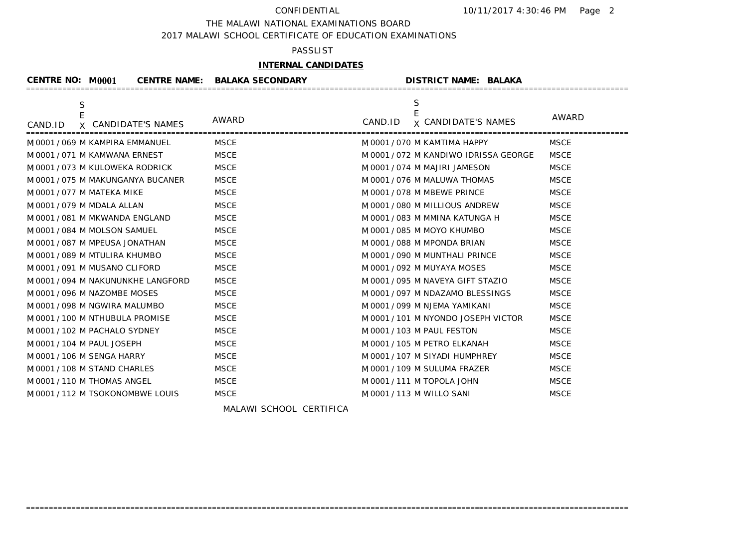THE MALAWI NATIONAL EXAMINATIONS BOARD

2017 MALAWI SCHOOL CERTIFICATE OF EDUCATION EXAMINATIONS

## PASSLIST

## **INTERNAL CANDIDATES**

| <b>CENTRE NO: M0001</b> | <b>CENTRE NAME:</b>                | <b>BALAKA SECONDARY</b> | <b>DISTRICT NAME: BALAKA</b>          |             |
|-------------------------|------------------------------------|-------------------------|---------------------------------------|-------------|
| S<br>E                  |                                    | AWARD                   | S                                     | AWARD       |
| CAND.ID                 | X CANDIDATE'S NAMES                |                         | CAND.ID<br><b>x CANDIDATE'S NAMES</b> |             |
|                         | M 0001 / 069 M KAMPIRA EMMANUEL    | <b>MSCE</b>             | M 0001 / 070 M KAMTIMA HAPPY          | <b>MSCE</b> |
|                         | M 0001 / 071 M KAMWANA ERNEST      | <b>MSCE</b>             | M 0001 / 072 M KANDIWO IDRISSA GEORGE | <b>MSCE</b> |
|                         | M 0001 / 073 M KULOWEKA RODRICK    | <b>MSCE</b>             | M 0001 / 074 M MAJIRI JAMESON         | <b>MSCE</b> |
|                         | M 0001 / 075 M MAKUNGANYA BUCANER  | <b>MSCE</b>             | M 0001 / 076 M MALUWA THOMAS          | <b>MSCE</b> |
|                         | M 0001 / 077 M MATEKA MIKE         | <b>MSCE</b>             | M0001/078 M MBEWE PRINCE              | <b>MSCE</b> |
|                         | M 0001 / 079 M MDALA ALLAN         | <b>MSCE</b>             | M 0001 / 080 M MILLIOUS ANDREW        | <b>MSCE</b> |
|                         | M 0001 / 081 M MKWANDA ENGLAND     | <b>MSCE</b>             | M 0001 / 083 M MMINA KATUNGA H        | <b>MSCE</b> |
|                         | M 0001 / 084 M MOLSON SAMUEL       | <b>MSCE</b>             | M 0001 / 085 M MOYO KHUMBO            | <b>MSCE</b> |
|                         | M 0001 / 087 M MPEUSA JONATHAN     | <b>MSCE</b>             | M 0001 / 088 M MPONDA BRIAN           | <b>MSCE</b> |
|                         | M 0001 / 089 M MTULIRA KHUMBO      | <b>MSCE</b>             | M 0001 / 090 M MUNTHALI PRINCE        | <b>MSCE</b> |
|                         | M 0001 / 091 M MUSANO CLIFORD      | <b>MSCE</b>             | M 0001 / 092 M MUYAYA MOSES           | <b>MSCE</b> |
|                         | M 0001 / 094 M NAKUNUNKHE LANGFORD | <b>MSCE</b>             | M 0001 / 095 M NAVEYA GIFT STAZIO     | <b>MSCE</b> |
|                         | M0001/096 M NAZOMBE MOSES          | <b>MSCE</b>             | M 0001/097 M NDAZAMO BLESSINGS        | <b>MSCE</b> |
|                         | M 0001 / 098 M NGWIRA MALUMBO      | <b>MSCE</b>             | M 0001 / 099 M NJEMA YAMIKANI         | <b>MSCE</b> |
|                         | M 0001 / 100 M NTHUBULA PROMISE    | <b>MSCE</b>             | M 0001 / 101 M NYONDO JOSEPH VICTOR   | <b>MSCE</b> |
|                         | M 0001 / 102 M PACHALO SYDNEY      | <b>MSCE</b>             | M 0001 / 103 M PAUL FESTON            | <b>MSCE</b> |
|                         | M 0001 / 104 M PAUL JOSEPH         | <b>MSCE</b>             | M 0001 / 105 M PETRO ELKANAH          | <b>MSCE</b> |
|                         | M 0001 / 106 M SENGA HARRY         | <b>MSCE</b>             | M 0001 / 107 M SIYADI HUMPHREY        | <b>MSCE</b> |
|                         | M 0001 / 108 M STAND CHARLES       | <b>MSCE</b>             | M 0001 / 109 M SULUMA FRAZER          | <b>MSCE</b> |
|                         | M 0001 / 110 M THOMAS ANGEL        | <b>MSCE</b>             | M 0001 / 111 M TOPOLA JOHN            | <b>MSCE</b> |
|                         | M0001/112 M TSOKONOMBWE LOUIS      | <b>MSCE</b>             | M 0001 / 113 M WILLO SANI             | <b>MSCE</b> |

=====================================================================================================================================

MALAWI SCHOOL CERTIFICA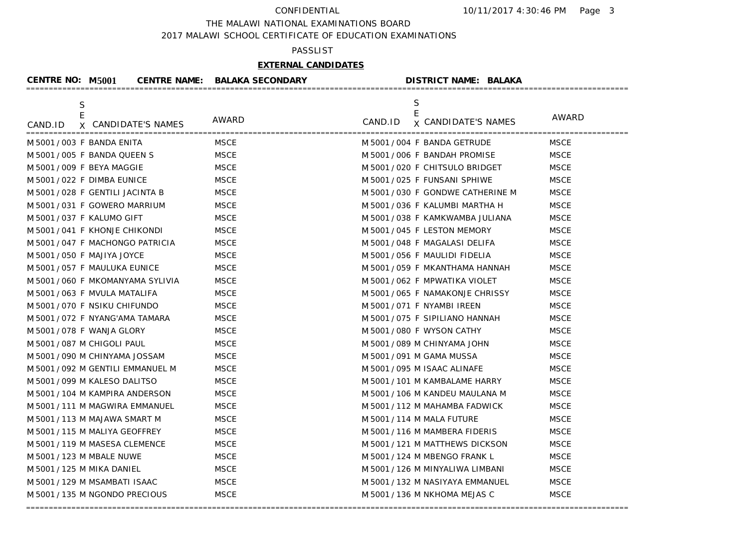### THE MALAWI NATIONAL EXAMINATIONS BOARD

2017 MALAWI SCHOOL CERTIFICATE OF EDUCATION EXAMINATIONS

## PASSLIST

# **EXTERNAL CANDIDATES**

| <b>CENTRE NO: M5001</b>    |                                   | <b>CENTRE NAME: BALAKA SECONDARY</b> | <b>DISTRICT NAME: BALAKA</b>       |             |
|----------------------------|-----------------------------------|--------------------------------------|------------------------------------|-------------|
| S<br>E                     |                                   |                                      | S<br>E                             | AWARD       |
| CAND.ID                    | X CANDIDATE'S NAMES               | AWARD                                | CAND.ID <b>x</b> CANDIDATE'S NAMES |             |
|                            | M 5001 / 003 F BANDA ENITA        | <b>MSCE</b>                          | M 5001/004 F BANDA GETRUDE         | <b>MSCE</b> |
|                            | M 5001/005 F BANDA QUEEN S        | <b>MSCE</b>                          | M 5001/006 F BANDAH PROMISE        | <b>MSCE</b> |
|                            | M 5001 / 009 F BEYA MAGGIE        | <b>MSCE</b>                          | M 5001 / 020 F CHITSULO BRIDGET    | <b>MSCE</b> |
|                            | M 5001/022 F DIMBA EUNICE         | <b>MSCE</b>                          | M 5001/025 F FUNSANI SPHIWE        | <b>MSCE</b> |
|                            | M 5001/028 F GENTILI JACINTA B    | <b>MSCE</b>                          | M 5001 / 030 F GONDWE CATHERINE M  | <b>MSCE</b> |
|                            | M 5001/031 F GOWERO MARRIUM       | <b>MSCE</b>                          | M 5001 / 036 F KALUMBI MARTHA H    | <b>MSCE</b> |
|                            | M 5001/037 F KALUMO GIFT          | <b>MSCE</b>                          | M 5001/038 F KAMKWAMBA JULIANA     | <b>MSCE</b> |
|                            | M 5001/041 F KHONJE CHIKONDI      | <b>MSCE</b>                          | M 5001/045 F LESTON MEMORY         | <b>MSCE</b> |
|                            | M 5001/047 F MACHONGO PATRICIA    | <b>MSCE</b>                          | M 5001/048 F MAGALASI DELIFA       | <b>MSCE</b> |
|                            | M 5001 / 050 F MAJIYA JOYCE       | <b>MSCE</b>                          | M 5001/056 F MAULIDI FIDELIA       | <b>MSCE</b> |
|                            | M 5001/057 F MAULUKA EUNICE       | <b>MSCE</b>                          | M 5001 / 059 F MKANTHAMA HANNAH    | <b>MSCE</b> |
|                            | M 5001 / 060 F MKOMANYAMA SYLIVIA | <b>MSCE</b>                          | M 5001/062 F MPWATIKA VIOLET       | <b>MSCE</b> |
|                            | M 5001/063 F MVULA MATALIFA       | <b>MSCE</b>                          | M 5001/065 F NAMAKONJE CHRISSY     | <b>MSCE</b> |
|                            | M 5001/070 F NSIKU CHIFUNDO       | <b>MSCE</b>                          | M 5001/071 F NYAMBI IREEN          | <b>MSCE</b> |
|                            | M 5001/072 F NYANG'AMA TAMARA     | <b>MSCE</b>                          | M 5001/075 F SIPILIANO HANNAH      | <b>MSCE</b> |
|                            | M 5001 / 078 F WANJA GLORY        | <b>MSCE</b>                          | M 5001 / 080 F WYSON CATHY         | <b>MSCE</b> |
|                            | M 5001 / 087 M CHIGOLI PAUL       | <b>MSCE</b>                          | M 5001 / 089 M CHINYAMA JOHN       | <b>MSCE</b> |
|                            | M 5001 / 090 M CHINYAMA JOSSAM    | <b>MSCE</b>                          | M 5001 / 091 M GAMA MUSSA          | <b>MSCE</b> |
|                            | M 5001 / 092 M GENTILI EMMANUEL M | <b>MSCE</b>                          | M 5001 / 095 M ISAAC ALINAFE       | <b>MSCE</b> |
|                            | M 5001 / 099 M KALESO DALITSO     | <b>MSCE</b>                          | M 5001 / 101 M KAMBALAME HARRY     | <b>MSCE</b> |
|                            | M 5001 / 104 M KAMPIRA ANDERSON   | <b>MSCE</b>                          | M 5001 / 106 M KANDEU MAULANA M    | <b>MSCE</b> |
|                            | M 5001 / 111 M MAGWIRA EMMANUEL   | <b>MSCE</b>                          | M 5001 / 112 M MAHAMBA FADWICK     | <b>MSCE</b> |
|                            | M 5001 / 113 M MAJAWA SMART M     | <b>MSCE</b>                          | M 5001 / 114 M MALA FUTURE         | <b>MSCE</b> |
|                            | M 5001 / 115 M MALIYA GEOFFREY    | <b>MSCE</b>                          | M 5001 / 116 M MAMBERA FIDERIS     | <b>MSCE</b> |
|                            | M 5001 / 119 M MASESA CLEMENCE    | <b>MSCE</b>                          | M 5001 / 121 M MATTHEWS DICKSON    | <b>MSCE</b> |
| M 5001 / 123 M MBALE NUWE  |                                   | <b>MSCE</b>                          | M 5001 / 124 M MBENGO FRANK L      | <b>MSCE</b> |
| M 5001 / 125 M MIKA DANIEL |                                   | <b>MSCE</b>                          | M 5001 / 126 M MINYALIWA LIMBANI   | <b>MSCE</b> |
|                            | M 5001 / 129 M MSAMBATI ISAAC     | <b>MSCE</b>                          | M 5001 / 132 M NASIYAYA EMMANUEL   | <b>MSCE</b> |
|                            | M 5001 / 135 M NGONDO PRECIOUS    | <b>MSCE</b>                          | M 5001 / 136 M NKHOMA MEJAS C      | <b>MSCE</b> |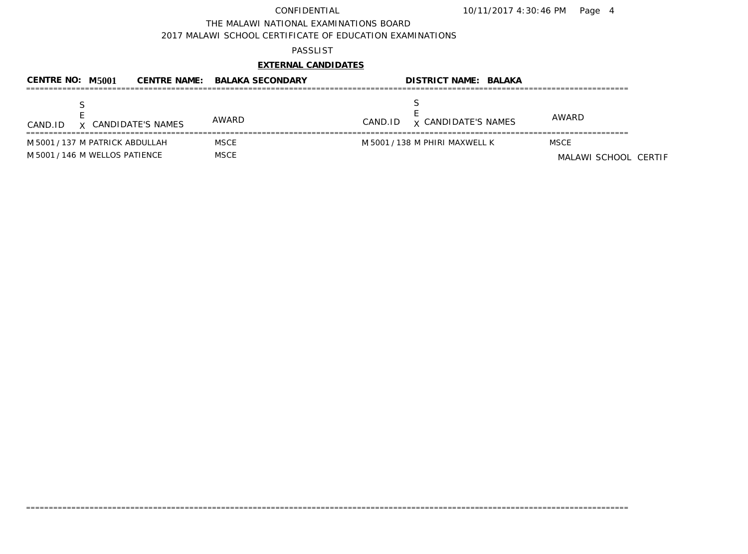10/11/2017 4:30:46 PM Page 4

THE MALAWI NATIONAL EXAMINATIONS BOARD

2017 MALAWI SCHOOL CERTIFICATE OF EDUCATION EXAMINATIONS

### PASSLIST

# **EXTERNAL CANDIDATES**

| CENTRE NO: M5001                                                  | <b>CENTRE NAME: BALAKA SECONDARY</b> | <b>DISTRICT NAME: BALAKA</b>          |                                     |
|-------------------------------------------------------------------|--------------------------------------|---------------------------------------|-------------------------------------|
| X CANDIDATE'S NAMES<br>CAND.ID                                    | AWARD                                | <b>x CANDIDATE'S NAMES</b><br>CAND.ID | AWARD                               |
| M 5001 / 137 M PATRICK ABDULLAH<br>M 5001 / 146 M WELLOS PATIENCE | MSCE<br><b>MSCE</b>                  | M 5001 / 138 M PHIRI MAXWELL K        | <b>MSCE</b><br>MALAWI SCHOOL CERTIF |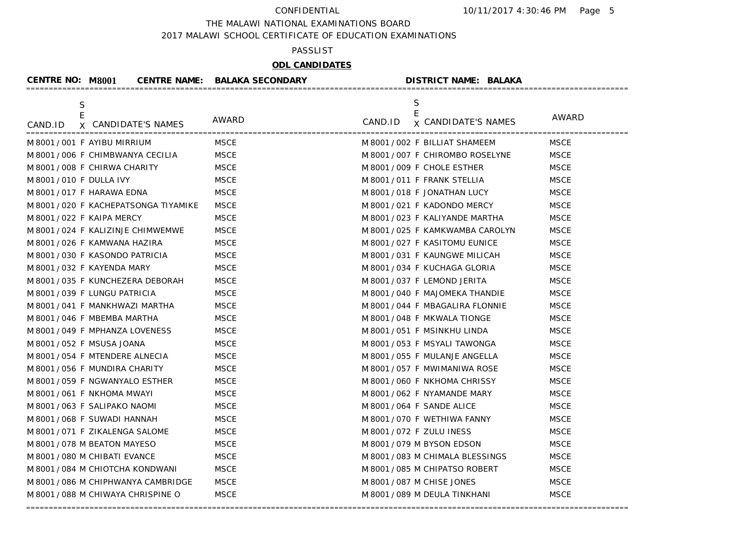THE MALAWI NATIONAL EXAMINATIONS BOARD

2017 MALAWI SCHOOL CERTIFICATE OF EDUCATION EXAMINATIONS

### PASSLIST

# **ODL CANDIDATES**

| <b>CENTRE NO: M8001</b>    |                                       | <b>CENTRE NAME: BALAKA SECONDARY</b> | <b>DISTRICT NAME: BALAKA</b>       |              |
|----------------------------|---------------------------------------|--------------------------------------|------------------------------------|--------------|
| S<br>E                     |                                       |                                      | S<br>E                             | <b>AWARD</b> |
| CAND.ID                    | X CANDIDATE'S NAMES                   | AWARD                                | CAND.ID <b>x</b> CANDIDATE'S NAMES |              |
| M8001/001 F AYIBU MIRRIUM  |                                       | <b>MSCE</b>                          | M 8001/002 F BILLIAT SHAMEEM       | <b>MSCE</b>  |
|                            | M 8001/006 F CHIMBWANYA CECILIA       | <b>MSCE</b>                          | M 8001 / 007 F CHIROMBO ROSELYNE   | <b>MSCE</b>  |
|                            | M 8001/008 F CHIRWA CHARITY           | <b>MSCE</b>                          | M 8001/009 F CHOLE ESTHER          | <b>MSCE</b>  |
| M 8001 / 010 F DULLA IVY   |                                       | <b>MSCE</b>                          | M 8001/011 F FRANK STELLIA         | <b>MSCE</b>  |
| M 8001/017 F HARAWA EDNA   |                                       | <b>MSCE</b>                          | M 8001/018 F JONATHAN LUCY         | <b>MSCE</b>  |
|                            | M 8001 / 020 F KACHEPATSONGA TIYAMIKE | <b>MSCE</b>                          | M 8001/021 F KADONDO MERCY         | <b>MSCE</b>  |
| M 8001 / 022 F KAIPA MERCY |                                       | <b>MSCE</b>                          | M 8001/023 F KALIYANDE MARTHA      | <b>MSCE</b>  |
|                            | M 8001/024 F KALIZINJE CHIMWEMWE      | <b>MSCE</b>                          | M 8001 / 025 F KAMKWAMBA CAROLYN   | <b>MSCE</b>  |
|                            | M 8001/026 F KAMWANA HAZIRA           | <b>MSCE</b>                          | M 8001/027 F KASITOMU EUNICE       | <b>MSCE</b>  |
|                            | M 8001/030 F KASONDO PATRICIA         | <b>MSCE</b>                          | M 8001 / 031 F KAUNGWE MILICAH     | <b>MSCE</b>  |
| M 8001/032 F KAYENDA MARY  |                                       | <b>MSCE</b>                          | M 8001/034 F KUCHAGA GLORIA        | <b>MSCE</b>  |
|                            | M 8001 / 035 F KUNCHEZERA DEBORAH     | <b>MSCE</b>                          | M 8001/037 F LEMOND JERITA         | <b>MSCE</b>  |
|                            | M 8001/039 F LUNGU PATRICIA           | <b>MSCE</b>                          | M 8001/040 F MAJOMEKA THANDIE      | <b>MSCE</b>  |
|                            | M 8001 / 041 F MANKHWAZI MARTHA       | <b>MSCE</b>                          | M 8001/044 F MBAGALIRA FLONNIE     | <b>MSCE</b>  |
|                            | M 8001 / 046 F MBEMBA MARTHA          | <b>MSCE</b>                          | M 8001 / 048 F MKWALA TIONGE       | <b>MSCE</b>  |
|                            | M 8001 / 049 F MPHANZA LOVENESS       | <b>MSCE</b>                          | M 8001/051 F MSINKHU LINDA         | <b>MSCE</b>  |
| M 8001 / 052 F MSUSA JOANA |                                       | <b>MSCE</b>                          | M 8001/053 F MSYALI TAWONGA        | <b>MSCE</b>  |
|                            | M 8001 / 054 F MTENDERE ALNECIA       | <b>MSCE</b>                          | M 8001/055 F MULANJE ANGELLA       | <b>MSCE</b>  |
|                            | M 8001 / 056 F MUNDIRA CHARITY        | <b>MSCE</b>                          | M 8001/057 F MWIMANIWA ROSE        | <b>MSCE</b>  |
|                            | M 8001 / 059 F NGWANYALO ESTHER       | <b>MSCE</b>                          | M 8001/060 F NKHOMA CHRISSY        | <b>MSCE</b>  |
| M8001/061 F NKHOMA MWAYI   |                                       | <b>MSCE</b>                          | M 8001 / 062 F NYAMANDE MARY       | <b>MSCE</b>  |
|                            | M8001/063 F SALIPAKO NAOMI            | <b>MSCE</b>                          | M 8001/064 F SANDE ALICE           | <b>MSCE</b>  |
|                            | M 8001 / 068 F SUWADI HANNAH          | <b>MSCE</b>                          | M 8001/070 F WETHIWA FANNY         | <b>MSCE</b>  |
|                            | M 8001 / 071 F ZIKALENGA SALOME       | <b>MSCE</b>                          | M 8001 / 072 F ZULU INESS          | <b>MSCE</b>  |
|                            | M 8001 / 078 M BEATON MAYESO          | <b>MSCE</b>                          | M 8001 / 079 M BYSON EDSON         | <b>MSCE</b>  |
|                            | M 8001 / 080 M CHIBATI EVANCE         | <b>MSCE</b>                          | M 8001 / 083 M CHIMALA BLESSINGS   | <b>MSCE</b>  |
|                            | M 8001 / 084 M CHIOTCHA KONDWANI      | <b>MSCE</b>                          | M 8001 / 085 M CHIPATSO ROBERT     | <b>MSCE</b>  |
|                            | M 8001 / 086 M CHIPHWANYA CAMBRIDGE   | <b>MSCE</b>                          | M 8001/087 M CHISE JONES           | <b>MSCE</b>  |
|                            | M 8001 / 088 M CHIWAYA CHRISPINE O    | <b>MSCE</b>                          | M 8001 / 089 M DEULA TINKHANI      | <b>MSCE</b>  |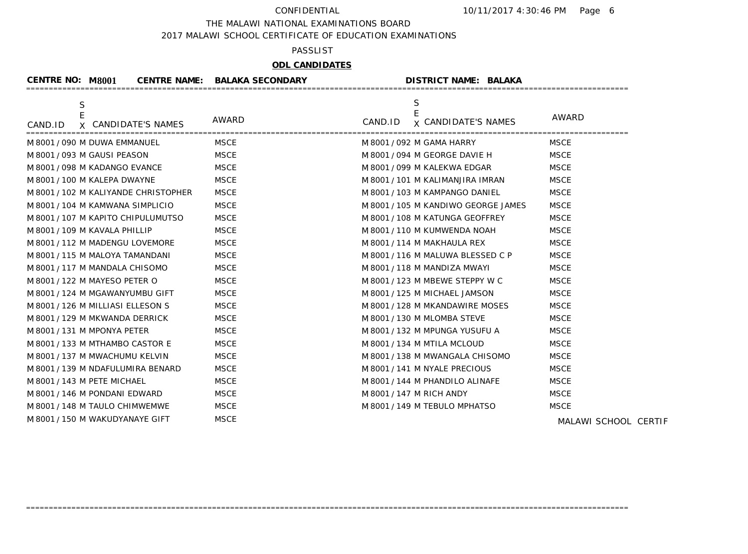THE MALAWI NATIONAL EXAMINATIONS BOARD

2017 MALAWI SCHOOL CERTIFICATE OF EDUCATION EXAMINATIONS

## PASSLIST

# **ODL CANDIDATES**

| <b>CENTRE NO: M8001</b> |                                         | <b>CENTRE NAME: BALAKA SECONDARY</b> | <b>DISTRICT NAME: BALAKA</b>                    |                      |
|-------------------------|-----------------------------------------|--------------------------------------|-------------------------------------------------|----------------------|
| CAND.ID                 | $\mathsf S$<br>E<br>X CANDIDATE'S NAMES | <b>AWARD</b>                         | S<br>E<br>CAND.ID<br><b>x CANDIDATE'S NAMES</b> | <b>AWARD</b>         |
|                         | M 8001 / 090 M DUWA EMMANUEL            | <b>MSCE</b>                          | M 8001 / 092 M GAMA HARRY                       | MSCE                 |
|                         | M8001 / 093 M GAUSI PEASON              | <b>MSCE</b>                          | M 8001 / 094 M GEORGE DAVIE H                   | <b>MSCE</b>          |
|                         | M 8001 / 098 M KADANGO EVANCE           | <b>MSCE</b>                          | M 8001 / 099 M KALEKWA EDGAR                    | <b>MSCE</b>          |
|                         | M 8001 / 100 M KALEPA DWAYNE            | <b>MSCE</b>                          | M 8001 / 101 M KALIMANJIRA IMRAN                | <b>MSCE</b>          |
|                         | M 8001 / 102 M KALIYANDE CHRISTOPHER    | <b>MSCE</b>                          | M 8001 / 103 M KAMPANGO DANIEL                  | <b>MSCE</b>          |
|                         | M 8001 / 104 M KAMWANA SIMPLICIO        | <b>MSCE</b>                          | M 8001 / 105 M KANDIWO GEORGE JAMES             | <b>MSCE</b>          |
|                         | M 8001 / 107 M KAPITO CHIPULUMUTSO      | <b>MSCE</b>                          | M 8001 / 108 M KATUNGA GEOFFREY                 | <b>MSCE</b>          |
|                         | M 8001 / 109 M KAVALA PHILLIP           | <b>MSCE</b>                          | M 8001 / 110 M KUMWENDA NOAH                    | <b>MSCE</b>          |
|                         | M 8001 / 112 M MADENGU LOVEMORE         | <b>MSCE</b>                          | M 8001 / 114 M MAKHAULA REX                     | <b>MSCE</b>          |
|                         | M 8001 / 115 M MALOYA TAMANDANI         | <b>MSCE</b>                          | M 8001 / 116 M MALUWA BLESSED C P               | <b>MSCE</b>          |
|                         | M 8001 / 117 M MANDALA CHISOMO          | <b>MSCE</b>                          | M 8001 / 118 M MANDIZA MWAYI                    | <b>MSCE</b>          |
|                         | M 8001 / 122 M MAYESO PETER O           | <b>MSCE</b>                          | M 8001 / 123 M MBEWE STEPPY W C                 | <b>MSCE</b>          |
|                         | M 8001 / 124 M MGAWANYUMBU GIFT         | <b>MSCE</b>                          | M 8001 / 125 M MICHAEL JAMSON                   | <b>MSCE</b>          |
|                         | M 8001/126 M MILLIASI ELLESON S         | <b>MSCE</b>                          | M 8001 / 128 M MKANDAWIRE MOSES                 | <b>MSCE</b>          |
|                         | M 8001 / 129 M MKWANDA DERRICK          | <b>MSCE</b>                          | M 8001 / 130 M MLOMBA STEVE                     | <b>MSCE</b>          |
|                         | M8001/131 M MPONYA PETER                | <b>MSCE</b>                          | M 8001 / 132 M MPUNGA YUSUFU A                  | <b>MSCE</b>          |
|                         | M 8001 / 133 M MTHAMBO CASTOR E         | <b>MSCE</b>                          | M 8001 / 134 M MTILA MCLOUD                     | <b>MSCE</b>          |
|                         | M8001/137 M MWACHUMU KELVIN             | <b>MSCE</b>                          | M 8001 / 138 M MWANGALA CHISOMO                 | <b>MSCE</b>          |
|                         | M 8001 / 139 M NDAFULUMIRA BENARD       | <b>MSCE</b>                          | M 8001 / 141 M NYALE PRECIOUS                   | <b>MSCE</b>          |
|                         | M 8001 / 143 M PETE MICHAEL             | <b>MSCE</b>                          | M 8001 / 144 M PHANDILO ALINAFE                 | <b>MSCE</b>          |
|                         | M 8001 / 146 M PONDANI EDWARD           | <b>MSCE</b>                          | M 8001 / 147 M RICH ANDY                        | <b>MSCE</b>          |
|                         | M 8001 / 148 M TAULO CHIMWEMWE          | <b>MSCE</b>                          | M 8001 / 149 M TEBULO MPHATSO                   | <b>MSCE</b>          |
|                         | M 8001 / 150 M WAKUDYANAYE GIFT         | <b>MSCE</b>                          |                                                 | MALAWI SCHOOL CERTIF |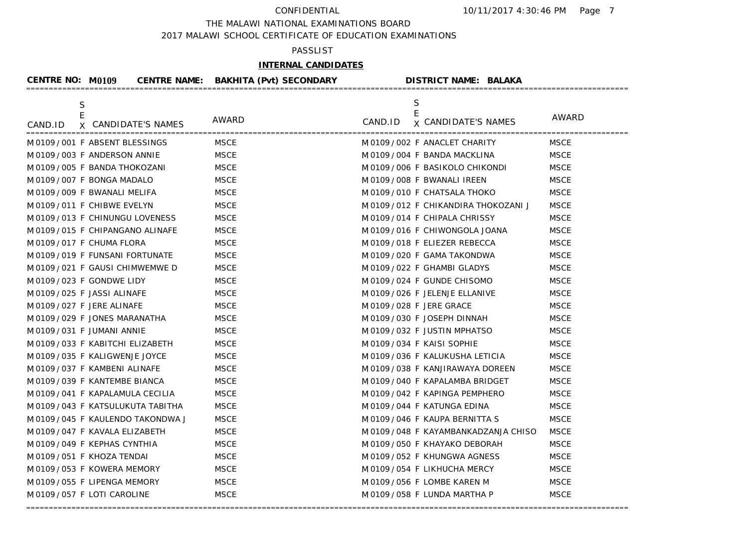### THE MALAWI NATIONAL EXAMINATIONS BOARD

2017 MALAWI SCHOOL CERTIFICATE OF EDUCATION EXAMINATIONS

### PASSLIST

# **INTERNAL CANDIDATES**

|             |                                 |             | CENTRE NO: M0109 CENTRE NAME: BAKHITA (Pvt) SECONDARY DISTRICT NAME: BALAKA |             |
|-------------|---------------------------------|-------------|-----------------------------------------------------------------------------|-------------|
| $\mathsf S$ |                                 |             | S                                                                           |             |
| CAND.ID     | X CANDIDATE'S NAMES             | AWARD       | E<br>CAND.ID <b>x</b> CANDIDATE'S NAMES                                     | AWARD       |
|             | M0109/001 F ABSENT BLESSINGS    | <b>MSCE</b> | M 0109 / 002 F ANACLET CHARITY                                              | <b>MSCE</b> |
|             | M0109/003 F ANDERSON ANNIE      | <b>MSCE</b> | M 0109 / 004 F BANDA MACKLINA                                               | <b>MSCE</b> |
|             | M 0109 / 005 F BANDA THOKOZANI  | <b>MSCE</b> | M 0109 / 006 F BASIKOLO CHIKONDI                                            | <b>MSCE</b> |
|             | M0109/007 F BONGA MADALO        | <b>MSCE</b> | M 0109 / 008 F BWANALI IREEN                                                | <b>MSCE</b> |
|             | M0109/009 F BWANALI MELIFA      | <b>MSCE</b> | M 0109 / 010 F CHATSALA THOKO                                               | <b>MSCE</b> |
|             | M0109/011 F CHIBWE EVELYN       | <b>MSCE</b> | M 0109 / 012 F CHIKANDIRA THOKOZANI J                                       | <b>MSCE</b> |
|             | M0109/013 F CHINUNGU LOVENESS   | <b>MSCE</b> | M0109/014 F CHIPALA CHRISSY                                                 | <b>MSCE</b> |
|             | M0109/015 F CHIPANGANO ALINAFE  | <b>MSCE</b> | M 0109 / 016 F CHIWONGOLA JOANA                                             | <b>MSCE</b> |
|             | M0109/017 F CHUMA FLORA         | <b>MSCE</b> | M0109/018 F ELIEZER REBECCA                                                 | <b>MSCE</b> |
|             | M0109/019 F FUNSANI FORTUNATE   | <b>MSCE</b> | M 0109 / 020 F GAMA TAKONDWA                                                | <b>MSCE</b> |
|             | M0109/021 F GAUSI CHIMWEMWE D   | <b>MSCE</b> | M 0109 / 022 F GHAMBI GLADYS                                                | <b>MSCE</b> |
|             | M0109/023 F GONDWE LIDY         | <b>MSCE</b> | M 0109 / 024 F GUNDE CHISOMO                                                | <b>MSCE</b> |
|             | M0109/025 F JASSI ALINAFE       | <b>MSCE</b> | M 0109 / 026 F JELENJE ELLANIVE                                             | <b>MSCE</b> |
|             | M0109/027 F JERE ALINAFE        | <b>MSCE</b> | M 0109 / 028 F JERE GRACE                                                   | <b>MSCE</b> |
|             | M0109/029 F JONES MARANATHA     | <b>MSCE</b> | M 0109 / 030 F JOSEPH DINNAH                                                | <b>MSCE</b> |
|             | M0109/031 F JUMANI ANNIE        | <b>MSCE</b> | M0109/032 F JUSTIN MPHATSO                                                  | <b>MSCE</b> |
|             | M0109/033 F KABITCHI ELIZABETH  | <b>MSCE</b> | M0109/034 F KAISI SOPHIE                                                    | <b>MSCE</b> |
|             | M0109/035 F KALIGWENJE JOYCE    | <b>MSCE</b> | M 0109 / 036 F KALUKUSHA LETICIA                                            | <b>MSCE</b> |
|             | M0109/037 F KAMBENI ALINAFE     | <b>MSCE</b> | M 0109 / 038 F KANJIRAWAYA DOREEN                                           | <b>MSCE</b> |
|             | M0109/039 F KANTEMBE BIANCA     | <b>MSCE</b> | M 0109 / 040 F KAPALAMBA BRIDGET                                            | <b>MSCE</b> |
|             | M0109/041 F KAPALAMULA CECILIA  | <b>MSCE</b> | M0109/042 F KAPINGA PEMPHERO                                                | <b>MSCE</b> |
|             | M0109/043 F KATSULUKUTA TABITHA | <b>MSCE</b> | M0109/044 F KATUNGA EDINA                                                   | <b>MSCE</b> |
|             | M0109/045 F KAULENDO TAKONDWA J | <b>MSCE</b> | M0109/046 F KAUPA BERNITTA S                                                | <b>MSCE</b> |
|             | M0109/047 F KAVALA ELIZABETH    | <b>MSCE</b> | M 0109 / 048 F KAYAMBANKADZANJA CHISO                                       | <b>MSCE</b> |
|             | M0109/049 F KEPHAS CYNTHIA      | <b>MSCE</b> | M0109/050 F KHAYAKO DEBORAH                                                 | <b>MSCE</b> |
|             | M0109/051 F KHOZA TENDAI        | <b>MSCE</b> | M0109/052 F KHUNGWA AGNESS                                                  | <b>MSCE</b> |
|             | M0109/053 F KOWERA MEMORY       | <b>MSCE</b> | M0109/054 F LIKHUCHA MERCY                                                  | <b>MSCE</b> |
|             | M0109/055 F LIPENGA MEMORY      | <b>MSCE</b> | M 0109 / 056 F LOMBE KAREN M                                                | <b>MSCE</b> |
|             | M0109/057 F LOTI CAROLINE       | <b>MSCE</b> | M 0109 / 058 F LUNDA MARTHA P                                               | <b>MSCE</b> |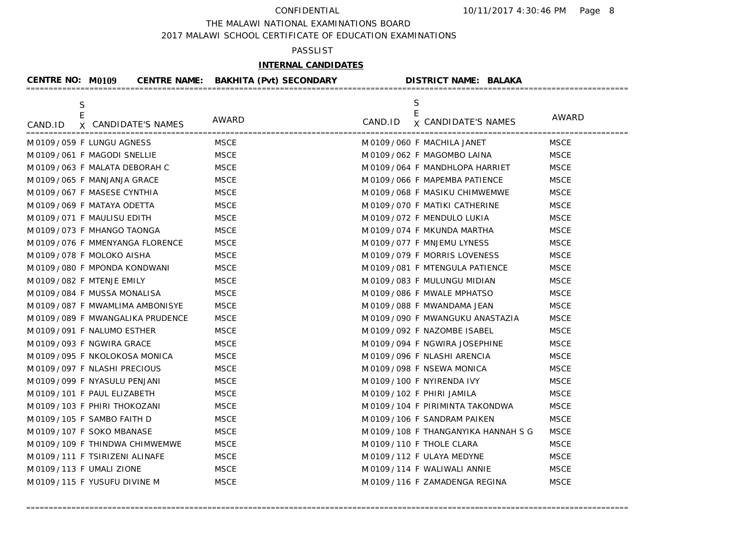THE MALAWI NATIONAL EXAMINATIONS BOARD

2017 MALAWI SCHOOL CERTIFICATE OF EDUCATION EXAMINATIONS

## PASSLIST

# **INTERNAL CANDIDATES**

| <b>CENTRE NO: M0109</b>  |                                    | CENTRE NAME: BAKHITA (Pvt) SECONDARY | <b>DISTRICT NAME: BALAKA</b>          |             |
|--------------------------|------------------------------------|--------------------------------------|---------------------------------------|-------------|
| S                        |                                    | AWARD                                | S<br>E                                | AWARD       |
| CAND.ID                  | X CANDIDATE'S NAMES                |                                      | <b>x CANDIDATE'S NAMES</b><br>CAND.ID |             |
|                          | M0109/059 F LUNGU AGNESS           | <b>MSCE</b>                          | M0109/060 F MACHILA JANET             | <b>MSCE</b> |
|                          | M0109/061 F MAGODI SNELLIE         | <b>MSCE</b>                          | M 0109 / 062 F MAGOMBO LAINA          | <b>MSCE</b> |
|                          | M 0109 / 063 F MALATA DEBORAH C    | <b>MSCE</b>                          | M 0109 / 064 F MANDHLOPA HARRIET      | <b>MSCE</b> |
|                          | M 0109 / 065 F MANJANJA GRACE      | <b>MSCE</b>                          | M 0109 / 066 F MAPEMBA PATIENCE       | <b>MSCE</b> |
|                          | M0109/067 F MASESE CYNTHIA         | <b>MSCE</b>                          | M 0109 / 068 F MASIKU CHIMWEMWE       | <b>MSCE</b> |
|                          | M0109/069 F MATAYA ODETTA          | <b>MSCE</b>                          | M 0109 / 070 F MATIKI CATHERINE       | <b>MSCE</b> |
|                          | M0109/071 F MAULISU EDITH          | <b>MSCE</b>                          | M0109/072 F MENDULO LUKIA             | <b>MSCE</b> |
|                          | M0109/073 F MHANGO TAONGA          | <b>MSCE</b>                          | M 0109 / 074 F MKUNDA MARTHA          | <b>MSCE</b> |
|                          | M 0109 / 076 F MMENYANGA FLORENCE  | <b>MSCE</b>                          | M 0109 / 077 F MNJEMU LYNESS          | <b>MSCE</b> |
|                          | M0109/078 F MOLOKO AISHA           | <b>MSCE</b>                          | M0109/079 F MORRIS LOVENESS           | <b>MSCE</b> |
|                          | M0109/080 F MPONDA KONDWANI        | <b>MSCE</b>                          | M 0109 / 081 F MTENGULA PATIENCE      | <b>MSCE</b> |
| M0109/082 F MTENJE EMILY |                                    | <b>MSCE</b>                          | M0109/083 F MULUNGU MIDIAN            | <b>MSCE</b> |
|                          | M0109/084 F MUSSA MONALISA         | <b>MSCE</b>                          | M 0109 / 086 F MWALE MPHATSO          | <b>MSCE</b> |
|                          | M0109/087 F MWAMLIMA AMBONISYE     | <b>MSCE</b>                          | M 0109 / 088 F MWANDAMA JEAN          | <b>MSCE</b> |
|                          | M 0109 / 089 F MWANGALIKA PRUDENCE | <b>MSCE</b>                          | M 0109 / 090 F MWANGUKU ANASTAZIA     | <b>MSCE</b> |
|                          | M0109/091 F NALUMO ESTHER          | <b>MSCE</b>                          | M0109/092 F NAZOMBE ISABEL            | <b>MSCE</b> |
|                          | M0109/093 F NGWIRA GRACE           | <b>MSCE</b>                          | M0109/094 F NGWIRA JOSEPHINE          | <b>MSCE</b> |
|                          | M0109/095 F NKOLOKOSA MONICA       | <b>MSCE</b>                          | M0109/096 F NLASHI ARENCIA            | <b>MSCE</b> |
|                          | M0109/097 F NLASHI PRECIOUS        | <b>MSCE</b>                          | M0109/098 F NSEWA MONICA              | <b>MSCE</b> |
|                          | M 0109 / 099 F NYASULU PENJANI     | <b>MSCE</b>                          | M0109/100 F NYIRENDA IVY              | <b>MSCE</b> |
|                          | M0109/101 F PAUL ELIZABETH         | <b>MSCE</b>                          | M0109/102 F PHIRI JAMILA              | <b>MSCE</b> |
|                          | M0109/103 F PHIRI THOKOZANI        | <b>MSCE</b>                          | M0109/104 F PIRIMINTA TAKONDWA        | <b>MSCE</b> |
|                          | M 0109 / 105 F SAMBO FAITH D       | <b>MSCE</b>                          | M0109/106 F SANDRAM PAIKEN            | <b>MSCE</b> |
|                          | M0109/107 F SOKO MBANASE           | <b>MSCE</b>                          | M 0109 / 108 F THANGANYIKA HANNAH S G | <b>MSCE</b> |
|                          | M0109/109 F THINDWA CHIMWEMWE      | <b>MSCE</b>                          | M0109/110 F THOLE CLARA               | <b>MSCE</b> |
|                          | M0109/111 F TSIRIZENI ALINAFE      | <b>MSCE</b>                          | M 0109 / 112 F ULAYA MEDYNE           | <b>MSCE</b> |
| M0109/113 F UMALI ZIONE  |                                    | <b>MSCE</b>                          | M0109/114 F WALIWALI ANNIE            | <b>MSCE</b> |
|                          | M0109/115 F YUSUFU DIVINE M        | <b>MSCE</b>                          | M0109/116 F ZAMADENGA REGINA          | <b>MSCE</b> |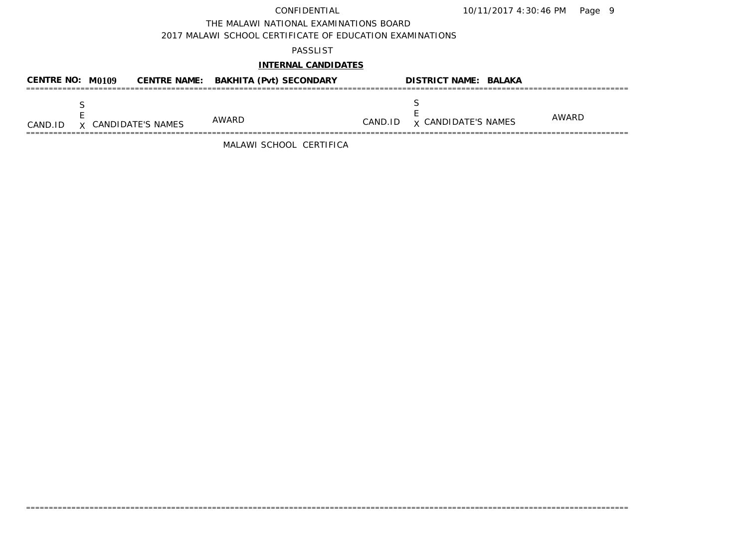THE MALAWI NATIONAL EXAMINATIONS BOARD

2017 MALAWI SCHOOL CERTIFICATE OF EDUCATION EXAMINATIONS

## PASSLIST

## **INTERNAL CANDIDATES**

| CENTRE NO: $M0109$ |                     | <b>CENTRE NAME: BAKHITA (Pvt) SECONDARY</b> |         | <b>DISTRICT NAME: BALAKA</b> |       |
|--------------------|---------------------|---------------------------------------------|---------|------------------------------|-------|
| CAND.ID            | X CANDIDATE'S NAMES | AWARD                                       | CAND.ID | <b>x CANDIDATE'S NAMES</b>   | AWARD |

=====================================================================================================================================

MALAWI SCHOOL CERTIFICA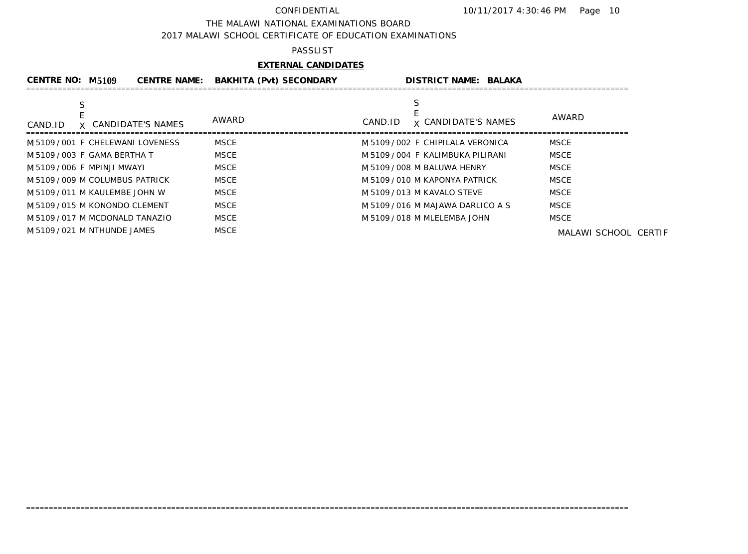### THE MALAWI NATIONAL EXAMINATIONS BOARD

2017 MALAWI SCHOOL CERTIFICATE OF EDUCATION EXAMINATIONS

### PASSLIST

# **EXTERNAL CANDIDATES**

| <b>CENTRE NO: M5109</b>  |                                   | <b>CENTRE NAME:</b> | <b>BAKHITA (Pvt) SECONDARY</b> |         | <b>DISTRICT NAME: BALAKA</b>      |                      |
|--------------------------|-----------------------------------|---------------------|--------------------------------|---------|-----------------------------------|----------------------|
|                          |                                   |                     |                                |         |                                   |                      |
| CAND.ID                  | X CANDIDATE'S NAMES               |                     | AWARD                          | CAND.ID | <b>x CANDIDATE'S NAMES</b>        | AWARD                |
|                          | M 5109 / 001 F CHELEWANI LOVENESS |                     | MSCE                           |         | M 5109/002 F CHIPILALA VERONICA   | <b>MSCE</b>          |
|                          | M 5109 / 003 F GAMA BERTHA T      |                     | MSCE                           |         | M 5109 / 004 F KALIMBUKA PILIRANI | <b>MSCE</b>          |
| M5109/006 F MPINJI MWAYI |                                   |                     | MSCE                           |         | M 5109 / 008 M BALUWA HENRY       | <b>MSCE</b>          |
|                          | M 5109 / 009 M COLUMBUS PATRICK   |                     | MSCE                           |         | M 5109 / 010 M KAPONYA PATRICK    | <b>MSCE</b>          |
|                          | M 5109 / 011 M KAULEMBE JOHN W    |                     | MSCE                           |         | M 5109 / 013 M KAVALO STEVE       | <b>MSCE</b>          |
|                          | M 5109 / 015 M KONONDO CLEMENT    |                     | MSCE                           |         | M 5109 / 016 M MAJAWA DARLICO A S | <b>MSCE</b>          |
|                          | M 5109 / 017 M MCDONALD TANAZIO   |                     | MSCE                           |         | M 5109 / 018 M MLELEMBA JOHN      | <b>MSCE</b>          |
|                          | M 5109 / 021 M NTHUNDE JAMES      |                     | <b>MSCE</b>                    |         |                                   | MALAWI SCHOOL CERTIF |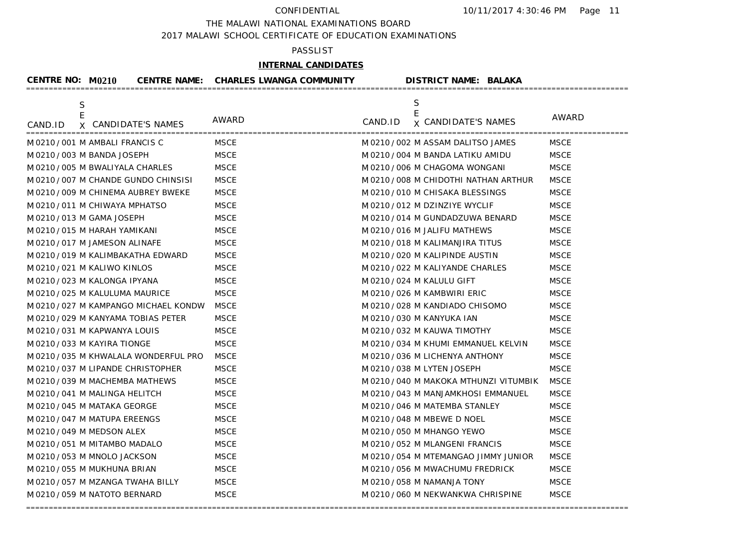THE MALAWI NATIONAL EXAMINATIONS BOARD

2017 MALAWI SCHOOL CERTIFICATE OF EDUCATION EXAMINATIONS

### PASSLIST

# **INTERNAL CANDIDATES**

| <b>CENTRE NO: M0210</b>           |                                     | <b>CENTRE NAME: CHARLES LWANGA COMMUNITY</b> |         | <b>DISTRICT NAME: BALAKA</b>           |             |
|-----------------------------------|-------------------------------------|----------------------------------------------|---------|----------------------------------------|-------------|
| $\mathsf S$<br>E                  |                                     |                                              |         | S<br>E                                 | AWARD       |
| X<br>CAND.ID                      | <b>CANDIDATE'S NAMES</b>            | AWARD                                        | CAND.ID | <b>x CANDIDATE'S NAMES</b>             |             |
| M 0210/001 M AMBALI FRANCIS C     |                                     | <b>MSCE</b>                                  |         | M 0210/002 M ASSAM DALITSO JAMES       | <b>MSCE</b> |
| M 0210 / 003 M BANDA JOSEPH       |                                     | <b>MSCE</b>                                  |         | M 0210 / 004 M BANDA LATIKU AMIDU      | <b>MSCE</b> |
| M 0210 / 005 M BWALIYALA CHARLES  |                                     | <b>MSCE</b>                                  |         | M 0210 / 006 M CHAGOMA WONGANI         | <b>MSCE</b> |
|                                   | M0210/007 M CHANDE GUNDO CHINSISI   | <b>MSCE</b>                                  |         | M 0210 / 008 M CHIDOTHI NATHAN ARTHUR  | <b>MSCE</b> |
|                                   | M 0210 / 009 M CHINEMA AUBREY BWEKE | <b>MSCE</b>                                  |         | M0210/010 M CHISAKA BLESSINGS          | <b>MSCE</b> |
| M 0210/011 M CHIWAYA MPHATSO      |                                     | <b>MSCE</b>                                  |         | M0210/012 MDZINZIYE WYCLIF             | <b>MSCE</b> |
| M 0210 / 013 M GAMA JOSEPH        |                                     | <b>MSCE</b>                                  |         | M 0210 / 014 M GUNDADZUWA BENARD       | <b>MSCE</b> |
| M0210/015 M HARAH YAMIKANI        |                                     | <b>MSCE</b>                                  |         | M 0210 / 016 M JALIFU MATHEWS          | <b>MSCE</b> |
| M 0210 / 017 M JAMESON ALINAFE    |                                     | <b>MSCE</b>                                  |         | M 0210/018 M KALIMANJIRA TITUS         | <b>MSCE</b> |
| M 0210/019 M KALIMBAKATHA EDWARD  |                                     | <b>MSCE</b>                                  |         | M 0210 / 020 M KALIPINDE AUSTIN        | <b>MSCE</b> |
| M0210/021 M KALIWO KINLOS         |                                     | <b>MSCE</b>                                  |         | M 0210/022 M KALIYANDE CHARLES         | <b>MSCE</b> |
| M0210/023 M KALONGA IPYANA        |                                     | <b>MSCE</b>                                  |         | M 0210 / 024 M KALULU GIFT             | <b>MSCE</b> |
| M 0210 / 025 M KALULUMA MAURICE   |                                     | <b>MSCE</b>                                  |         | M0210/026 M KAMBWIRI ERIC              | <b>MSCE</b> |
|                                   | M0210/027 M KAMPANGO MICHAEL KONDW  | <b>MSCE</b>                                  |         | M 0210/028 M KANDIADO CHISOMO          | <b>MSCE</b> |
| M 0210/029 M KANYAMA TOBIAS PETER |                                     | <b>MSCE</b>                                  |         | M 0210 / 030 M KANYUKA IAN             | <b>MSCE</b> |
| M0210/031 M KAPWANYA LOUIS        |                                     | <b>MSCE</b>                                  |         | M 0210 / 032 M KAUWA TIMOTHY           | <b>MSCE</b> |
| M0210/033 M KAYIRA TIONGE         |                                     | <b>MSCE</b>                                  |         | M 0210 / 034 M KHUMI EMMANUEL KELVIN   | <b>MSCE</b> |
|                                   | M0210/035 M KHWALALA WONDERFUL PRO  | <b>MSCE</b>                                  |         | M0210/036 M LICHENYA ANTHONY           | <b>MSCE</b> |
| M0210/037 M LIPANDE CHRISTOPHER   |                                     | <b>MSCE</b>                                  |         | M0210/038 M LYTEN JOSEPH               | <b>MSCE</b> |
| M0210/039 M MACHEMBA MATHEWS      |                                     | <b>MSCE</b>                                  |         | M 0210 / 040 M MAKOKA MTHUNZI VITUMBIK | <b>MSCE</b> |
| M0210/041 M MALINGA HELITCH       |                                     | <b>MSCE</b>                                  |         | M 0210 / 043 M MANJAMKHOSI EMMANUEL    | <b>MSCE</b> |
| M 0210 / 045 M MATAKA GEORGE      |                                     | <b>MSCE</b>                                  |         | M 0210 / 046 M MATEMBA STANLEY         | <b>MSCE</b> |
| M 0210/047 M MATUPA EREENGS       |                                     | <b>MSCE</b>                                  |         | M 0210 / 048 M MBEWE D NOEL            | <b>MSCE</b> |
| M 0210 / 049 M MEDSON ALEX        |                                     | <b>MSCE</b>                                  |         | M 0210 / 050 M MHANGO YEWO             | <b>MSCE</b> |
| M 0210 / 051 M MITAMBO MADALO     |                                     | <b>MSCE</b>                                  |         | M 0210 / 052 M MLANGENI FRANCIS        | <b>MSCE</b> |
| M0210/053 M MNOLO JACKSON         |                                     | <b>MSCE</b>                                  |         | M 0210 / 054 M MTEMANGAO JIMMY JUNIOR  | <b>MSCE</b> |
| M 0210/055 M MUKHUNA BRIAN        |                                     | <b>MSCE</b>                                  |         | M0210/056 M MWACHUMU FREDRICK          | <b>MSCE</b> |
| M0210/057 M MZANGA TWAHA BILLY    |                                     | <b>MSCE</b>                                  |         | M 0210 / 058 M NAMANJA TONY            | <b>MSCE</b> |
| M 0210 / 059 M NATOTO BERNARD     |                                     | <b>MSCE</b>                                  |         | M 0210 / 060 M NEKWANKWA CHRISPINE     | <b>MSCE</b> |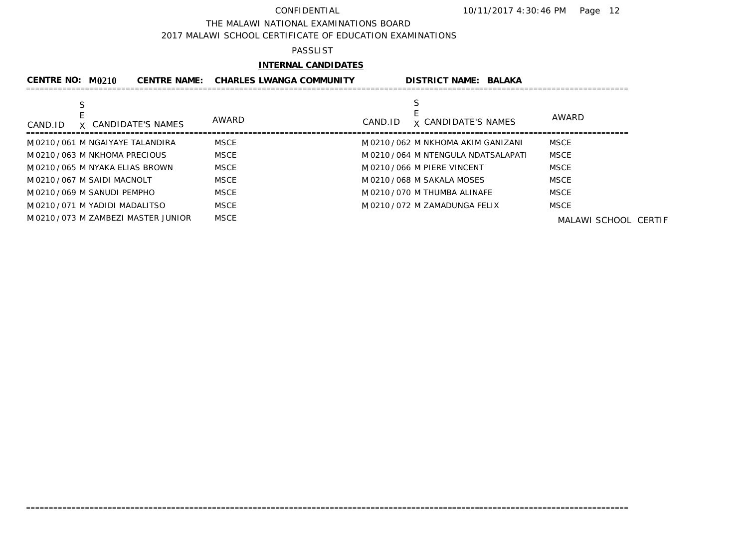### THE MALAWI NATIONAL EXAMINATIONS BOARD

2017 MALAWI SCHOOL CERTIFICATE OF EDUCATION EXAMINATIONS

### PASSLIST

# **INTERNAL CANDIDATES**

| CENTRE NO: M0210                  | <b>CENTRE NAME:</b> | <b>CHARLES LWANGA COMMUNITY</b> |         | <b>DISTRICT NAME: BALAKA</b>         |                      |
|-----------------------------------|---------------------|---------------------------------|---------|--------------------------------------|----------------------|
|                                   |                     |                                 |         |                                      |                      |
| X CANDIDATE'S NAMES<br>CAND.ID    |                     | AWARD                           | CAND.ID | <b>x CANDIDATE'S NAMES</b>           | AWARD                |
| M0210/061 M NGAIYAYE TALANDIRA    | MSCE                |                                 |         | M0210/062 M NKHOMA AKIM GANIZANI     | <b>MSCE</b>          |
| M0210/063 M NKHOMA PRECIOUS       | <b>MSCE</b>         |                                 |         | M 0210 / 064 M NTENGULA NDATSALAPATI | <b>MSCE</b>          |
| M0210/065 M NYAKA ELIAS BROWN     | <b>MSCE</b>         |                                 |         | M0210/066 M PIERE VINCENT            | <b>MSCE</b>          |
| M0210/067 M SAIDI MACNOLT         | MSCE                |                                 |         | M 0210 / 068 M SAKALA MOSES          | <b>MSCE</b>          |
| M 0210 / 069 M SANUDI PEMPHO      | <b>MSCE</b>         |                                 |         | M 0210 / 070 M THUMBA ALINAFE        | <b>MSCE</b>          |
| M 0210 / 071 M YADIDI MADALITSO   | <b>MSCE</b>         |                                 |         | M 0210 / 072 M ZAMADUNGA FELIX       | <b>MSCE</b>          |
| M0210/073 M ZAMBEZI MASTER JUNIOR | MSCE                |                                 |         |                                      | MALAWI SCHOOL CERTIF |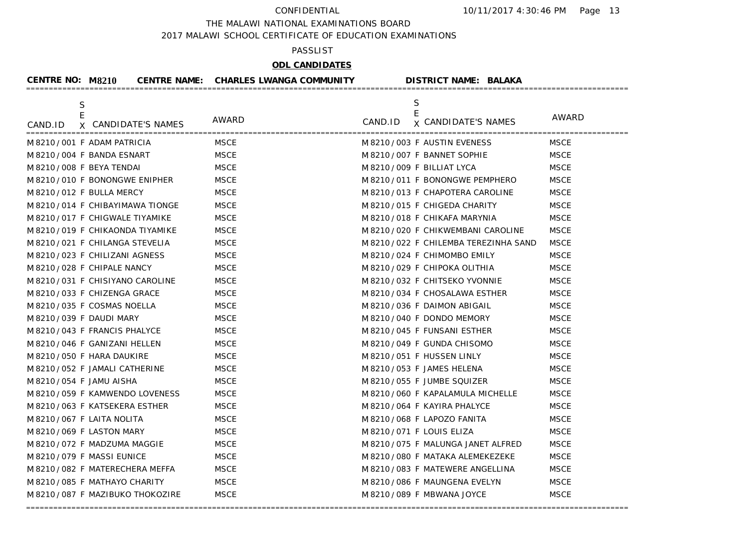THE MALAWI NATIONAL EXAMINATIONS BOARD

2017 MALAWI SCHOOL CERTIFICATE OF EDUCATION EXAMINATIONS

## PASSLIST

# **ODL CANDIDATES**

| <b>CENTRE NO: M8210</b>         |                                 | <b>CENTRE NAME: CHARLES LWANGA COMMUNITY</b> | <b>DISTRICT NAME: BALAKA</b>         |              |
|---------------------------------|---------------------------------|----------------------------------------------|--------------------------------------|--------------|
| $\frac{\mathsf{S}}{\mathsf{E}}$ |                                 |                                              | S<br>E                               |              |
| CAND.ID                         | X CANDIDATE'S NAMES             | AWARD                                        | CAND.ID <b>x</b> CANDIDATE'S NAMES   | <b>AWARD</b> |
|                                 | M8210/001 F ADAM PATRICIA       | <b>MSCE</b>                                  | M8210/003 F AUSTIN EVENESS           | <b>MSCE</b>  |
|                                 | M 8210/004 F BANDA ESNART       | <b>MSCE</b>                                  | M 8210 / 007 F BANNET SOPHIE         | <b>MSCE</b>  |
| M 8210/008 F BEYA TENDAI        |                                 | <b>MSCE</b>                                  | M 8210/009 F BILLIAT LYCA            | <b>MSCE</b>  |
|                                 | M8210/010 F BONONGWE ENIPHER    | <b>MSCE</b>                                  | M 8210 / 011 F BONONGWE PEMPHERO     | <b>MSCE</b>  |
|                                 | M8210/012 F BULLA MERCY         | <b>MSCE</b>                                  | M 8210/013 F CHAPOTERA CAROLINE      | <b>MSCE</b>  |
|                                 | M 8210/014 F CHIBAYIMAWA TIONGE | <b>MSCE</b>                                  | M 8210/015 F CHIGEDA CHARITY         | <b>MSCE</b>  |
|                                 | M 8210/017 F CHIGWALE TIYAMIKE  | <b>MSCE</b>                                  | M 8210/018 F CHIKAFA MARYNIA         | <b>MSCE</b>  |
|                                 | M 8210/019 F CHIKAONDA TIYAMIKE | <b>MSCE</b>                                  | M 8210/020 F CHIKWEMBANI CAROLINE    | <b>MSCE</b>  |
|                                 | M 8210/021 F CHILANGA STEVELIA  | <b>MSCE</b>                                  | M 8210/022 F CHILEMBA TEREZINHA SAND | <b>MSCE</b>  |
|                                 | M 8210/023 F CHILIZANI AGNESS   | <b>MSCE</b>                                  | M 8210/024 F CHIMOMBO EMILY          | <b>MSCE</b>  |
|                                 | M 8210/028 F CHIPALE NANCY      | <b>MSCE</b>                                  | M 8210/029 F CHIPOKA OLITHIA         | <b>MSCE</b>  |
|                                 | M8210/031 F CHISIYANO CAROLINE  | <b>MSCE</b>                                  | M 8210/032 F CHITSEKO YVONNIE        | <b>MSCE</b>  |
|                                 | M 8210/033 F CHIZENGA GRACE     | <b>MSCE</b>                                  | M 8210/034 F CHOSALAWA ESTHER        | <b>MSCE</b>  |
|                                 | M 8210/035 F COSMAS NOELLA      | <b>MSCE</b>                                  | M 8210/036 F DAIMON ABIGAIL          | <b>MSCE</b>  |
| M 8210 / 039 F DAUDI MARY       |                                 | <b>MSCE</b>                                  | M 8210/040 F DONDO MEMORY            | <b>MSCE</b>  |
|                                 | M 8210/043 F FRANCIS PHALYCE    | <b>MSCE</b>                                  | M 8210/045 F FUNSANI ESTHER          | <b>MSCE</b>  |
|                                 | M 8210/046 F GANIZANI HELLEN    | <b>MSCE</b>                                  | M 8210/049 F GUNDA CHISOMO           | <b>MSCE</b>  |
|                                 | M 8210/050 F HARA DAUKIRE       | <b>MSCE</b>                                  | M 8210/051 F HUSSEN LINLY            | <b>MSCE</b>  |
|                                 | M 8210/052 F JAMALI CATHERINE   | <b>MSCE</b>                                  | M 8210/053 F JAMES HELENA            | <b>MSCE</b>  |
| M 8210/054 F JAMU AISHA         |                                 | <b>MSCE</b>                                  | M 8210/055 F JUMBE SQUIZER           | <b>MSCE</b>  |
|                                 | M8210/059 F KAMWENDO LOVENESS   | <b>MSCE</b>                                  | M 8210/060 F KAPALAMULA MICHELLE     | <b>MSCE</b>  |
|                                 | M 8210/063 F KATSEKERA ESTHER   | <b>MSCE</b>                                  | M 8210/064 F KAYIRA PHALYCE          | <b>MSCE</b>  |
|                                 | M8210/067 F LAITA NOLITA        | <b>MSCE</b>                                  | M 8210/068 F LAPOZO FANITA           | <b>MSCE</b>  |
|                                 | M 8210/069 F LASTON MARY        | <b>MSCE</b>                                  | M 8210/071 F LOUIS ELIZA             | <b>MSCE</b>  |
|                                 | M8210/072 F MADZUMA MAGGIE      | <b>MSCE</b>                                  | M 8210/075 F MALUNGA JANET ALFRED    | <b>MSCE</b>  |
|                                 | M8210/079 F MASSI EUNICE        | <b>MSCE</b>                                  | M 8210/080 F MATAKA ALEMEKEZEKE      | <b>MSCE</b>  |
|                                 | M 8210/082 F MATERECHERA MEFFA  | <b>MSCE</b>                                  | M 8210/083 F MATEWERE ANGELLINA      | <b>MSCE</b>  |
|                                 | M 8210/085 F MATHAYO CHARITY    | <b>MSCE</b>                                  | M 8210/086 F MAUNGENA EVELYN         | <b>MSCE</b>  |
|                                 | M8210/087 F MAZIBUKO THOKOZIRE  | <b>MSCE</b>                                  | M 8210/089 F MBWANA JOYCE            | <b>MSCE</b>  |
|                                 |                                 |                                              |                                      |              |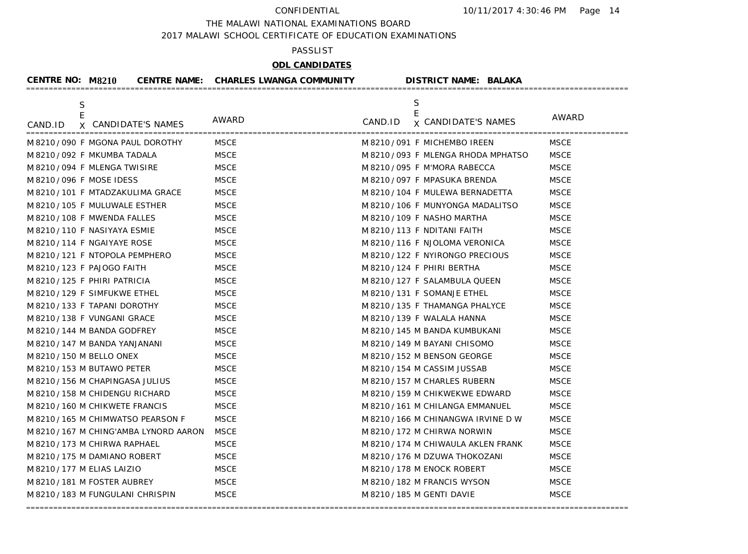THE MALAWI NATIONAL EXAMINATIONS BOARD

2017 MALAWI SCHOOL CERTIFICATE OF EDUCATION EXAMINATIONS

### PASSLIST

# **ODL CANDIDATES**

| <b>CENTRE NO: M8210</b>     |                                      | <b>CENTRE NAME: CHARLES LWANGA COMMUNITY</b> | <b>DISTRICT NAME: BALAKA</b>        |             |
|-----------------------------|--------------------------------------|----------------------------------------------|-------------------------------------|-------------|
| S                           |                                      |                                              | S<br>E                              |             |
| E<br>CAND.ID                | X CANDIDATE'S NAMES<br>============= | AWARD<br>=================================   | CAND.ID <b>x</b> CANDIDATE'S NAMES  | AWARD       |
|                             | M 8210/090 F MGONA PAUL DOROTHY      | MSCE                                         | M8210/091 F MICHEMBO IREEN          | <b>MSCE</b> |
|                             | M 8210 / 092 F MKUMBA TADALA         | <b>MSCE</b>                                  | M 8210/093 F MLENGA RHODA MPHATSO   | <b>MSCE</b> |
|                             | M8210/094 F MLENGA TWISIRE           | <b>MSCE</b>                                  | M 8210/095 F M'MORA RABECCA         | <b>MSCE</b> |
| M 8210/096 F MOSE IDESS     |                                      | <b>MSCE</b>                                  | M 8210/097 F MPASUKA BRENDA         | <b>MSCE</b> |
|                             | M 8210 / 101 F MTADZAKULIMA GRACE    | <b>MSCE</b>                                  | M 8210 / 104 F MULEWA BERNADETTA    | <b>MSCE</b> |
|                             | M 8210/105 F MULUWALE ESTHER         | <b>MSCE</b>                                  | M 8210/106 F MUNYONGA MADALITSO     | <b>MSCE</b> |
|                             | M 8210 / 108 F MWENDA FALLES         | <b>MSCE</b>                                  | M 8210 / 109 F NASHO MARTHA         | <b>MSCE</b> |
|                             | M8210/110 F NASIYAYA ESMIE           | <b>MSCE</b>                                  | M8210/113 F NDITANI FAITH           | <b>MSCE</b> |
|                             | M8210/114 F NGAIYAYE ROSE            | <b>MSCE</b>                                  | M 8210/116 F NJOLOMA VERONICA       | <b>MSCE</b> |
|                             | M 8210/121 F NTOPOLA PEMPHERO        | <b>MSCE</b>                                  | M 8210/122 F NYIRONGO PRECIOUS      | <b>MSCE</b> |
|                             | M 8210 / 123 F PAJOGO FAITH          | <b>MSCE</b>                                  | M8210/124 F PHIRI BERTHA            | <b>MSCE</b> |
|                             | M8210/125 F PHIRI PATRICIA           | <b>MSCE</b>                                  | M 8210/127 F SALAMBULA QUEEN        | <b>MSCE</b> |
|                             | M 8210/129 F SIMFUKWE ETHEL          | <b>MSCE</b>                                  | M 8210 / 131 F SOMANJE ETHEL        | <b>MSCE</b> |
|                             | M8210/133 F TAPANI DOROTHY           | <b>MSCE</b>                                  | M 8210/135 F THAMANGA PHALYCE       | <b>MSCE</b> |
|                             | M 8210 / 138 F VUNGANI GRACE         | <b>MSCE</b>                                  | M 8210 / 139 F WALALA HANNA         | <b>MSCE</b> |
|                             | M 8210 / 144 M BANDA GODFREY         | <b>MSCE</b>                                  | M 8210 / 145 M BANDA KUMBUKANI      | <b>MSCE</b> |
|                             | M 8210 / 147 M BANDA YANJANANI       | <b>MSCE</b>                                  | M 8210 / 149 M BAYANI CHISOMO       | <b>MSCE</b> |
| M 8210 / 150 M BELLO ONEX   |                                      | <b>MSCE</b>                                  | M 8210 / 152 M BENSON GEORGE        | <b>MSCE</b> |
|                             | M 8210 / 153 M BUTAWO PETER          | <b>MSCE</b>                                  | M 8210 / 154 M CASSIM JUSSAB        | <b>MSCE</b> |
|                             | M 8210/156 M CHAPINGASA JULIUS       | <b>MSCE</b>                                  | M 8210 / 157 M CHARLES RUBERN       | <b>MSCE</b> |
|                             | M8210/158 M CHIDENGU RICHARD         | <b>MSCE</b>                                  | M 8210 / 159 M CHIKWEKWE EDWARD     | <b>MSCE</b> |
|                             | M8210/160 M CHIKWETE FRANCIS         | <b>MSCE</b>                                  | M 8210 / 161 M CHILANGA EMMANUEL    | <b>MSCE</b> |
|                             | M 8210 / 165 M CHIMWATSO PEARSON F   | <b>MSCE</b>                                  | M 8210/166 M CHINANGWA IRVINE D W   | <b>MSCE</b> |
|                             | M8210/167 M CHING'AMBA LYNORD AARON  | <b>MSCE</b>                                  | M 8210/172 M CHIRWA NORWIN          | <b>MSCE</b> |
|                             | M 8210 / 173 M CHIRWA RAPHAEL        | <b>MSCE</b>                                  | M 8210 / 174 M CHIWAULA AKLEN FRANK | <b>MSCE</b> |
|                             | M 8210 / 175 M DAMIANO ROBERT        | <b>MSCE</b>                                  | M 8210 / 176 M DZUWA THOKOZANI      | <b>MSCE</b> |
| M 8210 / 177 M ELIAS LAIZIO |                                      | <b>MSCE</b>                                  | M 8210 / 178 M ENOCK ROBERT         | <b>MSCE</b> |
|                             | M8210/181 M FOSTER AUBREY            | <b>MSCE</b>                                  | M 8210 / 182 M FRANCIS WYSON        | <b>MSCE</b> |
|                             | M 8210 / 183 M FUNGULANI CHRISPIN    | <b>MSCE</b>                                  | M 8210 / 185 M GENTI DAVIE          | <b>MSCE</b> |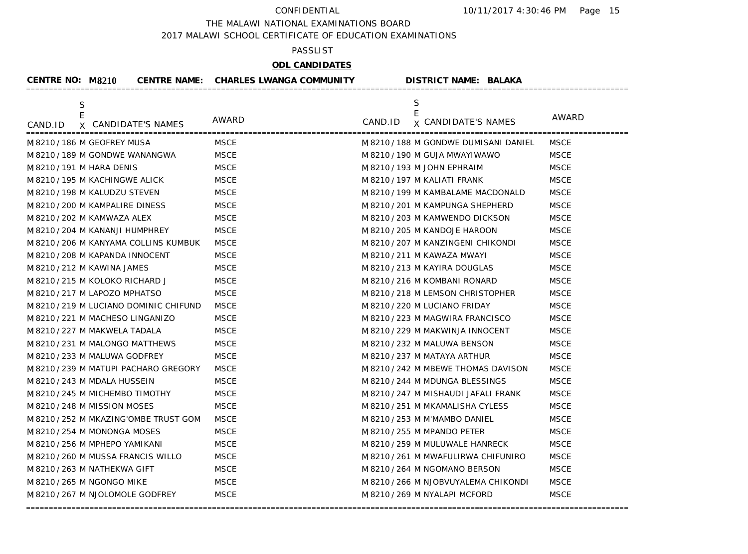THE MALAWI NATIONAL EXAMINATIONS BOARD

2017 MALAWI SCHOOL CERTIFICATE OF EDUCATION EXAMINATIONS

### PASSLIST

# **ODL CANDIDATES**

| <b>CENTRE NO: M8210</b>               |                     | <b>CENTRE NAME: CHARLES LWANGA COMMUNITY</b> |         | <b>DISTRICT NAME: BALAKA</b>         |             |
|---------------------------------------|---------------------|----------------------------------------------|---------|--------------------------------------|-------------|
| S<br>E<br>CAND.ID                     | X CANDIDATE'S NAMES | AWARD                                        | CAND.ID | S<br>E<br><b>x CANDIDATE'S NAMES</b> | AWARD       |
| M8210/186 M GEOFREY MUSA              |                     | <b>MSCE</b>                                  |         | M 8210/188 M GONDWE DUMISANI DANIEL  | <b>MSCE</b> |
| M 8210 / 189 M GONDWE WANANGWA        |                     | <b>MSCE</b>                                  |         | M 8210 / 190 M GUJA MWAYIWAWO        | <b>MSCE</b> |
| M 8210 / 191 M HARA DENIS             |                     | <b>MSCE</b>                                  |         | M 8210 / 193 M JOHN EPHRAIM          | <b>MSCE</b> |
| M8210/195 M KACHINGWE ALICK           |                     | <b>MSCE</b>                                  |         | M 8210 / 197 M KALIATI FRANK         | <b>MSCE</b> |
| M 8210 / 198 M KALUDZU STEVEN         |                     | <b>MSCE</b>                                  |         | M 8210 / 199 M KAMBALAME MACDONALD   | <b>MSCE</b> |
| M 8210 / 200 M KAMPALIRE DINESS       |                     | <b>MSCE</b>                                  |         | M 8210 / 201 M KAMPUNGA SHEPHERD     | <b>MSCE</b> |
| M 8210 / 202 M KAMWAZA ALEX           |                     | <b>MSCE</b>                                  |         | M 8210 / 203 M KAMWENDO DICKSON      | <b>MSCE</b> |
| M 8210 / 204 M KANANJI HUMPHREY       |                     | <b>MSCE</b>                                  |         | M 8210 / 205 M KANDOJE HAROON        | <b>MSCE</b> |
| M 8210 / 206 M KANYAMA COLLINS KUMBUK |                     | <b>MSCE</b>                                  |         | M 8210 / 207 M KANZINGENI CHIKONDI   | <b>MSCE</b> |
| M 8210 / 208 M KAPANDA INNOCENT       |                     | <b>MSCE</b>                                  |         | M 8210 / 211 M KAWAZA MWAYI          | <b>MSCE</b> |
| M 8210 / 212 M KAWINA JAMES           |                     | <b>MSCE</b>                                  |         | M 8210 / 213 M KAYIRA DOUGLAS        | <b>MSCE</b> |
| M 8210 / 215 M KOLOKO RICHARD J       |                     | <b>MSCE</b>                                  |         | M 8210 / 216 M KOMBANI RONARD        | <b>MSCE</b> |
| M 8210 / 217 M LAPOZO MPHATSO         |                     | <b>MSCE</b>                                  |         | M 8210 / 218 M LEMSON CHRISTOPHER    | <b>MSCE</b> |
| M8210/219 M LUCIANO DOMINIC CHIFUND   |                     | <b>MSCE</b>                                  |         | M 8210 / 220 M LUCIANO FRIDAY        | <b>MSCE</b> |
| M 8210 / 221 M MACHESO LINGANIZO      |                     | <b>MSCE</b>                                  |         | M 8210 / 223 M MAGWIRA FRANCISCO     | <b>MSCE</b> |
| M 8210 / 227 M MAKWELA TADALA         |                     | <b>MSCE</b>                                  |         | M 8210 / 229 M MAKWINJA INNOCENT     | <b>MSCE</b> |
| M 8210 / 231 M MALONGO MATTHEWS       |                     | <b>MSCE</b>                                  |         | M 8210 / 232 M MALUWA BENSON         | <b>MSCE</b> |
| M 8210 / 233 M MALUWA GODFREY         |                     | <b>MSCE</b>                                  |         | M 8210 / 237 M MATAYA ARTHUR         | <b>MSCE</b> |
| M 8210 / 239 M MATUPI PACHARO GREGORY |                     | <b>MSCE</b>                                  |         | M 8210 / 242 M MBEWE THOMAS DAVISON  | <b>MSCE</b> |
| M 8210 / 243 M MDALA HUSSEIN          |                     | <b>MSCE</b>                                  |         | M 8210 / 244 M MDUNGA BLESSINGS      | <b>MSCE</b> |
| M 8210 / 245 M MICHEMBO TIMOTHY       |                     | <b>MSCE</b>                                  |         | M 8210 / 247 M MISHAUDI JAFALI FRANK | <b>MSCE</b> |
| M8210/248 M MISSION MOSES             |                     | <b>MSCE</b>                                  |         | M 8210 / 251 M MKAMALISHA CYLESS     | <b>MSCE</b> |
| M 8210 / 252 M MKAZING'OMBE TRUST GOM |                     | <b>MSCE</b>                                  |         | M 8210 / 253 M M'MAMBO DANIEL        | <b>MSCE</b> |
| M 8210 / 254 M MONONGA MOSES          |                     | <b>MSCE</b>                                  |         | M 8210 / 255 M MPANDO PETER          | <b>MSCE</b> |
| M 8210 / 256 M MPHEPO YAMIKANI        |                     | <b>MSCE</b>                                  |         | M 8210 / 259 M MULUWALE HANRECK      | <b>MSCE</b> |
| M8210/260 M MUSSA FRANCIS WILLO       |                     | <b>MSCE</b>                                  |         | M 8210 / 261 M MWAFULIRWA CHIFUNIRO  | <b>MSCE</b> |
| M 8210 / 263 M NATHEKWA GIFT          |                     | <b>MSCE</b>                                  |         | M 8210 / 264 M NGOMANO BERSON        | <b>MSCE</b> |
| M 8210 / 265 M NGONGO MIKE            |                     | <b>MSCE</b>                                  |         | M 8210 / 266 M NJOBVUYALEMA CHIKONDI | <b>MSCE</b> |
| M 8210 / 267 M NJOLOMOLE GODFREY      |                     | <b>MSCE</b>                                  |         | M 8210 / 269 M NYALAPI MCFORD        | <b>MSCE</b> |
|                                       |                     |                                              |         |                                      |             |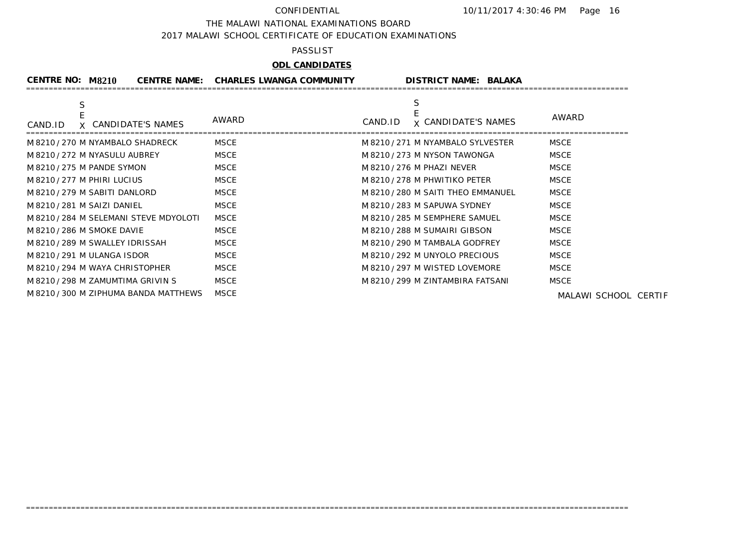THE MALAWI NATIONAL EXAMINATIONS BOARD

2017 MALAWI SCHOOL CERTIFICATE OF EDUCATION EXAMINATIONS

### PASSLIST

# **ODL CANDIDATES**

| CENTRE NO: M8210                       | <b>CENTRE NAME: CHARLES LWANGA COMMUNITY</b> | <b>DISTRICT NAME: BALAKA</b>               |                      |
|----------------------------------------|----------------------------------------------|--------------------------------------------|----------------------|
| S<br>X CANDIDATE'S NAMES<br>CAND.ID    | AWARD                                        | S<br><b>x CANDIDATE'S NAMES</b><br>CAND.ID | AWARD                |
| M 8210 / 270 M NYAMBALO SHADRECK       | <b>MSCE</b>                                  | M 8210/271 M NYAMBALO SYLVESTER            | <b>MSCE</b>          |
| M 8210 / 272 M NYASULU AUBREY          | <b>MSCE</b>                                  | M 8210 / 273 M NYSON TAWONGA               | <b>MSCE</b>          |
| M 8210 / 275 M PANDE SYMON             | <b>MSCE</b>                                  | M 8210 / 276 M PHAZI NEVER                 | <b>MSCE</b>          |
| M8210/277 M PHIRI LUCIUS               | <b>MSCE</b>                                  | M 8210 / 278 M PHWITIKO PETER              | <b>MSCE</b>          |
| M 8210 / 279 M SABITI DANLORD          | <b>MSCE</b>                                  | M 8210 / 280 M SAITI THEO EMMANUEL         | <b>MSCE</b>          |
| M 8210/281 M SAIZI DANIEL              | <b>MSCE</b>                                  | M 8210 / 283 M SAPUWA SYDNEY               | <b>MSCE</b>          |
| M 8210 / 284 M SELEMANI STEVE MDYOLOTI | <b>MSCE</b>                                  | M 8210 / 285 M SEMPHERE SAMUEL             | <b>MSCE</b>          |
| M 8210 / 286 M SMOKE DAVIE             | <b>MSCE</b>                                  | M 8210 / 288 M SUMAIRI GIBSON              | <b>MSCE</b>          |
| M 8210 / 289 M SWALLEY IDRISSAH        | <b>MSCE</b>                                  | M 8210 / 290 M TAMBALA GODFREY             | <b>MSCE</b>          |
| M 8210 / 291 M ULANGA ISDOR            | <b>MSCE</b>                                  | M 8210 / 292 M UNYOLO PRECIOUS             | <b>MSCE</b>          |
| M 8210/294 M WAYA CHRISTOPHER          | <b>MSCE</b>                                  | M 8210 / 297 M WISTED LOVEMORE             | <b>MSCE</b>          |
| M 8210 / 298 M ZAMUMTIMA GRIVIN S      | <b>MSCE</b>                                  | M 8210 / 299 M ZINTAMBIRA FATSANI          | <b>MSCE</b>          |
| M 8210 / 300 M ZIPHUMA BANDA MATTHEWS  | <b>MSCE</b>                                  |                                            | MALAWI SCHOOL CERTIF |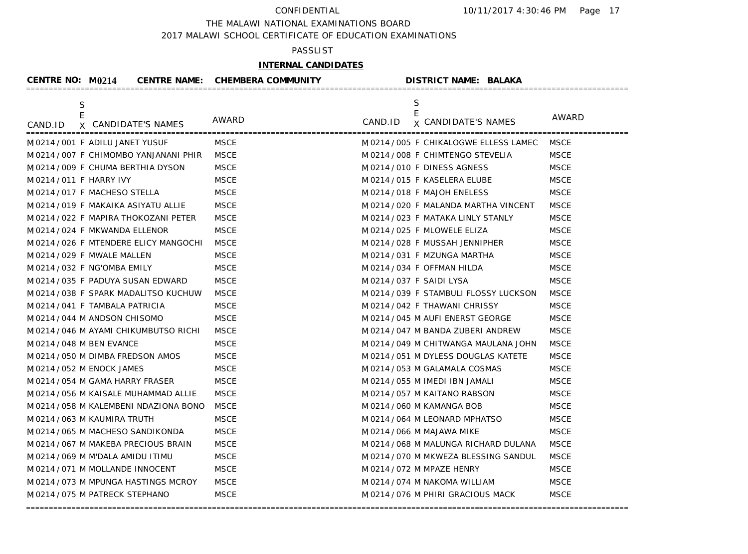THE MALAWI NATIONAL EXAMINATIONS BOARD

2017 MALAWI SCHOOL CERTIFICATE OF EDUCATION EXAMINATIONS

## PASSLIST

# **INTERNAL CANDIDATES**

| <b>CENTRE NO: M0214</b>             |                     | CENTRE NAME: CHEMBERA COMMUNITY | <b>DISTRICT NAME: BALAKA</b>          |              |
|-------------------------------------|---------------------|---------------------------------|---------------------------------------|--------------|
| $\mathsf S$<br>E                    |                     |                                 | S<br>$\mathsf E$                      |              |
| CAND.ID                             | X CANDIDATE'S NAMES | AWARD                           | <b>x</b> CANDIDATE'S NAMES<br>CAND.ID | <b>AWARD</b> |
| M0214/001 F ADILU JANET YUSUF       |                     | MSCE                            | M0214/005 F CHIKALOGWE ELLESS LAMEC   | MSCE         |
| M0214/007 F CHIMOMBO YANJANANI PHIR |                     | <b>MSCE</b>                     | M0214/008 F CHIMTENGO STEVELIA        | <b>MSCE</b>  |
| M 0214 / 009 F CHUMA BERTHIA DYSON  |                     | <b>MSCE</b>                     | M0214/010 F DINESS AGNESS             | <b>MSCE</b>  |
| M 0214 / 011 F HARRY IVY            |                     | <b>MSCE</b>                     | M 0214 / 015 F KASELERA ELUBE         | <b>MSCE</b>  |
| M 0214 / 017 F MACHESO STELLA       |                     | <b>MSCE</b>                     | M 0214 / 018 F MAJOH ENELESS          | <b>MSCE</b>  |
| M0214/019 F MAKAIKA ASIYATU ALLIE   |                     | <b>MSCE</b>                     | M 0214 / 020 F MALANDA MARTHA VINCENT | <b>MSCE</b>  |
| M0214/022 F MAPIRA THOKOZANI PETER  |                     | <b>MSCE</b>                     | M0214/023 F MATAKA LINLY STANLY       | <b>MSCE</b>  |
| M 0214 / 024 F MKWANDA ELLENOR      |                     | <b>MSCE</b>                     | M 0214 / 025 F MLOWELE ELIZA          | <b>MSCE</b>  |
| M0214/026 F MTENDERE ELICY MANGOCHI |                     | <b>MSCE</b>                     | M0214/028 F MUSSAH JENNIPHER          | <b>MSCE</b>  |
| M 0214 / 029 F MWALE MALLEN         |                     | <b>MSCE</b>                     | M 0214 / 031 F MZUNGA MARTHA          | <b>MSCE</b>  |
| M0214/032 F NG'OMBA EMILY           |                     | <b>MSCE</b>                     | M 0214 / 034 F OFFMAN HILDA           | <b>MSCE</b>  |
| M 0214 / 035 F PADUYA SUSAN EDWARD  |                     | <b>MSCE</b>                     | M 0214 / 037 F SAIDI LYSA             | <b>MSCE</b>  |
| M0214/038 F SPARK MADALITSO KUCHUW  |                     | <b>MSCE</b>                     | M0214/039 F STAMBULI FLOSSY LUCKSON   | <b>MSCE</b>  |
| M0214/041 F TAMBALA PATRICIA        |                     | <b>MSCE</b>                     | M0214/042 F THAWANI CHRISSY           | <b>MSCE</b>  |
| M0214/044 M ANDSON CHISOMO          |                     | <b>MSCE</b>                     | M 0214 / 045 M AUFI ENERST GEORGE     | <b>MSCE</b>  |
| M0214/046 M AYAMI CHIKUMBUTSO RICHI |                     | <b>MSCE</b>                     | M 0214 / 047 M BANDA ZUBERI ANDREW    | <b>MSCE</b>  |
| M 0214 / 048 M BEN EVANCE           |                     | <b>MSCE</b>                     | M 0214 / 049 M CHITWANGA MAULANA JOHN | <b>MSCE</b>  |
| M 0214 / 050 M DIMBA FREDSON AMOS   |                     | <b>MSCE</b>                     | M 0214 / 051 M DYLESS DOUGLAS KATETE  | <b>MSCE</b>  |
| M0214/052 M ENOCK JAMES             |                     | <b>MSCE</b>                     | M 0214 / 053 M GALAMALA COSMAS        | <b>MSCE</b>  |
| M 0214 / 054 M GAMA HARRY FRASER    |                     | <b>MSCE</b>                     | M 0214 / 055 M IMEDI IBN JAMALI       | <b>MSCE</b>  |
| M0214/056 M KAISALE MUHAMMAD ALLIE  |                     | <b>MSCE</b>                     | M 0214 / 057 M KAITANO RABSON         | <b>MSCE</b>  |
| M0214/058 M KALEMBENI NDAZIONA BONO |                     | <b>MSCE</b>                     | M 0214 / 060 M KAMANGA BOB            | <b>MSCE</b>  |
| M0214/063 M KAUMIRA TRUTH           |                     | <b>MSCE</b>                     | M 0214 / 064 M LEONARD MPHATSO        | <b>MSCE</b>  |
| M0214/065 M MACHESO SANDIKONDA      |                     | <b>MSCE</b>                     | M 0214 / 066 M MAJAWA MIKE            | <b>MSCE</b>  |
| M0214/067 M MAKEBA PRECIOUS BRAIN   |                     | <b>MSCE</b>                     | M 0214 / 068 M MALUNGA RICHARD DULANA | <b>MSCE</b>  |
| M0214/069 M M'DALA AMIDU ITIMU      |                     | <b>MSCE</b>                     | M0214/070 M MKWEZA BLESSING SANDUL    | <b>MSCE</b>  |
| M0214/071 M MOLLANDE INNOCENT       |                     | <b>MSCE</b>                     | M 0214 / 072 M MPAZE HENRY            | <b>MSCE</b>  |
| M0214/073 M MPUNGA HASTINGS MCROY   |                     | <b>MSCE</b>                     | M0214/074 M NAKOMA WILLIAM            | <b>MSCE</b>  |
| M0214/075 M PATRECK STEPHANO        |                     | <b>MSCE</b>                     | M 0214 / 076 M PHIRI GRACIOUS MACK    | <b>MSCE</b>  |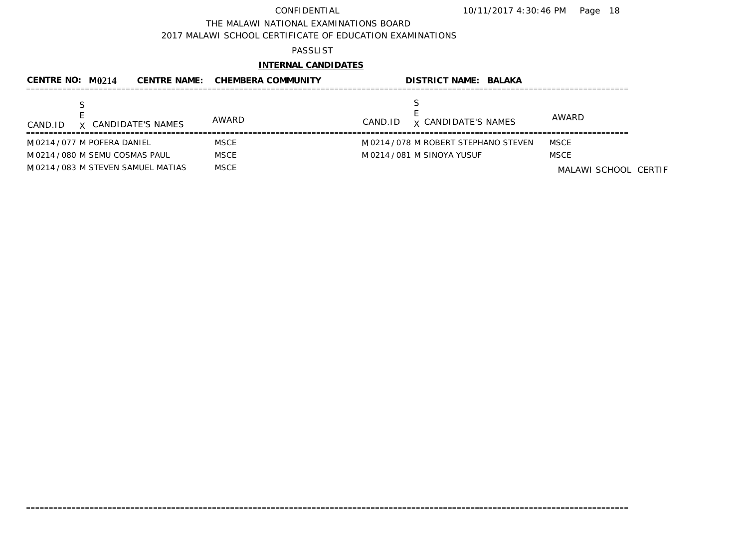THE MALAWI NATIONAL EXAMINATIONS BOARD

2017 MALAWI SCHOOL CERTIFICATE OF EDUCATION EXAMINATIONS

## PASSLIST

# **INTERNAL CANDIDATES**

| CENTRE NO: $M$ 0214                 |                     | <b>CENTRE NAME: CHEMBERA COMMUNITY</b> | <b>DISTRICT NAME: BALAKA</b>          |                      |
|-------------------------------------|---------------------|----------------------------------------|---------------------------------------|----------------------|
| CAND.ID                             | X CANDIDATE'S NAMES | AWARD                                  | <b>x CANDIDATE'S NAMES</b><br>CAND.ID | AWARD                |
| M 0214 / 077 M POFERA DANIEL        |                     | <b>MSCE</b>                            | M 0214 / 078 M ROBERT STEPHANO STEVEN | MSCE                 |
| M 0214 / 080 M SEMU COSMAS PAUL     |                     | <b>MSCE</b>                            | M 0214 / 081 M SINOYA YUSUF           | <b>MSCE</b>          |
| M 0214 / 083 M STEVEN SAMUEL MATIAS |                     | <b>MSCE</b>                            |                                       | MALAWI SCHOOL CERTIF |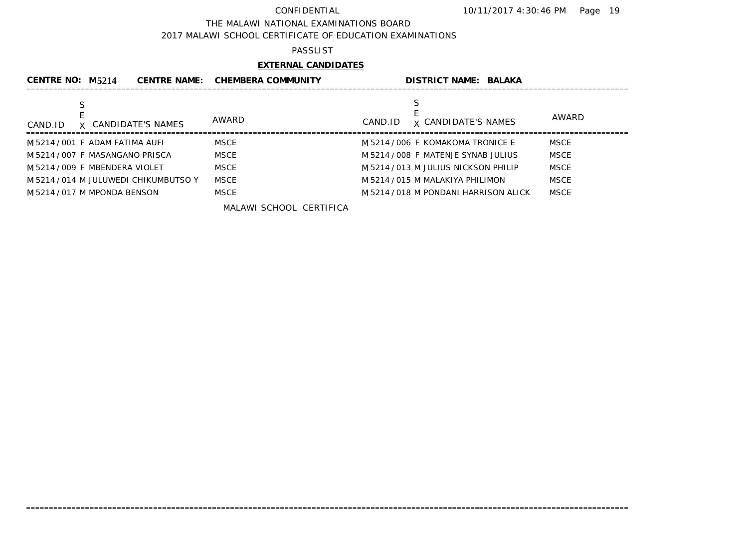### THE MALAWI NATIONAL EXAMINATIONS BOARD

2017 MALAWI SCHOOL CERTIFICATE OF EDUCATION EXAMINATIONS

## PASSLIST

## **EXTERNAL CANDIDATES**

| CENTRE NO: M5214<br><b>CENTRE NAME:</b> | <b>CHEMBERA COMMUNITY</b> | <b>DISTRICT NAME: BALAKA</b>          |              |
|-----------------------------------------|---------------------------|---------------------------------------|--------------|
| X CANDIDATE'S NAMES<br>CAND.ID          | AWARD                     | <b>x CANDIDATE'S NAMES</b><br>CAND.ID | <b>AWARD</b> |
| M5214/001 F ADAM FATIMA AUFI            | <b>MSCE</b>               | M 5214 / 006 F KOMAKOMA TRONICE E     | <b>MSCE</b>  |
| M 5214 / 007 F MASANGANO PRISCA         | <b>MSCE</b>               | M 5214 / 008 F MATENJE SYNAB JULIUS   | <b>MSCE</b>  |
| M5214/009 F MBENDERA VIOLET             | <b>MSCE</b>               | M5214/013 M JULIUS NICKSON PHILIP     | <b>MSCE</b>  |
| M5214/014 M JULUWEDI CHIKUMBUTSO Y      | <b>MSCE</b>               | M 5214 / 015 M MALAKIYA PHILIMON      | <b>MSCE</b>  |
| M 5214 / 017 M MPONDA BENSON            | <b>MSCE</b>               | M 5214 / 018 M PONDANI HARRISON ALICK | <b>MSCE</b>  |

=====================================================================================================================================

MALAWI SCHOOL CERTIFICA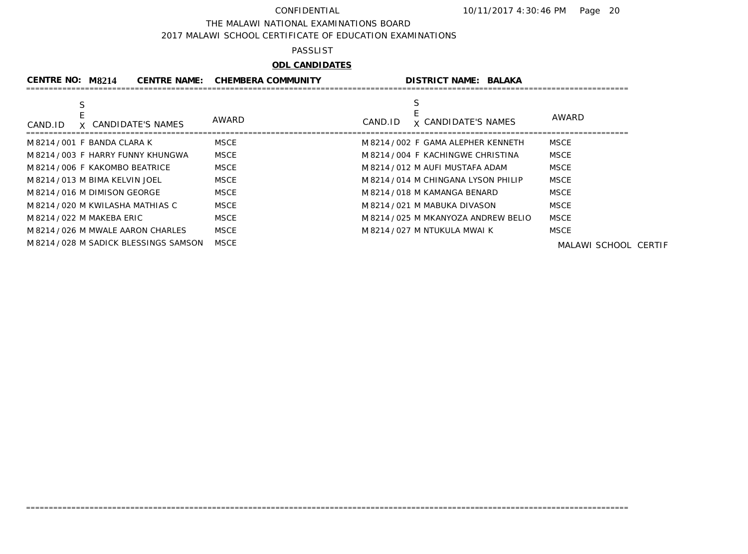THE MALAWI NATIONAL EXAMINATIONS BOARD

2017 MALAWI SCHOOL CERTIFICATE OF EDUCATION EXAMINATIONS

### PASSLIST

# **ODL CANDIDATES**

| <b>CENTRE NO: M8214</b>             | <b>CENTRE NAME:</b> | <b>CHEMBERA COMMUNITY</b> |         | <b>DISTRICT NAME: BALAKA</b>         |                      |
|-------------------------------------|---------------------|---------------------------|---------|--------------------------------------|----------------------|
|                                     |                     |                           |         |                                      |                      |
| X CANDIDATE'S NAMES<br>CAND.ID      |                     | AWARD                     | CAND.ID | <b>x CANDIDATE'S NAMES</b>           | AWARD                |
| M 8214 / 001 F BANDA CLARA K        |                     | MSCE                      |         | M 8214 / 002 F GAMA ALEPHER KENNETH  | <b>MSCE</b>          |
| M 8214 / 003 F HARRY FUNNY KHUNGWA  |                     | <b>MSCE</b>               |         | M8214/004 F KACHINGWE CHRISTINA      | <b>MSCE</b>          |
| M8214/006 F KAKOMBO BEATRICE        |                     | <b>MSCE</b>               |         | M 8214 / 012 M AUFI MUSTAFA ADAM     | MSCE                 |
| M 8214 / 013 M BIMA KELVIN JOEL     |                     | <b>MSCE</b>               |         | M 8214/014 M CHINGANA LYSON PHILIP   | <b>MSCE</b>          |
| M 8214 / 016 M DIMISON GEORGE       |                     | MSCE                      |         | M 8214 / 018 M KAMANGA BENARD        | <b>MSCE</b>          |
| M 8214 / 020 M KWILASHA MATHIAS C   |                     | <b>MSCE</b>               |         | M 8214 / 021 M MABUKA DIVASON        | <b>MSCE</b>          |
| M 8214 / 022 M MAKEBA ERIC          |                     | MSCE                      |         | M 8214 / 025 M MKANYOZA ANDREW BELIO | <b>MSCE</b>          |
| M 8214 / 026 M MWALE AARON CHARLES  |                     | <b>MSCE</b>               |         | M 8214 / 027 M NTUKULA MWAI K        | MSCE                 |
| M8214/028 M SADICK BLESSINGS SAMSON |                     | <b>MSCE</b>               |         |                                      | MALAWI SCHOOL CERTIF |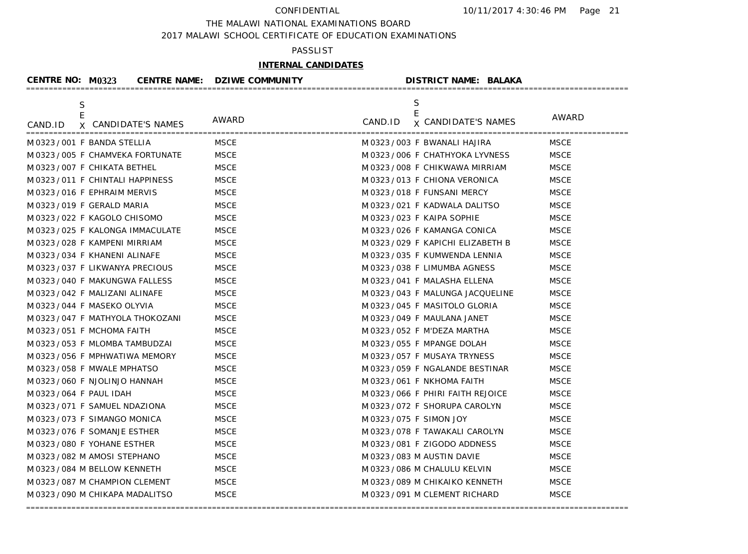### THE MALAWI NATIONAL EXAMINATIONS BOARD

2017 MALAWI SCHOOL CERTIFICATE OF EDUCATION EXAMINATIONS

## PASSLIST

# **INTERNAL CANDIDATES**

| CENTRE NO: M0323                  |                     | <b>CENTRE NAME: DZIWE COMMUNITY</b> | <b>DISTRICT NAME: BALAKA</b>       |             |
|-----------------------------------|---------------------|-------------------------------------|------------------------------------|-------------|
| S                                 |                     |                                     | S<br>E                             |             |
| CAND.ID                           | X CANDIDATE'S NAMES | AWARD                               | CAND.ID <b>x</b> CANDIDATE'S NAMES | AWARD       |
| M0323/001 F BANDA STELLIA         |                     | MSCE                                | M0323/003 F BWANALI HAJIRA         | <b>MSCE</b> |
| M 0323 / 005 F CHAMVEKA FORTUNATE |                     | <b>MSCE</b>                         | M 0323 / 006 F CHATHYOKA LYVNESS   | <b>MSCE</b> |
| M0323/007 F CHIKATA BETHEL        |                     | <b>MSCE</b>                         | M 0323/008 F CHIKWAWA MIRRIAM      | <b>MSCE</b> |
| M0323/011 F CHINTALI HAPPINESS    |                     | <b>MSCE</b>                         | M0323/013 F CHIONA VERONICA        | <b>MSCE</b> |
| M0323/016 F EPHRAIM MERVIS        |                     | <b>MSCE</b>                         | M 0323 / 018 F FUNSANI MERCY       | <b>MSCE</b> |
| M0323/019 F GERALD MARIA          |                     | <b>MSCE</b>                         | M 0323 / 021 F KADWALA DALITSO     | <b>MSCE</b> |
| M0323/022 F KAGOLO CHISOMO        |                     | <b>MSCE</b>                         | M0323/023 F KAIPA SOPHIE           | <b>MSCE</b> |
| M 0323 / 025 F KALONGA IMMACULATE |                     | <b>MSCE</b>                         | M 0323/026 F KAMANGA CONICA        | <b>MSCE</b> |
| M0323/028 F KAMPENI MIRRIAM       |                     | <b>MSCE</b>                         | M0323/029 F KAPICHI ELIZABETH B    | <b>MSCE</b> |
| M0323/034 F KHANENI ALINAFE       |                     | <b>MSCE</b>                         | M0323/035 F KUMWENDA LENNIA        | <b>MSCE</b> |
| M0323/037 F LIKWANYA PRECIOUS     |                     | <b>MSCE</b>                         | M0323/038 F LIMUMBA AGNESS         | <b>MSCE</b> |
| M 0323 / 040 F MAKUNGWA FALLESS   |                     | <b>MSCE</b>                         | M 0323 / 041 F MALASHA ELLENA      | <b>MSCE</b> |
| M0323/042 F MALIZANI ALINAFE      |                     | <b>MSCE</b>                         | M 0323 / 043 F MALUNGA JACQUELINE  | <b>MSCE</b> |
| M0323/044 F MASEKO OLYVIA         |                     | <b>MSCE</b>                         | M0323/045 F MASITOLO GLORIA        | <b>MSCE</b> |
| M0323/047 F MATHYOLA THOKOZANI    |                     | <b>MSCE</b>                         | M 0323 / 049 F MAULANA JANET       | <b>MSCE</b> |
| M0323/051 F MCHOMA FAITH          |                     | <b>MSCE</b>                         | M 0323 / 052 F M'DEZA MARTHA       | <b>MSCE</b> |
| M0323/053 F MLOMBA TAMBUDZAI      |                     | <b>MSCE</b>                         | M 0323 / 055 F MPANGE DOLAH        | <b>MSCE</b> |
| M0323/056 F MPHWATIWA MEMORY      |                     | <b>MSCE</b>                         | M 0323/057 F MUSAYA TRYNESS        | <b>MSCE</b> |
| M0323/058 F MWALE MPHATSO         |                     | <b>MSCE</b>                         | M0323/059 F NGALANDE BESTINAR      | <b>MSCE</b> |
| M0323/060 F NJOLINJO HANNAH       |                     | <b>MSCE</b>                         | M0323/061 F NKHOMA FAITH           | <b>MSCE</b> |
| M 0323 / 064 F PAUL IDAH          |                     | <b>MSCE</b>                         | M0323/066 F PHIRI FAITH REJOICE    | <b>MSCE</b> |
| M0323/071 F SAMUEL NDAZIONA       |                     | <b>MSCE</b>                         | M0323/072 F SHORUPA CAROLYN        | <b>MSCE</b> |
| M0323/073 F SIMANGO MONICA        |                     | <b>MSCE</b>                         | M 0323 / 075 F SIMON JOY           | <b>MSCE</b> |
| M0323/076 F SOMANJE ESTHER        |                     | <b>MSCE</b>                         | M0323/078 F TAWAKALI CAROLYN       | <b>MSCE</b> |
| M0323/080 F YOHANE ESTHER         |                     | <b>MSCE</b>                         | M0323/081 F ZIGODO ADDNESS         | <b>MSCE</b> |
| M0323/082 M AMOSI STEPHANO        |                     | <b>MSCE</b>                         | M0323/083 M AUSTIN DAVIE           | <b>MSCE</b> |
| M0323/084 M BELLOW KENNETH        |                     | <b>MSCE</b>                         | M0323/086 M CHALULU KELVIN         | <b>MSCE</b> |
| M0323/087 M CHAMPION CLEMENT      |                     | <b>MSCE</b>                         | M 0323/089 M CHIKAIKO KENNETH      | <b>MSCE</b> |
| M 0323 / 090 M CHIKAPA MADALITSO  |                     | <b>MSCE</b>                         | M 0323 / 091 M CLEMENT RICHARD     | <b>MSCE</b> |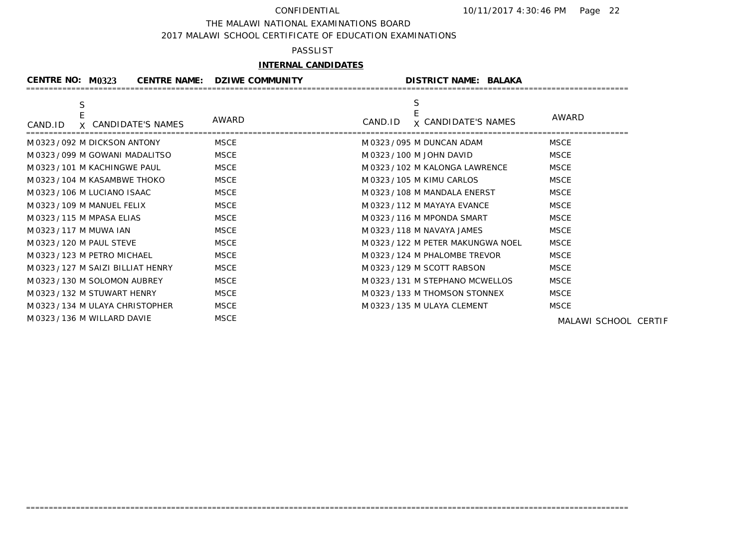### THE MALAWI NATIONAL EXAMINATIONS BOARD

2017 MALAWI SCHOOL CERTIFICATE OF EDUCATION EXAMINATIONS

## PASSLIST

## **INTERNAL CANDIDATES**

| CENTRE NO: $M$ 0323              | <b>CENTRE NAME:</b> | <b>DZIWE COMMUNITY</b> | <b>DISTRICT NAME: BALAKA</b>          |                      |
|----------------------------------|---------------------|------------------------|---------------------------------------|----------------------|
|                                  |                     |                        |                                       |                      |
| CAND.ID                          | X CANDIDATE'S NAMES | AWARD                  | <b>x CANDIDATE'S NAMES</b><br>CAND.ID | AWARD                |
| M0323/092 M DICKSON ANTONY       |                     | <b>MSCE</b>            | M 0323 / 095 M DUNCAN ADAM            | <b>MSCE</b>          |
| M 0323 / 099 M GOWANI MADALITSO  |                     | <b>MSCE</b>            | M 0323 / 100 M JOHN DAVID             | <b>MSCE</b>          |
| M0323/101 M KACHINGWE PAUL       |                     | <b>MSCE</b>            | M0323/102 M KALONGA LAWRENCE          | <b>MSCE</b>          |
| M 0323 / 104 M KASAMBWE THOKO    |                     | <b>MSCE</b>            | M 0323 / 105 M KIMU CARLOS            | MSCE                 |
| M 0323 / 106 M LUCIANO ISAAC     |                     | <b>MSCE</b>            | M 0323 / 108 M MANDALA ENERST         | <b>MSCE</b>          |
| M 0323 / 109 M MANUEL FELIX      |                     | <b>MSCE</b>            | M 0323 / 112 M MAYAYA EVANCE          | <b>MSCE</b>          |
| M 0323 / 115 M MPASA ELIAS       |                     | MSCE                   | M 0323 / 116 M MPONDA SMART           | <b>MSCE</b>          |
| M 0323 / 117 M MUWA IAN          |                     | <b>MSCE</b>            | M 0323 / 118 M NAVAYA JAMES           | <b>MSCE</b>          |
| M 0323 / 120 M PAUL STEVE        |                     | <b>MSCE</b>            | M 0323 / 122 M PETER MAKUNGWA NOEL    | <b>MSCE</b>          |
| M 0323 / 123 M PETRO MICHAEL     |                     | <b>MSCE</b>            | M 0323 / 124 M PHALOMBE TREVOR        | <b>MSCE</b>          |
| M0323/127 M SAIZI BILLIAT HENRY  |                     | <b>MSCE</b>            | M 0323 / 129 M SCOTT RABSON           | <b>MSCE</b>          |
| M0323/130 M SOLOMON AUBREY       |                     | <b>MSCE</b>            | M0323/131 M STEPHANO MCWELLOS         | <b>MSCE</b>          |
| M 0323 / 132 M STUWART HENRY     |                     | MSCE                   | M0323/133 M THOMSON STONNEX           | <b>MSCE</b>          |
| M 0323 / 134 M ULAYA CHRISTOPHER |                     | <b>MSCE</b>            | M 0323 / 135 M ULAYA CLEMENT          | <b>MSCE</b>          |
| M0323/136 M WILLARD DAVIE        |                     | <b>MSCE</b>            |                                       | MALAWI SCHOOL CERTIF |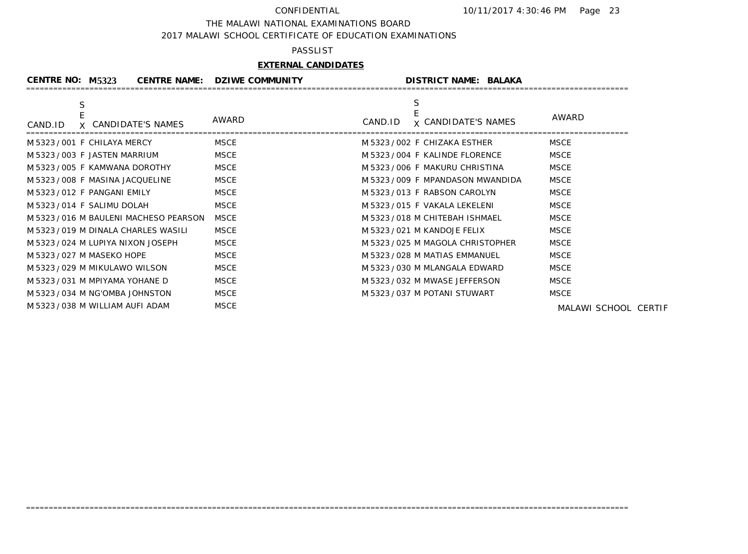### THE MALAWI NATIONAL EXAMINATIONS BOARD

2017 MALAWI SCHOOL CERTIFICATE OF EDUCATION EXAMINATIONS

### PASSLIST

## **EXTERNAL CANDIDATES**

| <b>CENTRE NO: M5323</b> |                                      | <b>CENTRE NAME: DZIWE COMMUNITY</b> | <b>DISTRICT NAME: BALAKA</b>               |                      |
|-------------------------|--------------------------------------|-------------------------------------|--------------------------------------------|----------------------|
| S<br>CAND.ID            | X CANDIDATE'S NAMES                  | AWARD                               | S<br><b>x CANDIDATE'S NAMES</b><br>CAND.ID | AWARD                |
|                         | M 5323 / 001 F CHILAYA MERCY         | <b>MSCE</b>                         | M 5323/002 F CHIZAKA ESTHER                | <b>MSCE</b>          |
|                         | M 5323 / 003 F JASTEN MARRIUM        | <b>MSCE</b>                         | M 5323/004 F KALINDE FLORENCE              | <b>MSCE</b>          |
|                         | M 5323/005 F KAMWANA DOROTHY         | <b>MSCE</b>                         | M 5323/006 F MAKURU CHRISTINA              | <b>MSCE</b>          |
|                         | M 5323/008 F MASINA JACQUELINE       | <b>MSCE</b>                         | M 5323/009 F MPANDASON MWANDIDA            | <b>MSCE</b>          |
|                         | M 5323/012 F PANGANI EMILY           | <b>MSCE</b>                         | M 5323/013 F RABSON CAROLYN                | <b>MSCE</b>          |
|                         | M 5323/014 F SALIMU DOLAH            | MSCE                                | M 5323/015 F VAKALA LEKELENI               | <b>MSCE</b>          |
|                         | M 5323/016 M BAULENI MACHESO PEARSON | <b>MSCE</b>                         | M 5323 / 018 M CHITEBAH ISHMAEL            | <b>MSCE</b>          |
|                         | M 5323/019 M DINALA CHARLES WASILI   | <b>MSCE</b>                         | M 5323 / 021 M KANDOJE FELIX               | <b>MSCE</b>          |
|                         | M 5323/024 M LUPIYA NIXON JOSEPH     | <b>MSCE</b>                         | M 5323/025 M MAGOLA CHRISTOPHER            | <b>MSCE</b>          |
|                         | M 5323 / 027 M MASEKO HOPE           | <b>MSCE</b>                         | M 5323 / 028 M MATIAS EMMANUEL             | <b>MSCE</b>          |
|                         | M 5323/029 M MIKULAWO WILSON         | <b>MSCE</b>                         | M 5323 / 030 M MLANGALA EDWARD             | <b>MSCE</b>          |
|                         | M 5323 / 031 M MPIYAMA YOHANE D      | <b>MSCE</b>                         | M 5323 / 032 M MWASE JEFFERSON             | <b>MSCE</b>          |
|                         | M 5323/034 M NG'OMBA JOHNSTON        | <b>MSCE</b>                         | M 5323 / 037 M POTANI STUWART              | <b>MSCE</b>          |
|                         | M 5323 / 038 M WILLIAM AUFI ADAM     | <b>MSCE</b>                         |                                            | MALAWI SCHOOL CERTIF |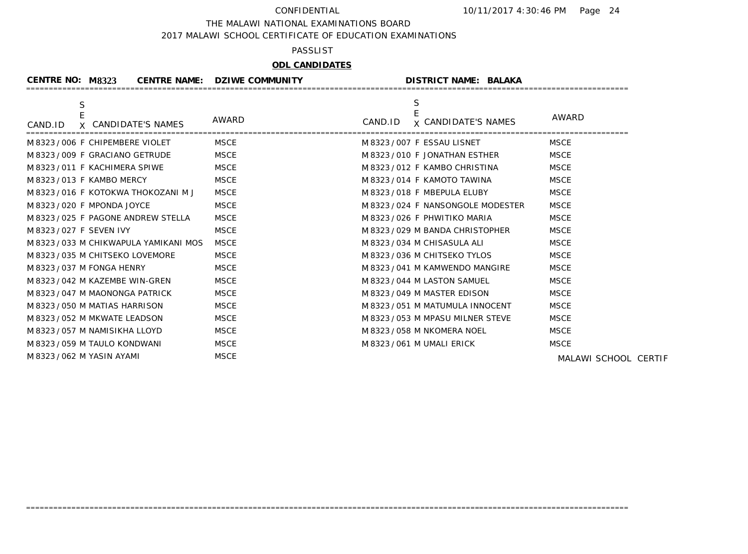### THE MALAWI NATIONAL EXAMINATIONS BOARD

2017 MALAWI SCHOOL CERTIFICATE OF EDUCATION EXAMINATIONS

### PASSLIST

# **ODL CANDIDATES**

| <b>CENTRE NO: M8323</b>                            | <b>CENTRE NAME: DZIWE COMMUNITY</b> | <b>DISTRICT NAME: BALAKA</b>                         |                      |
|----------------------------------------------------|-------------------------------------|------------------------------------------------------|----------------------|
| $\mathsf S$<br>E<br>X CANDIDATE'S NAMES<br>CAND.ID | AWARD                               | $\mathsf S$<br><b>x CANDIDATE'S NAMES</b><br>CAND.ID | AWARD                |
| M8323/006 F CHIPEMBERE VIOLET                      | MSCE                                | M 8323/007 F ESSAU LISNET                            | <b>MSCE</b>          |
| M 8323 / 009 F GRACIANO GETRUDE                    | <b>MSCE</b>                         | M 8323 / 010 F JONATHAN ESTHER                       | <b>MSCE</b>          |
| M 8323/011 F KACHIMERA SPIWE                       | <b>MSCE</b>                         | M 8323/012 F KAMBO CHRISTINA                         | <b>MSCE</b>          |
| M 8323 / 013 F KAMBO MERCY                         | <b>MSCE</b>                         | M 8323/014 F KAMOTO TAWINA                           | <b>MSCE</b>          |
| M8323/016 F KOTOKWA THOKOZANI MJ                   | <b>MSCE</b>                         | M 8323/018 F MBEPULA ELUBY                           | <b>MSCE</b>          |
| M 8323 / 020 F MPONDA JOYCE                        | <b>MSCE</b>                         | M 8323/024 F NANSONGOLE MODESTER                     | <b>MSCE</b>          |
| M 8323/025 F PAGONE ANDREW STELLA                  | <b>MSCE</b>                         | M 8323/026 F PHWITIKO MARIA                          | <b>MSCE</b>          |
| M 8323 / 027 F SEVEN IVY                           | <b>MSCE</b>                         | M 8323/029 M BANDA CHRISTOPHER                       | <b>MSCE</b>          |
| M 8323 / 033 M CHIKWAPULA YAMIKANI MOS             | <b>MSCE</b>                         | M 8323 / 034 M CHISASULA ALI                         | <b>MSCE</b>          |
| M 8323/035 M CHITSEKO LOVEMORE                     | <b>MSCE</b>                         | M 8323/036 M CHITSEKO TYLOS                          | <b>MSCE</b>          |
| M 8323 / 037 M FONGA HENRY                         | <b>MSCE</b>                         | M 8323/041 M KAMWENDO MANGIRE                        | <b>MSCE</b>          |
| M 8323/042 M KAZEMBE WIN-GREN                      | <b>MSCE</b>                         | M 8323 / 044 M LASTON SAMUEL                         | <b>MSCE</b>          |
| M8323/047 M MAONONGA PATRICK                       | <b>MSCE</b>                         | M 8323 / 049 M MASTER EDISON                         | <b>MSCE</b>          |
| M 8323 / 050 M MATIAS HARRISON                     | <b>MSCE</b>                         | M 8323 / 051 M MATUMULA INNOCENT                     | <b>MSCE</b>          |
| M 8323 / 052 M MKWATE LEADSON                      | <b>MSCE</b>                         | M 8323 / 053 M MPASU MILNER STEVE                    | <b>MSCE</b>          |
| M 8323 / 057 M NAMISIKHA LLOYD                     | <b>MSCE</b>                         | M 8323 / 058 M NKOMERA NOEL                          | <b>MSCE</b>          |
| M 8323 / 059 M TAULO KONDWANI                      | <b>MSCE</b>                         | M 8323 / 061 M UMALI ERICK                           | <b>MSCE</b>          |
| M 8323 / 062 M YASIN AYAMI                         | <b>MSCE</b>                         |                                                      | MALAWI SCHOOL CERTIF |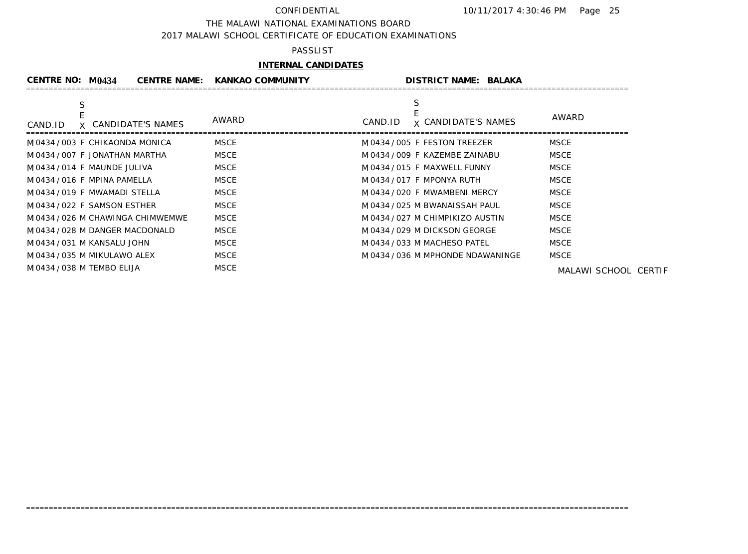### THE MALAWI NATIONAL EXAMINATIONS BOARD

2017 MALAWI SCHOOL CERTIFICATE OF EDUCATION EXAMINATIONS

### PASSLIST

## **INTERNAL CANDIDATES**

| CENTRE NO: M0434                  | <b>CENTRE NAME: KANKAO COMMUNITY</b> |         | <b>DISTRICT NAME: BALAKA</b>      |                      |
|-----------------------------------|--------------------------------------|---------|-----------------------------------|----------------------|
|                                   |                                      |         |                                   |                      |
| X CANDIDATE'S NAMES<br>CAND.ID    | AWARD                                | CAND.ID | <b>x CANDIDATE'S NAMES</b>        | AWARD                |
| M0434/003 F CHIKAONDA MONICA      | MSCE                                 |         | M0434/005 F FESTON TREEZER        | <b>MSCE</b>          |
| M0434/007 F JONATHAN MARTHA       | <b>MSCE</b>                          |         | M0434/009 F KAZEMBE ZAINABU       | <b>MSCE</b>          |
| M0434/014 F MAUNDE JULIVA         | <b>MSCE</b>                          |         | M0434/015 F MAXWELL FUNNY         | <b>MSCE</b>          |
| M0434/016 F MPINA PAMELLA         | <b>MSCE</b>                          |         | M0434/017 F MPONYA RUTH           | <b>MSCE</b>          |
| M0434/019 F MWAMADI STELLA        | <b>MSCE</b>                          |         | M0434/020 F MWAMBENI MERCY        | <b>MSCE</b>          |
| M0434/022 F SAMSON ESTHER         | <b>MSCE</b>                          |         | M0434/025 M BWANAISSAH PAUL       | <b>MSCE</b>          |
| M 0434 / 026 M CHAWINGA CHIMWEMWE | <b>MSCE</b>                          |         | M0434/027 M CHIMPIKIZO AUSTIN     | <b>MSCE</b>          |
| M0434/028 M DANGER MACDONALD      | <b>MSCE</b>                          |         | M0434/029 M DICKSON GEORGE        | <b>MSCE</b>          |
| M0434/031 M KANSALU JOHN          | <b>MSCE</b>                          |         | M0434/033 M MACHESO PATEL         | <b>MSCE</b>          |
| M 0434 / 035 M MIKULAWO ALEX      | <b>MSCE</b>                          |         | M 0434 / 036 M MPHONDE NDAWANINGE | MSCE                 |
| M0434/038 M TEMBO ELIJA           | <b>MSCE</b>                          |         |                                   | MALAWI SCHOOL CERTIF |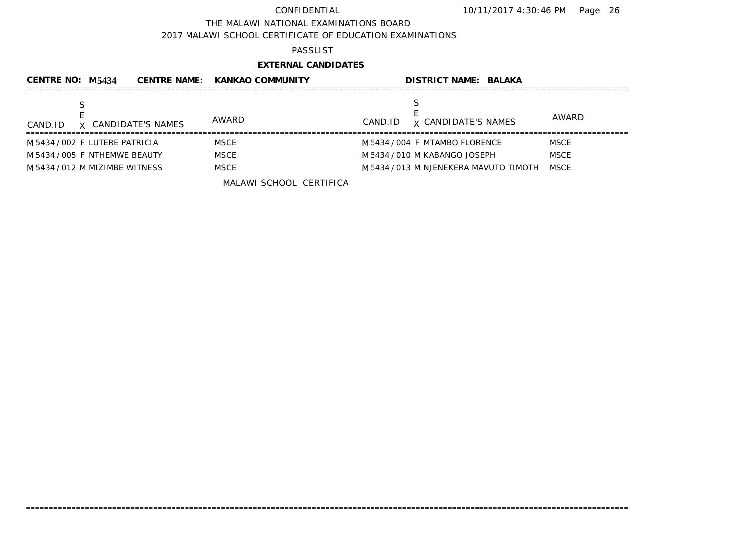### THE MALAWI NATIONAL EXAMINATIONS BOARD

2017 MALAWI SCHOOL CERTIFICATE OF EDUCATION EXAMINATIONS

## PASSLIST

# **EXTERNAL CANDIDATES**

| CENTRE NO: M5434               |                     | CENTRE NAME: KANKAO COMMUNITY | <b>DISTRICT NAME: BALAKA</b>           |             |
|--------------------------------|---------------------|-------------------------------|----------------------------------------|-------------|
| CAND.ID                        | X CANDIDATE'S NAMES | AWARD                         | <b>x CANDIDATE'S NAMES</b><br>CAND.ID  | AWARD       |
| M 5434 / 002 F LUTERE PATRICIA |                     | <b>MSCE</b>                   | M 5434 / 004 F MTAMBO FLORENCE         | <b>MSCE</b> |
| M 5434 / 005 F NTHEMWE BEAUTY  |                     | <b>MSCE</b>                   | M 5434 / 010 M KABANGO JOSEPH          | <b>MSCE</b> |
| M 5434 / 012 M MIZIMBE WITNESS |                     | <b>MSCE</b>                   | M 5434 / 013 M NJENEKERA MAVUTO TIMOTH | <b>MSCE</b> |
|                                |                     | MALAWI SCHOOL CERTIFICA       |                                        |             |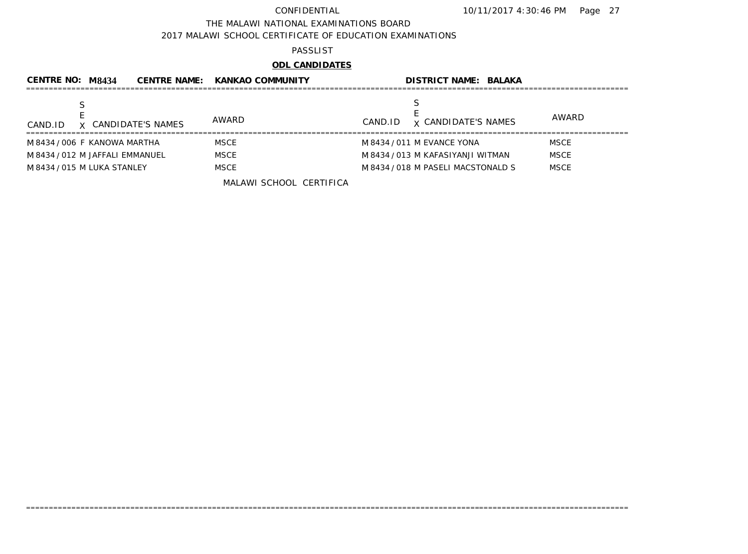### THE MALAWI NATIONAL EXAMINATIONS BOARD

2017 MALAWI SCHOOL CERTIFICATE OF EDUCATION EXAMINATIONS

### PASSLIST

# **ODL CANDIDATES**

| CENTRE NO: M8434                | <b>CENTRE NAME:</b> | <b>KANKAO COMMUNITY</b> |         | <b>DISTRICT NAME: BALAKA</b>       |             |              |
|---------------------------------|---------------------|-------------------------|---------|------------------------------------|-------------|--------------|
| X CANDIDATE'S NAMES<br>CAND.ID  |                     | AWARD                   | CAND.ID | <b>x CANDIDATE'S NAMES</b>         |             | <b>AWARD</b> |
| M8434/006 F KANOWA MARTHA       |                     | <b>MSCE</b>             |         | M 8434 / 011 M EVANCE YONA         | <b>MSCE</b> |              |
| M 8434 / 012 M JAFFALI EMMANUEL |                     | <b>MSCE</b>             |         | M 8434 / 013 M KAFASIYANJI WITMAN  | <b>MSCE</b> |              |
| M 8434 / 015 M LUKA STANLEY     |                     | <b>MSCE</b>             |         | M 8434 / 018 M PASELI MACSTONALD S | <b>MSCE</b> |              |
|                                 |                     | MALAWI SCHOOL CERTIFICA |         |                                    |             |              |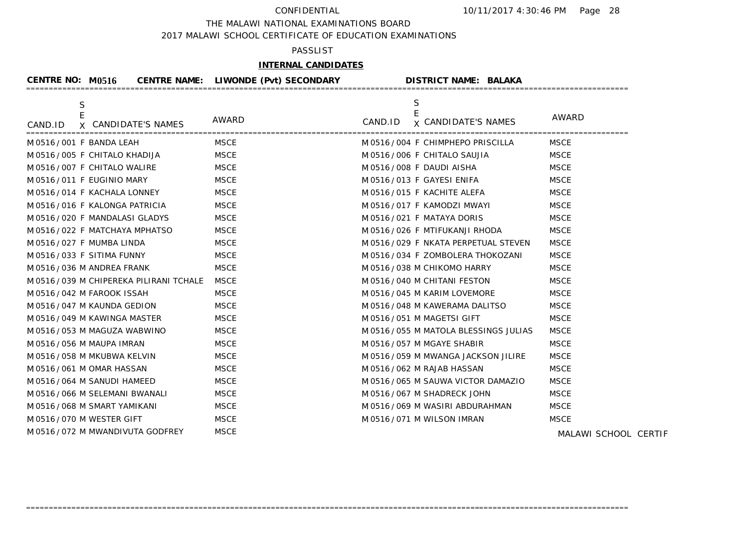THE MALAWI NATIONAL EXAMINATIONS BOARD

2017 MALAWI SCHOOL CERTIFICATE OF EDUCATION EXAMINATIONS

## PASSLIST

# **INTERNAL CANDIDATES**

| <b>CENTRE NO: M0516</b>                | <b>CENTRE NAME: LIWONDE (Pvt) SECONDARY</b> | <b>DISTRICT NAME: BALAKA</b>                    |                      |
|----------------------------------------|---------------------------------------------|-------------------------------------------------|----------------------|
| S<br>X CANDIDATE'S NAMES<br>CAND.ID    | AWARD                                       | S<br>E<br>CAND.ID<br><b>x CANDIDATE'S NAMES</b> | AWARD                |
| M 0516 / 001 F BANDA LEAH              | <b>MSCE</b>                                 | M 0516 / 004 F CHIMPHEPO PRISCILLA              | <b>MSCE</b>          |
| M 0516 / 005 F CHITALO KHADIJA         | <b>MSCE</b>                                 | M 0516 / 006 F CHITALO SAUJIA                   | <b>MSCE</b>          |
| M0516/007 F CHITALO WALIRE             | <b>MSCE</b>                                 | M 0516/008 F DAUDI AISHA                        | <b>MSCE</b>          |
| M0516/011 F EUGINIO MARY               | <b>MSCE</b>                                 | M0516/013 F GAYESI ENIFA                        | <b>MSCE</b>          |
| M 0516/014 F KACHALA LONNEY            | <b>MSCE</b>                                 | M 0516 / 015 F KACHITE ALEFA                    | <b>MSCE</b>          |
| M0516/016 F KALONGA PATRICIA           | <b>MSCE</b>                                 | M 0516/017 F KAMODZI MWAYI                      | <b>MSCE</b>          |
| M0516/020 F MANDALASI GLADYS           | <b>MSCE</b>                                 | M 0516/021 F MATAYA DORIS                       | <b>MSCE</b>          |
| M 0516 / 022 F MATCHAYA MPHATSO        | <b>MSCE</b>                                 | M 0516 / 026 F MTIFUKANJI RHODA                 | <b>MSCE</b>          |
| M0516/027 F MUMBA LINDA                | <b>MSCE</b>                                 | M 0516/029 F NKATA PERPETUAL STEVEN             | <b>MSCE</b>          |
| M0516/033 F SITIMA FUNNY               | <b>MSCE</b>                                 | M 0516/034 F ZOMBOLERA THOKOZANI                | <b>MSCE</b>          |
| M 0516 / 036 M ANDREA FRANK            | <b>MSCE</b>                                 | M 0516 / 038 M CHIKOMO HARRY                    | <b>MSCE</b>          |
| M 0516/039 M CHIPEREKA PILIRANI TCHALE | <b>MSCE</b>                                 | M0516/040 M CHITANI FESTON                      | <b>MSCE</b>          |
| M0516/042 M FAROOK ISSAH               | <b>MSCE</b>                                 | M 0516 / 045 M KARIM LOVEMORE                   | <b>MSCE</b>          |
| M 0516 / 047 M KAUNDA GEDION           | <b>MSCE</b>                                 | M 0516 / 048 M KAWERAMA DALITSO                 | <b>MSCE</b>          |
| M 0516 / 049 M KAWINGA MASTER          | <b>MSCE</b>                                 | M 0516 / 051 M MAGETSI GIFT                     | <b>MSCE</b>          |
| M 0516 / 053 M MAGUZA WABWINO          | <b>MSCE</b>                                 | M 0516 / 055 M MATOLA BLESSINGS JULIAS          | <b>MSCE</b>          |
| M 0516 / 056 M MAUPA IMRAN             | <b>MSCE</b>                                 | M 0516 / 057 M MGAYE SHABIR                     | <b>MSCE</b>          |
| M 0516 / 058 M MKUBWA KELVIN           | <b>MSCE</b>                                 | M 0516 / 059 M MWANGA JACKSON JILIRE            | <b>MSCE</b>          |
| M 0516 / 061 M OMAR HASSAN             | <b>MSCE</b>                                 | M 0516 / 062 M RAJAB HASSAN                     | <b>MSCE</b>          |
| M 0516 / 064 M SANUDI HAMEED           | <b>MSCE</b>                                 | M 0516 / 065 M SAUWA VICTOR DAMAZIO             | <b>MSCE</b>          |
| M0516/066 M SELEMANI BWANALI           | <b>MSCE</b>                                 | M 0516 / 067 M SHADRECK JOHN                    | <b>MSCE</b>          |
| M0516/068 M SMART YAMIKANI             | <b>MSCE</b>                                 | M 0516/069 M WASIRI ABDURAHMAN                  | <b>MSCE</b>          |
| M 0516/070 M WESTER GIFT               | <b>MSCE</b>                                 | M 0516 / 071 M WILSON IMRAN                     | <b>MSCE</b>          |
| M 0516 / 072 M MWANDIVUTA GODFREY      | <b>MSCE</b>                                 |                                                 | MALAWI SCHOOL CERTIF |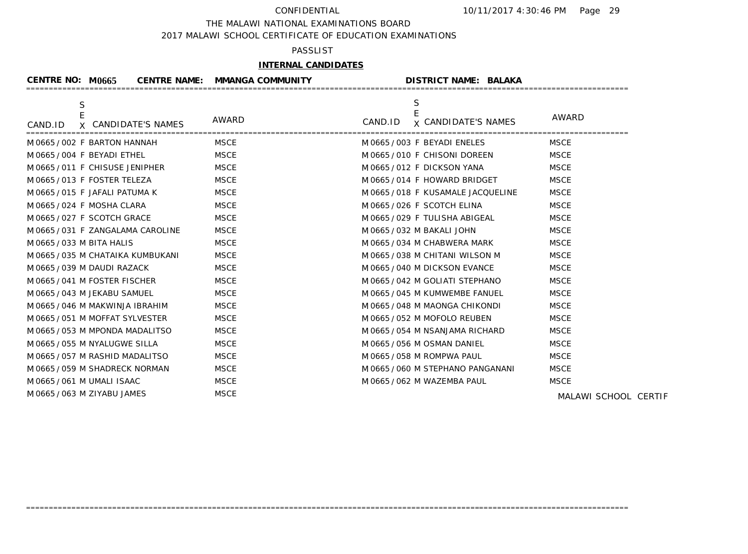### THE MALAWI NATIONAL EXAMINATIONS BOARD

2017 MALAWI SCHOOL CERTIFICATE OF EDUCATION EXAMINATIONS

### PASSLIST

## **INTERNAL CANDIDATES**

| CENTRE NO: M0665                         | <b>CENTRE NAME: MMANGA COMMUNITY</b> | <b>DISTRICT NAME: BALAKA</b>                    |                      |
|------------------------------------------|--------------------------------------|-------------------------------------------------|----------------------|
| S<br>E<br>X CANDIDATE'S NAMES<br>CAND.ID | AWARD                                | S<br>E<br><b>x CANDIDATE'S NAMES</b><br>CAND.ID | AWARD                |
| M0665/002 F BARTON HANNAH                | <b>MSCE</b>                          | M0665/003 F BEYADI ENELES                       | <b>MSCE</b>          |
| M0665/004 F BEYADI ETHEL                 | <b>MSCE</b>                          | M0665/010 F CHISONI DOREEN                      | <b>MSCE</b>          |
| M0665/011 F CHISUSE JENIPHER             | <b>MSCE</b>                          | M 0665/012 F DICKSON YANA                       | <b>MSCE</b>          |
| M0665/013 F FOSTER TELEZA                | <b>MSCE</b>                          | M 0665/014 F HOWARD BRIDGET                     | <b>MSCE</b>          |
| M 0665/015 F JAFALI PATUMA K             | <b>MSCE</b>                          | M 0665 / 018 F KUSAMALE JACQUELINE              | <b>MSCE</b>          |
| M 0665 / 024 F MOSHA CLARA               | <b>MSCE</b>                          | M0665/026 F SCOTCH ELINA                        | <b>MSCE</b>          |
| M0665/027 F SCOTCH GRACE                 | <b>MSCE</b>                          | M 0665 / 029 F TULISHA ABIGEAL                  | <b>MSCE</b>          |
| M 0665/031 F ZANGALAMA CAROLINE          | <b>MSCE</b>                          | M 0665 / 032 M BAKALI JOHN                      | <b>MSCE</b>          |
| M 0665 / 033 M BITA HALIS                | <b>MSCE</b>                          | M 0665 / 034 M CHABWERA MARK                    | <b>MSCE</b>          |
| M 0665 / 035 M CHATAIKA KUMBUKANI        | <b>MSCE</b>                          | M0665/038 M CHITANI WILSON M                    | <b>MSCE</b>          |
| M 0665 / 039 M DAUDI RAZACK              | <b>MSCE</b>                          | M 0665/040 M DICKSON EVANCE                     | <b>MSCE</b>          |
| M0665/041 M FOSTER FISCHER               | <b>MSCE</b>                          | M 0665 / 042 M GOLIATI STEPHANO                 | <b>MSCE</b>          |
| M 0665 / 043 M JEKABU SAMUEL             | <b>MSCE</b>                          | M 0665 / 045 M KUMWEMBE FANUEL                  | <b>MSCE</b>          |
| M 0665 / 046 M MAKWINJA IBRAHIM          | <b>MSCE</b>                          | M 0665/048 M MAONGA CHIKONDI                    | <b>MSCE</b>          |
| M 0665 / 051 M MOFFAT SYLVESTER          | <b>MSCE</b>                          | M 0665 / 052 M MOFOLO REUBEN                    | <b>MSCE</b>          |
| M 0665 / 053 M MPONDA MADALITSO          | <b>MSCE</b>                          | M 0665 / 054 M NSANJAMA RICHARD                 | <b>MSCE</b>          |
| M 0665 / 055 M NYALUGWE SILLA            | <b>MSCE</b>                          | M 0665 / 056 M OSMAN DANIEL                     | <b>MSCE</b>          |
| M 0665 / 057 M RASHID MADALITSO          | <b>MSCE</b>                          | M 0665 / 058 M ROMPWA PAUL                      | <b>MSCE</b>          |
| M 0665 / 059 M SHADRECK NORMAN           | <b>MSCE</b>                          | M 0665 / 060 M STEPHANO PANGANANI               | <b>MSCE</b>          |
| M 0665 / 061 M UMALI ISAAC               | <b>MSCE</b>                          | M 0665 / 062 M WAZEMBA PAUL                     | <b>MSCE</b>          |
| M0665/063 M ZIYABU JAMES                 | <b>MSCE</b>                          |                                                 | MALAWI SCHOOL CERTIF |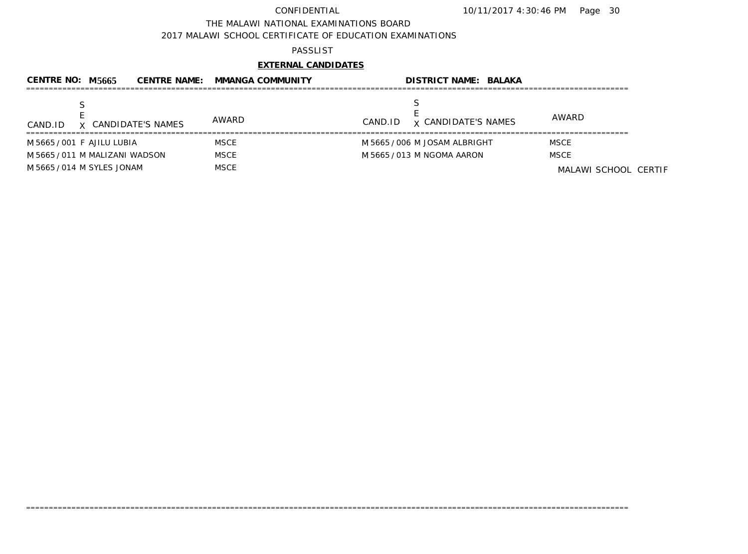THE MALAWI NATIONAL EXAMINATIONS BOARD

2017 MALAWI SCHOOL CERTIFICATE OF EDUCATION EXAMINATIONS

## PASSLIST

# **EXTERNAL CANDIDATES**

| CENTRE NO: M5665               | <b>CENTRE NAME:</b> | <b>MMANGA COMMUNITY</b> | <b>DISTRICT NAME: BALAKA</b>          |                      |
|--------------------------------|---------------------|-------------------------|---------------------------------------|----------------------|
| CAND.ID                        | X CANDIDATE'S NAMES | AWARD                   | <b>x CANDIDATE'S NAMES</b><br>CAND.ID | AWARD                |
| M 5665 / 001 F AJILU LUBIA     |                     | <b>MSCE</b>             | M 5665 / 006 M JOSAM ALBRIGHT         | <b>MSCE</b>          |
| M 5665 / 011 M MALIZANI WADSON |                     | <b>MSCE</b>             | M 5665 / 013 M NGOMA AARON            | <b>MSCE</b>          |
| M 5665 / 014 M SYLES JONAM     |                     | <b>MSCE</b>             |                                       | MALAWI SCHOOL CERTIF |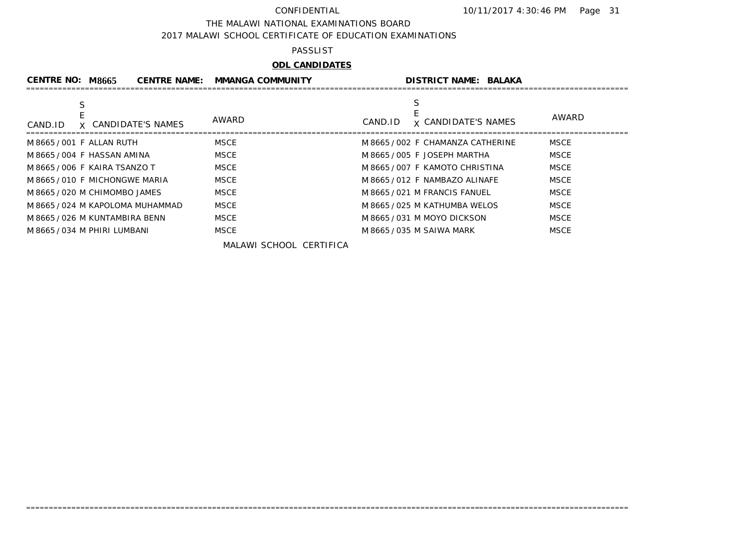THE MALAWI NATIONAL EXAMINATIONS BOARD

2017 MALAWI SCHOOL CERTIFICATE OF EDUCATION EXAMINATIONS

## PASSLIST

# **ODL CANDIDATES**

| <b>CENTRE NO: M8665</b><br><b>CENTRE NAME:</b> | <b>MMANGA COMMUNITY</b> | <b>DISTRICT NAME: BALAKA</b>               |             |
|------------------------------------------------|-------------------------|--------------------------------------------|-------------|
| S<br>X CANDIDATE'S NAMES<br>CAND.ID            | AWARD                   | S<br><b>x</b> CANDIDATE'S NAMES<br>CAND.ID | AWARD       |
| M 8665 / 001 F ALLAN RUTH                      | <b>MSCE</b>             | M 8665 / 002 F CHAMANZA CATHERINE          | <b>MSCE</b> |
| M8665/004 F HASSAN AMINA                       | <b>MSCE</b>             | M 8665 / 005 F JOSEPH MARTHA               | <b>MSCE</b> |
| M 8665/006 F KAIRA TSANZO T                    | <b>MSCE</b>             | M 8665/007 F KAMOTO CHRISTINA              | <b>MSCE</b> |
| M8665/010 F MICHONGWE MARIA                    | <b>MSCE</b>             | M 8665/012 F NAMBAZO ALINAFE               | <b>MSCE</b> |
| M 8665 / 020 M CHIMOMBO JAMES                  | <b>MSCE</b>             | M 8665 / 021 M FRANCIS FANUEL              | <b>MSCE</b> |
| M 8665/024 M KAPOLOMA MUHAMMAD                 | <b>MSCE</b>             | M 8665/025 M KATHUMBA WELOS                | <b>MSCE</b> |
| M 8665/026 M KUNTAMBIRA BENN                   | <b>MSCE</b>             | M8665/031 M MOYO DICKSON                   | <b>MSCE</b> |
| M 8665 / 034 M PHIRI LUMBANI                   | <b>MSCE</b>             | M 8665 / 035 M SAIWA MARK                  | <b>MSCE</b> |

=====================================================================================================================================

MALAWI SCHOOL CERTIFICA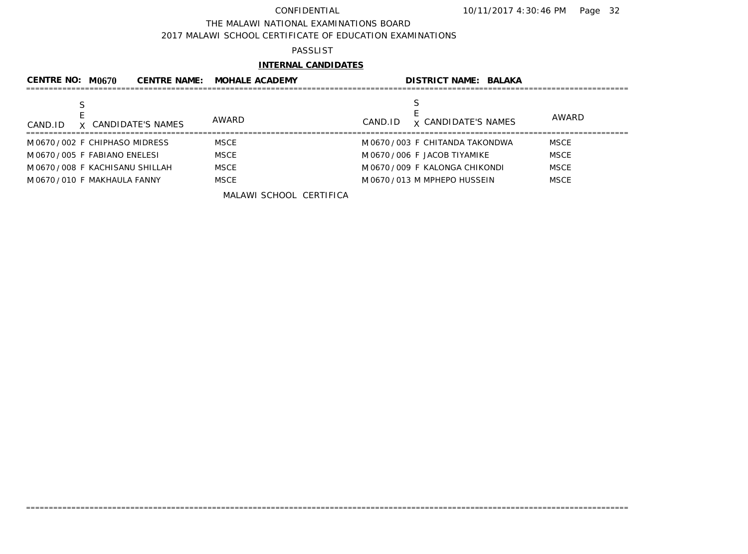### THE MALAWI NATIONAL EXAMINATIONS BOARD

2017 MALAWI SCHOOL CERTIFICATE OF EDUCATION EXAMINATIONS

## PASSLIST

## **INTERNAL CANDIDATES**

| CENTRE NO: $M0670$<br><b>CENTRE NAME:</b> | <b>MOHALE ACADEMY</b> | <b>DISTRICT NAME: BALAKA</b>          |              |
|-------------------------------------------|-----------------------|---------------------------------------|--------------|
| X CANDIDATE'S NAMES<br>CAND.ID            | <b>AWARD</b>          | <b>x</b> CANDIDATE'S NAMES<br>CAND.ID | <b>AWARD</b> |
| M0670/002 F CHIPHASO MIDRESS              | <b>MSCE</b>           | M0670/003 F CHITANDA TAKONDWA         | <b>MSCE</b>  |
| M0670/005 F FABIANO ENELESI               | <b>MSCE</b>           | M 0670 / 006 F JACOB TIYAMIKE         | <b>MSCE</b>  |
| M0670/008 F KACHISANU SHILLAH             | <b>MSCE</b>           | M0670/009 F KALONGA CHIKONDI          | <b>MSCE</b>  |
| M 0670 / 010 F MAKHAULA FANNY             | <b>MSCE</b>           | M0670/013 M MPHEPO HUSSEIN            | <b>MSCE</b>  |
|                                           | $\mathbf{u}$          |                                       |              |

=====================================================================================================================================

MALAWI SCHOOL CERTIFICA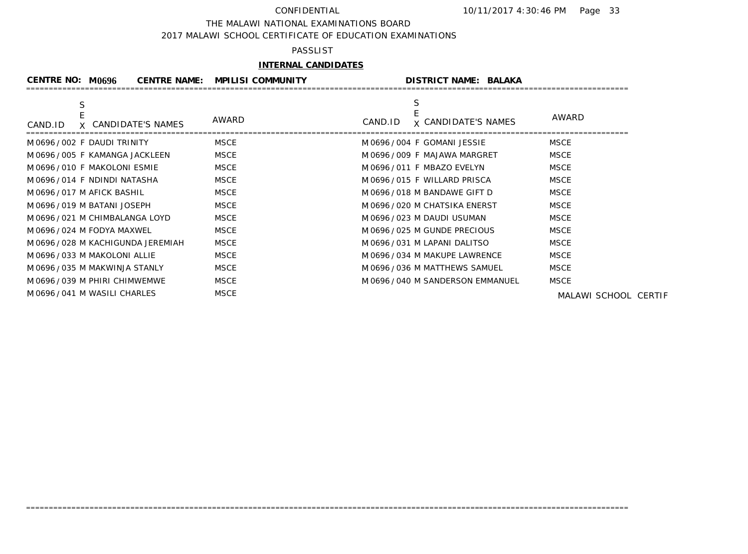### THE MALAWI NATIONAL EXAMINATIONS BOARD

2017 MALAWI SCHOOL CERTIFICATE OF EDUCATION EXAMINATIONS

## PASSLIST

## **INTERNAL CANDIDATES**

| CENTRE NO: $M0696$                  | <b>CENTRE NAME:</b><br><b>MPILISI COMMUNITY</b> |                                   | <b>DISTRICT NAME: BALAKA</b>        |                      |
|-------------------------------------|-------------------------------------------------|-----------------------------------|-------------------------------------|----------------------|
| S<br>X CANDIDATE'S NAMES<br>CAND.ID | AWARD                                           | CAND.ID                           | AWARD<br><b>x CANDIDATE'S NAMES</b> |                      |
| M0696/002 F DAUDI TRINITY           | MSCE                                            | M0696/004 F GOMANI JESSIE         | <b>MSCE</b>                         |                      |
| M 0696 / 005 F KAMANGA JACKLEEN     | MSCE                                            | M 0696 / 009 F MAJAWA MARGRET     | <b>MSCE</b>                         |                      |
| M0696/010 F MAKOLONI ESMIE          | MSCE                                            | M 0696 / 011 F MBAZO EVELYN       | <b>MSCE</b>                         |                      |
| M0696/014 F NDINDI NATASHA          | MSCE                                            | M0696/015 F WILLARD PRISCA        | <b>MSCE</b>                         |                      |
| M 0696 / 017 M AFICK BASHIL         | MSCE                                            | M 0696 / 018 M BANDAWE GIFT D     | <b>MSCE</b>                         |                      |
| M 0696 / 019 M BATANI JOSEPH        | MSCE                                            | M 0696 / 020 M CHATSIKA ENERST    | <b>MSCE</b>                         |                      |
| M 0696 / 021 M CHIMBALANGA LOYD     | MSCE                                            | M 0696 / 023 M DAUDI USUMAN       | <b>MSCE</b>                         |                      |
| M 0696 / 024 M FODYA MAXWEL         | MSCE                                            | M0696/025 M GUNDE PRECIOUS        | <b>MSCE</b>                         |                      |
| M 0696 / 028 M KACHIGUNDA JEREMIAH  | MSCE                                            | M 0696 / 031 M LAPANI DALITSO     | <b>MSCE</b>                         |                      |
| M0696/033 M MAKOLONI ALLIE          | MSCE                                            | M 0696 / 034 M MAKUPE LAWRENCE    | <b>MSCE</b>                         |                      |
| M 0696 / 035 M MAKWINJA STANLY      | MSCE                                            | M0696/036 M MATTHEWS SAMUEL       | <b>MSCE</b>                         |                      |
| M 0696 / 039 M PHIRI CHIMWEMWE      | MSCE                                            | M 0696 / 040 M SANDERSON EMMANUEL | <b>MSCE</b>                         |                      |
| M0696/041 M WASILI CHARLES          | MSCE                                            |                                   |                                     | MALAWI SCHOOL CERTIF |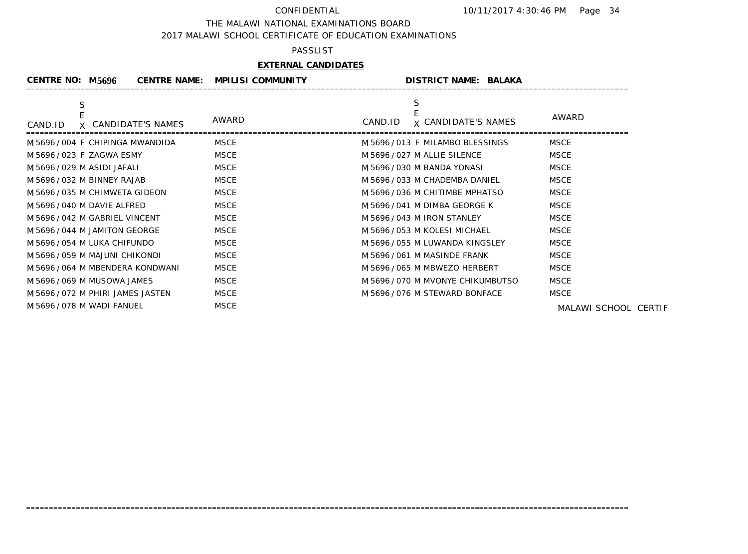### THE MALAWI NATIONAL EXAMINATIONS BOARD

2017 MALAWI SCHOOL CERTIFICATE OF EDUCATION EXAMINATIONS

### PASSLIST

## **EXTERNAL CANDIDATES**

| <b>CENTRE NO: M5696</b><br><b>CENTRE NAME:</b> | <b>MPILISI COMMUNITY</b> | <b>DISTRICT NAME: BALAKA</b>               |                      |
|------------------------------------------------|--------------------------|--------------------------------------------|----------------------|
| S<br>X CANDIDATE'S NAMES<br>CAND.ID            | AWARD                    | S<br><b>x CANDIDATE'S NAMES</b><br>CAND.ID | AWARD                |
| M 5696/004 F CHIPINGA MWANDIDA                 | <b>MSCE</b>              | M 5696/013 F MILAMBO BLESSINGS             | <b>MSCE</b>          |
| M 5696 / 023 F ZAGWA ESMY                      | <b>MSCE</b>              | M 5696 / 027 M ALLIE SILENCE               | <b>MSCE</b>          |
| M 5696 / 029 M ASIDI JAFALI                    | <b>MSCE</b>              | M 5696 / 030 M BANDA YONASI                | <b>MSCE</b>          |
| M 5696 / 032 M BINNEY RAJAB                    | <b>MSCE</b>              | M 5696 / 033 M CHADEMBA DANIEL             | <b>MSCE</b>          |
| M 5696/035 M CHIMWETA GIDEON                   | <b>MSCE</b>              | M 5696 / 036 M CHITIMBE MPHATSO            | <b>MSCE</b>          |
| M 5696/040 M DAVIE ALFRED                      | <b>MSCE</b>              | M 5696 / 041 M DIMBA GEORGE K              | <b>MSCE</b>          |
| M 5696 / 042 M GABRIEL VINCENT                 | <b>MSCE</b>              | M 5696 / 043 M IRON STANLEY                | <b>MSCE</b>          |
| M 5696 / 044 M JAMITON GEORGE                  | <b>MSCE</b>              | M 5696 / 053 M KOLESI MICHAEL              | <b>MSCE</b>          |
| M 5696/054 M LUKA CHIFUNDO                     | <b>MSCE</b>              | M 5696 / 055 M LUWANDA KINGSLEY            | <b>MSCE</b>          |
| M 5696 / 059 M MAJUNI CHIKONDI                 | <b>MSCE</b>              | M 5696 / 061 M MASINDE FRANK               | <b>MSCE</b>          |
| M 5696 / 064 M MBENDERA KONDWANI               | <b>MSCE</b>              | M 5696 / 065 M MBWEZO HERBERT              | <b>MSCE</b>          |
| M 5696 / 069 M MUSOWA JAMES                    | <b>MSCE</b>              | M 5696/070 M MVONYE CHIKUMBUTSO            | <b>MSCE</b>          |
| M 5696/072 M PHIRI JAMES JASTEN                | <b>MSCE</b>              | M 5696 / 076 M STEWARD BONFACE             | <b>MSCE</b>          |
| M 5696 / 078 M WADI FANUEL                     | <b>MSCE</b>              |                                            | MALAWI SCHOOL CERTIF |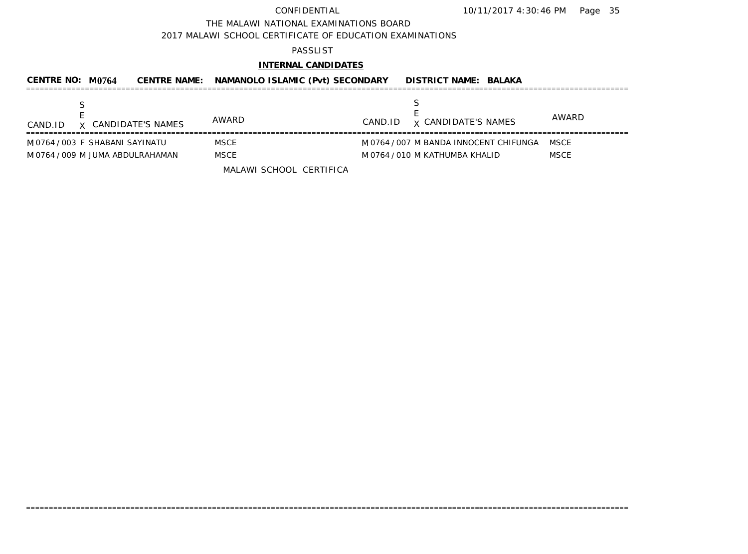### THE MALAWI NATIONAL EXAMINATIONS BOARD

2017 MALAWI SCHOOL CERTIFICATE OF EDUCATION EXAMINATIONS

### PASSLIST

# **INTERNAL CANDIDATES**

| CENTRE NO: $M0764$               |                     | CENTRE NAME: NAMANOLO ISLAMIC (Pvt) SECONDARY |         | <b>DISTRICT NAME: BALAKA</b>           |             |
|----------------------------------|---------------------|-----------------------------------------------|---------|----------------------------------------|-------------|
| CAND.ID                          | X CANDIDATE'S NAMES | AWARD                                         | CAND.ID | <b>x CANDIDATE'S NAMES</b>             | AWARD       |
| M0764/003 F SHABANI SAYINATU     |                     | MSCE                                          |         | M 0764 / 007 M BANDA INNOCENT CHIFUNGA | MSCE        |
| M 0764 / 009 M JUMA ABDULRAHAMAN |                     | <b>MSCE</b>                                   |         | M 0764 / 010 M KATHUMBA KHALID         | <b>MSCE</b> |
|                                  |                     | MALAWI SCHOOL CERTIFICA                       |         |                                        |             |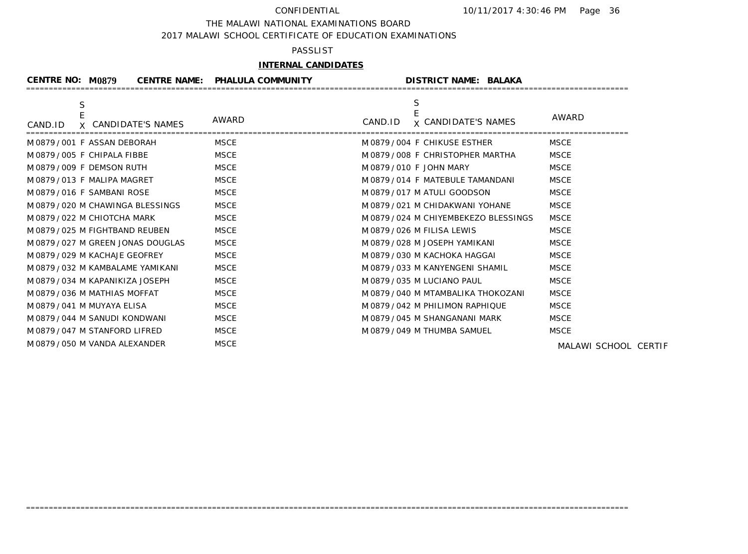### THE MALAWI NATIONAL EXAMINATIONS BOARD

2017 MALAWI SCHOOL CERTIFICATE OF EDUCATION EXAMINATIONS

### PASSLIST

# **INTERNAL CANDIDATES**

| CENTRE NO: M0879                    | <b>CENTRE NAME: PHALULA COMMUNITY</b> | <b>DISTRICT NAME: BALAKA</b>          |                      |
|-------------------------------------|---------------------------------------|---------------------------------------|----------------------|
| S<br>X CANDIDATE'S NAMES<br>CAND.ID | AWARD                                 | <b>x CANDIDATE'S NAMES</b><br>CAND.ID | AWARD                |
| M0879/001 F ASSAN DEBORAH           | <b>MSCE</b>                           | M0879/004 F CHIKUSE ESTHER            | <b>MSCE</b>          |
| M0879/005 F CHIPALA FIBBE           | <b>MSCE</b>                           | M0879/008 F CHRISTOPHER MARTHA        | <b>MSCE</b>          |
| M0879/009 F DEMSON RUTH             | <b>MSCE</b>                           | M 0879 / 010 F JOHN MARY              | <b>MSCE</b>          |
| M0879/013 F MALIPA MAGRET           | <b>MSCE</b>                           | M 0879 / 014 F MATEBULE TAMANDANI     | <b>MSCE</b>          |
| M0879/016 F SAMBANI ROSE            | <b>MSCE</b>                           | M0879/017 M ATULI GOODSON             | <b>MSCE</b>          |
| M0879/020 M CHAWINGA BLESSINGS      | MSCE                                  | M0879/021 M CHIDAKWANI YOHANE         | <b>MSCE</b>          |
| M0879/022 M CHIOTCHA MARK           | <b>MSCE</b>                           | M0879/024 M CHIYEMBEKEZO BLESSINGS    | <b>MSCE</b>          |
| M 0879 / 025 M FIGHTBAND REUBEN     | <b>MSCE</b>                           | M0879/026 M FILISA LEWIS              | <b>MSCE</b>          |
| M0879/027 M GREEN JONAS DOUGLAS     | <b>MSCE</b>                           | M0879/028 M JOSEPH YAMIKANI           | <b>MSCE</b>          |
| M0879/029 M KACHAJE GEOFREY         | <b>MSCE</b>                           | M 0879 / 030 M KACHOKA HAGGAI         | <b>MSCE</b>          |
| M0879/032 M KAMBALAME YAMIKANI      | <b>MSCE</b>                           | M0879/033 M KANYENGENI SHAMIL         | <b>MSCE</b>          |
| M0879/034 M KAPANIKIZA JOSEPH       | <b>MSCE</b>                           | M0879/035 M LUCIANO PAUL              | <b>MSCE</b>          |
| M0879/036 M MATHIAS MOFFAT          | <b>MSCE</b>                           | M0879/040 M MTAMBALIKA THOKOZANI      | <b>MSCE</b>          |
| M0879/041 M MUYAYA ELISA            | <b>MSCE</b>                           | M0879/042 M PHILIMON RAPHIQUE         | <b>MSCE</b>          |
| M0879/044 M SANUDI KONDWANI         | <b>MSCE</b>                           | M 0879 / 045 M SHANGANANI MARK        | <b>MSCE</b>          |
| M0879/047 M STANFORD LIFRED         | <b>MSCE</b>                           | M 0879 / 049 M THUMBA SAMUEL          | <b>MSCE</b>          |
| M 0879 / 050 M VANDA ALEXANDER      | <b>MSCE</b>                           |                                       | MALAWI SCHOOL CERTIF |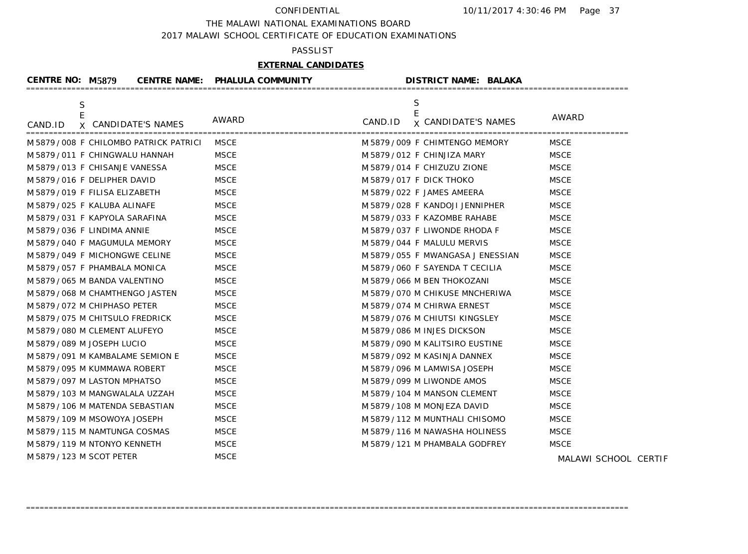THE MALAWI NATIONAL EXAMINATIONS BOARD

2017 MALAWI SCHOOL CERTIFICATE OF EDUCATION EXAMINATIONS

## PASSLIST

## **EXTERNAL CANDIDATES**

| <b>CENTRE NO: M5879</b>               | <b>CENTRE NAME: PHALULA COMMUNITY</b> | <b>DISTRICT NAME: BALAKA</b>               |                      |
|---------------------------------------|---------------------------------------|--------------------------------------------|----------------------|
| S<br>X CANDIDATE'S NAMES<br>CAND.ID   | <b>AWARD</b>                          | S<br><b>x CANDIDATE'S NAMES</b><br>CAND.ID | AWARD                |
| M 5879/008 F CHILOMBO PATRICK PATRICI | MSCE                                  | M 5879/009 F CHIMTENGO MEMORY              | MSCE                 |
| M 5879 / 011 F CHINGWALU HANNAH       | <b>MSCE</b>                           | M 5879 / 012 F CHINJIZA MARY               | <b>MSCE</b>          |
| M 5879 / 013 F CHISANJE VANESSA       | <b>MSCE</b>                           | M 5879/014 F CHIZUZU ZIONE                 | <b>MSCE</b>          |
| M 5879 / 016 F DELIPHER DAVID         | <b>MSCE</b>                           | M 5879/017 F DICK THOKO                    | <b>MSCE</b>          |
| M 5879/019 F FILISA ELIZABETH         | <b>MSCE</b>                           | M 5879 / 022 F JAMES AMEERA                | <b>MSCE</b>          |
| M 5879 / 025 F KALUBA ALINAFE         | <b>MSCE</b>                           | M 5879/028 F KANDOJI JENNIPHER             | <b>MSCE</b>          |
| M5879/031 F KAPYOLA SARAFINA          | <b>MSCE</b>                           | M 5879 / 033 F KAZOMBE RAHABE              | <b>MSCE</b>          |
| M5879/036 F LINDIMA ANNIE             | <b>MSCE</b>                           | M 5879/037 F LIWONDE RHODA F               | <b>MSCE</b>          |
| M 5879 / 040 F MAGUMULA MEMORY        | <b>MSCE</b>                           | M 5879 / 044 F MALULU MERVIS               | <b>MSCE</b>          |
| M 5879/049 F MICHONGWE CELINE         | <b>MSCE</b>                           | M 5879 / 055 F MWANGASA J ENESSIAN         | <b>MSCE</b>          |
| M 5879 / 057 F PHAMBALA MONICA        | <b>MSCE</b>                           | M 5879/060 F SAYENDA T CECILIA             | <b>MSCE</b>          |
| M 5879 / 065 M BANDA VALENTINO        | <b>MSCE</b>                           | M 5879 / 066 M BEN THOKOZANI               | <b>MSCE</b>          |
| M 5879 / 068 M CHAMTHENGO JASTEN      | <b>MSCE</b>                           | M 5879/070 M CHIKUSE MNCHERIWA             | <b>MSCE</b>          |
| M 5879 / 072 M CHIPHASO PETER         | <b>MSCE</b>                           | M 5879 / 074 M CHIRWA ERNEST               | <b>MSCE</b>          |
| M 5879/075 M CHITSULO FREDRICK        | <b>MSCE</b>                           | M5879/076 M CHIUTSI KINGSLEY               | <b>MSCE</b>          |
| M 5879 / 080 M CLEMENT ALUFEYO        | <b>MSCE</b>                           | M5879/086 M INJES DICKSON                  | <b>MSCE</b>          |
| M 5879 / 089 M JOSEPH LUCIO           | <b>MSCE</b>                           | M 5879/090 M KALITSIRO EUSTINE             | <b>MSCE</b>          |
| M 5879 / 091 M KAMBALAME SEMION E     | <b>MSCE</b>                           | M 5879 / 092 M KASINJA DANNEX              | <b>MSCE</b>          |
| M 5879 / 095 M KUMMAWA ROBERT         | <b>MSCE</b>                           | M 5879 / 096 M LAMWISA JOSEPH              | <b>MSCE</b>          |
| M 5879 / 097 M LASTON MPHATSO         | <b>MSCE</b>                           | M 5879 / 099 M LIWONDE AMOS                | <b>MSCE</b>          |
| M 5879 / 103 M MANGWALALA UZZAH       | <b>MSCE</b>                           | M 5879 / 104 M MANSON CLEMENT              | <b>MSCE</b>          |
| M 5879 / 106 M MATENDA SEBASTIAN      | <b>MSCE</b>                           | M 5879 / 108 M MONJEZA DAVID               | <b>MSCE</b>          |
| M 5879 / 109 M MSOWOYA JOSEPH         | <b>MSCE</b>                           | M 5879 / 112 M MUNTHALI CHISOMO            | <b>MSCE</b>          |
| M 5879 / 115 M NAMTUNGA COSMAS        | <b>MSCE</b>                           | M 5879/116 M NAWASHA HOLINESS              | <b>MSCE</b>          |
| M 5879 / 119 M NTONYO KENNETH         | <b>MSCE</b>                           | M 5879 / 121 M PHAMBALA GODFREY            | <b>MSCE</b>          |
| M 5879 / 123 M SCOT PETER             | <b>MSCE</b>                           |                                            | MALAWI SCHOOL CERTIF |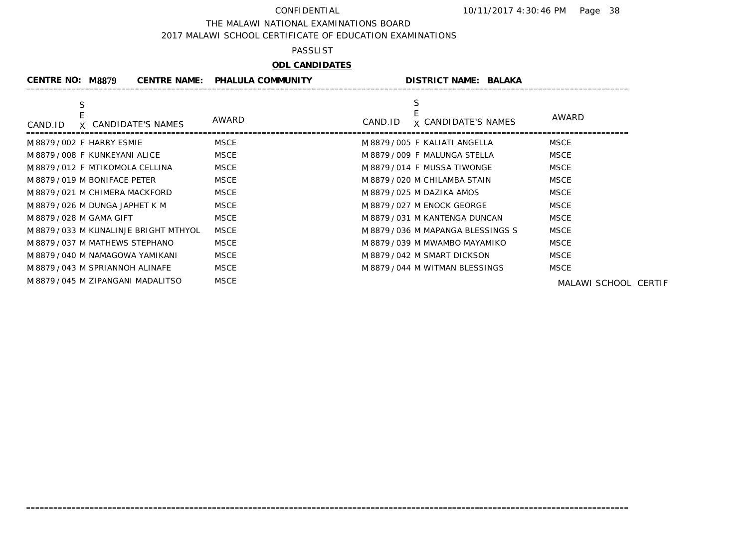THE MALAWI NATIONAL EXAMINATIONS BOARD

2017 MALAWI SCHOOL CERTIFICATE OF EDUCATION EXAMINATIONS

### PASSLIST

# **ODL CANDIDATES**

| <b>CENTRE NO: M8879</b>                | <b>CENTRE NAME:</b> | <b>PHALULA COMMUNITY</b> |         | <b>DISTRICT NAME: BALAKA</b>     |                      |
|----------------------------------------|---------------------|--------------------------|---------|----------------------------------|----------------------|
| X CANDIDATE'S NAMES<br>CAND.ID         |                     | AWARD                    | CAND.ID | <b>x CANDIDATE'S NAMES</b>       | AWARD                |
| M 8879/002 F HARRY ESMIE               |                     | MSCE                     |         | M8879/005 F KALIATI ANGELLA      | MSCE                 |
| M8879/008 F KUNKEYANI ALICE            |                     | <b>MSCE</b>              |         | M 8879 / 009 F MALUNGA STELLA    | <b>MSCE</b>          |
| M8879/012 F MTIKOMOLA CELLINA          |                     | <b>MSCE</b>              |         | M8879/014 F MUSSA TIWONGE        | <b>MSCE</b>          |
| M8879/019 M BONIFACE PETER             |                     | <b>MSCE</b>              |         | M 8879 / 020 M CHILAMBA STAIN    | <b>MSCE</b>          |
| M 8879/021 M CHIMERA MACKFORD          |                     | <b>MSCE</b>              |         | M 8879/025 M DAZIKA AMOS         | <b>MSCE</b>          |
| M 8879 / 026 M DUNGA JAPHET K M        |                     | <b>MSCE</b>              |         | M 8879/027 M ENOCK GEORGE        | <b>MSCE</b>          |
| M 8879 / 028 M GAMA GIFT               |                     | MSCE                     |         | M 8879 / 031 M KANTENGA DUNCAN   | <b>MSCE</b>          |
| M 8879 / 033 M KUNALINJE BRIGHT MTHYOL |                     | <b>MSCE</b>              |         | M 8879/036 M MAPANGA BLESSINGS S | <b>MSCE</b>          |
| M 8879/037 M MATHEWS STEPHANO          |                     | <b>MSCE</b>              |         | M 8879/039 M MWAMBO MAYAMIKO     | <b>MSCE</b>          |
| M 8879 / 040 M NAMAGOWA YAMIKANI       |                     | <b>MSCE</b>              |         | M8879/042 M SMART DICKSON        | <b>MSCE</b>          |
| M 8879 / 043 M SPRIANNOH ALINAFE       |                     | <b>MSCE</b>              |         | M 8879/044 M WITMAN BLESSINGS    | <b>MSCE</b>          |
| M 8879 / 045 M ZIPANGANI MADALITSO     |                     | <b>MSCE</b>              |         |                                  | MALAWI SCHOOL CERTIF |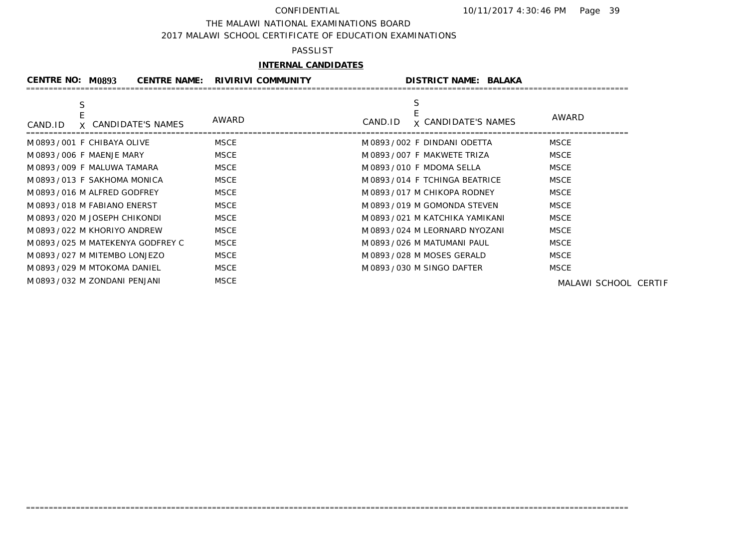### THE MALAWI NATIONAL EXAMINATIONS BOARD

2017 MALAWI SCHOOL CERTIFICATE OF EDUCATION EXAMINATIONS

## PASSLIST

## **INTERNAL CANDIDATES**

| CENTRE NO: M0893                   | <b>CENTRE NAME:</b><br><b>RIVIRIVI COMMUNITY</b> |         | <b>DISTRICT NAME: BALAKA</b>   |                      |
|------------------------------------|--------------------------------------------------|---------|--------------------------------|----------------------|
| S                                  | AWARD                                            |         |                                | AWARD                |
| X CANDIDATE'S NAMES<br>CAND.ID     |                                                  | CAND.ID | <b>x CANDIDATE'S NAMES</b>     |                      |
| M0893/001 F CHIBAYA OLIVE          | MSCE                                             |         | M0893/002 F DINDANI ODETTA     | <b>MSCE</b>          |
| M 0893 / 006 F MAENJE MARY         | MSCE                                             |         | M0893/007 F MAKWETE TRIZA      | <b>MSCE</b>          |
| M0893/009 F MALUWA TAMARA          | MSCE                                             |         | M 0893 / 010 F MDOMA SELLA     | <b>MSCE</b>          |
| M0893/013 F SAKHOMA MONICA         | MSCE                                             |         | M0893/014 F TCHINGA BEATRICE   | <b>MSCE</b>          |
| M0893/016 M ALFRED GODFREY         | MSCE                                             |         | M0893/017 M CHIKOPA RODNEY     | <b>MSCE</b>          |
| M0893/018 M FABIANO ENERST         | MSCE                                             |         | M0893/019 M GOMONDA STEVEN     | <b>MSCE</b>          |
| M0893/020 M JOSEPH CHIKONDI        | MSCE                                             |         | M 0893/021 M KATCHIKA YAMIKANI | <b>MSCE</b>          |
| M0893/022 M KHORIYO ANDREW         | MSCE                                             |         | M0893/024 M LEORNARD NYOZANI   | <b>MSCE</b>          |
| M 0893 / 025 M MATEKENYA GODFREY C | MSCE                                             |         | M0893/026 M MATUMANI PAUL      | <b>MSCE</b>          |
| M0893/027 M MITEMBO LONJEZO        | MSCE                                             |         | M0893/028 M MOSES GERALD       | <b>MSCE</b>          |
| M0893/029 M MTOKOMA DANIEL         | MSCE                                             |         | M0893/030 M SINGO DAFTER       | <b>MSCE</b>          |
| M0893/032 M ZONDANI PENJANI        | MSCE                                             |         |                                | MALAWI SCHOOL CERTIF |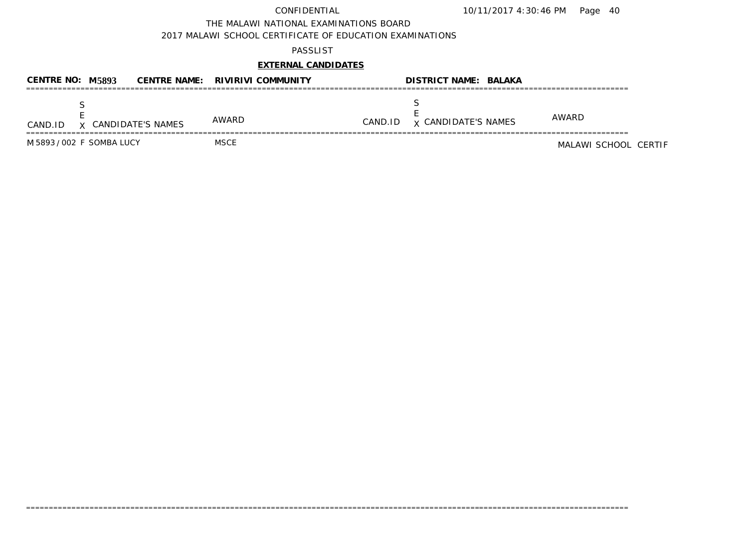THE MALAWI NATIONAL EXAMINATIONS BOARD

2017 MALAWI SCHOOL CERTIFICATE OF EDUCATION EXAMINATIONS

## PASSLIST

# **EXTERNAL CANDIDATES**

| CENTRE NO: M5893          |                     | CENTRE NAME: RIVIRIVI COMMUNITY |         | <b>DISTRICT NAME: BALAKA</b> |                      |
|---------------------------|---------------------|---------------------------------|---------|------------------------------|----------------------|
| CAND.ID                   | X CANDIDATE'S NAMES | AWARD                           | CAND.ID | <b>x CANDIDATE'S NAMES</b>   | AWARD                |
| M 5893 / 002 F SOMBA LUCY |                     | MSCE                            |         |                              | MALAWI SCHOOL CERTIF |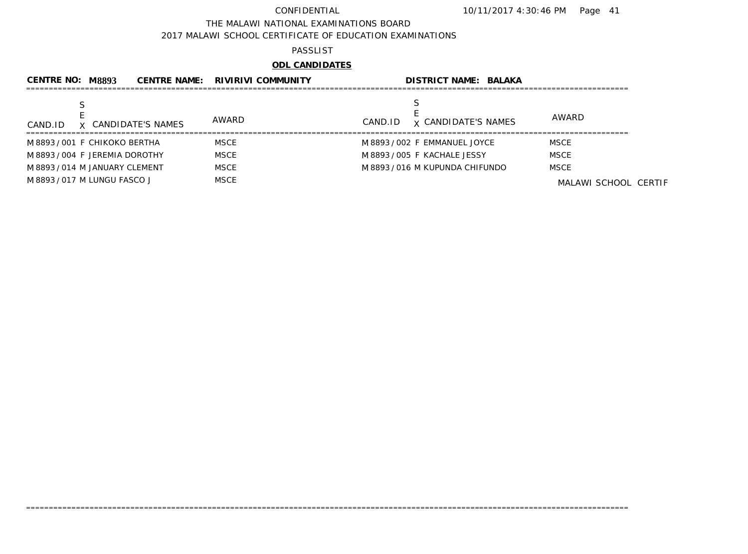THE MALAWI NATIONAL EXAMINATIONS BOARD

2017 MALAWI SCHOOL CERTIFICATE OF EDUCATION EXAMINATIONS

### PASSLIST

# **ODL CANDIDATES**

| <b>CENTRE NO:</b>              | M 8893 |                     | <b>CENTRE NAME: RIVIRIVI COMMUNITY</b> |         | <b>DISTRICT NAME: BALAKA</b>  |                      |
|--------------------------------|--------|---------------------|----------------------------------------|---------|-------------------------------|----------------------|
|                                |        |                     |                                        |         |                               |                      |
| CAND.ID                        |        | X CANDIDATE'S NAMES | AWARD                                  | CAND.ID | <b>x CANDIDATE'S NAMES</b>    | AWARD                |
| M8893/001 F CHIKOKO BERTHA     |        |                     | <b>MSCE</b>                            |         | M 8893 / 002 F EMMANUEL JOYCE | <b>MSCE</b>          |
| M8893/004 F JEREMIA DOROTHY    |        |                     | <b>MSCE</b>                            |         | M 8893 / 005 F KACHALE JESSY  | <b>MSCE</b>          |
| M 8893 / 014 M JANUARY CLEMENT |        |                     | <b>MSCE</b>                            |         | M 8893/016 M KUPUNDA CHIFUNDO | <b>MSCE</b>          |
| M 8893 / 017 M LUNGU FASCO J   |        |                     | <b>MSCE</b>                            |         |                               | MALAWI SCHOOL CERTIF |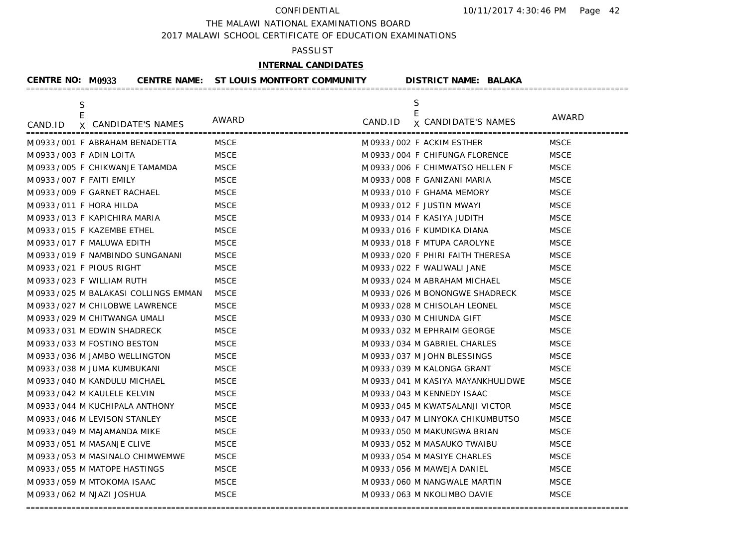THE MALAWI NATIONAL EXAMINATIONS BOARD

2017 MALAWI SCHOOL CERTIFICATE OF EDUCATION EXAMINATIONS

## PASSLIST

# **INTERNAL CANDIDATES**

| CENTRE NO: M0933           |                                        | CENTRE NAME: ST LOUIS MONTFORT COMMUNITY | <b>DISTRICT NAME: BALAKA</b>                  |             |
|----------------------------|----------------------------------------|------------------------------------------|-----------------------------------------------|-------------|
| S<br>E<br>CAND.ID          | X CANDIDATE'S NAMES                    | AWARD                                    | S.<br>E<br>CAND.ID <b>x</b> CANDIDATE'S NAMES | AWARD       |
|                            | M 0933 / 001 F ABRAHAM BENADETTA       | MSCE                                     | M 0933/002 F ACKIM ESTHER                     | <b>MSCE</b> |
| M 0933 / 003 F ADIN LOITA  |                                        | <b>MSCE</b>                              | M 0933 / 004 F CHIFUNGA FLORENCE              | <b>MSCE</b> |
|                            | M 0933 / 005 F CHIKWANJE TAMAMDA       | <b>MSCE</b>                              | M 0933 / 006 F CHIMWATSO HELLEN F             | <b>MSCE</b> |
| M 0933 / 007 F FAITI EMILY |                                        | <b>MSCE</b>                              | M 0933 / 008 F GANIZANI MARIA                 | <b>MSCE</b> |
|                            | M 0933 / 009 F GARNET RACHAEL          | <b>MSCE</b>                              | M 0933 / 010 F GHAMA MEMORY                   | <b>MSCE</b> |
| M 0933 / 011 F HORA HILDA  |                                        | <b>MSCE</b>                              | M 0933 / 012 F JUSTIN MWAYI                   | <b>MSCE</b> |
|                            | M0933/013 F KAPICHIRA MARIA            | <b>MSCE</b>                              | M 0933 / 014 F KASIYA JUDITH                  | <b>MSCE</b> |
|                            | M0933/015 F KAZEMBE ETHEL              | <b>MSCE</b>                              | M 0933/016 F KUMDIKA DIANA                    | <b>MSCE</b> |
|                            | M0933/017 F MALUWA EDITH               | <b>MSCE</b>                              | M 0933 / 018 F MTUPA CAROLYNE                 | <b>MSCE</b> |
|                            | M0933/019 F NAMBINDO SUNGANANI         | <b>MSCE</b>                              | M 0933 / 020 F PHIRI FAITH THERESA            | <b>MSCE</b> |
|                            | M0933/021 F PIOUS RIGHT                | <b>MSCE</b>                              | M 0933 / 022 F WALIWALI JANE                  | <b>MSCE</b> |
|                            | M0933/023 F WILLIAM RUTH               | <b>MSCE</b>                              | M 0933 / 024 M ABRAHAM MICHAEL                | <b>MSCE</b> |
|                            | M 0933 / 025 M BALAKASI COLLINGS EMMAN | <b>MSCE</b>                              | M 0933 / 026 M BONONGWE SHADRECK              | <b>MSCE</b> |
|                            | M0933/027 M CHILOBWE LAWRENCE          | <b>MSCE</b>                              | M 0933 / 028 M CHISOLAH LEONEL                | <b>MSCE</b> |
|                            | M 0933 / 029 M CHITWANGA UMALI         | <b>MSCE</b>                              | M 0933 / 030 M CHIUNDA GIFT                   | <b>MSCE</b> |
|                            | M 0933 / 031 M EDWIN SHADRECK          | <b>MSCE</b>                              | M 0933 / 032 M EPHRAIM GEORGE                 | <b>MSCE</b> |
|                            | M0933/033 M FOSTINO BESTON             | <b>MSCE</b>                              | M 0933/034 M GABRIEL CHARLES                  | <b>MSCE</b> |
|                            | M0933/036 M JAMBO WELLINGTON           | <b>MSCE</b>                              | M0933/037 M JOHN BLESSINGS                    | <b>MSCE</b> |
|                            | M 0933 / 038 M JUMA KUMBUKANI          | <b>MSCE</b>                              | M 0933 / 039 M KALONGA GRANT                  | <b>MSCE</b> |
|                            | M 0933 / 040 M KANDULU MICHAEL         | <b>MSCE</b>                              | M 0933 / 041 M KASIYA MAYANKHULIDWE           | <b>MSCE</b> |
|                            | M 0933 / 042 M KAULELE KELVIN          | <b>MSCE</b>                              | M0933/043 M KENNEDY ISAAC                     | <b>MSCE</b> |
|                            | M0933/044 M KUCHIPALA ANTHONY          | <b>MSCE</b>                              | M0933/045 M KWATSALANJI VICTOR                | <b>MSCE</b> |
|                            | M0933/046 M LEVISON STANLEY            | <b>MSCE</b>                              | M 0933 / 047 M LINYOKA CHIKUMBUTSO            | <b>MSCE</b> |
|                            | M 0933 / 049 M MAJAMANDA MIKE          | <b>MSCE</b>                              | M 0933 / 050 M MAKUNGWA BRIAN                 | <b>MSCE</b> |
|                            | M 0933 / 051 M MASANJE CLIVE           | <b>MSCE</b>                              | M 0933 / 052 M MASAUKO TWAIBU                 | <b>MSCE</b> |
|                            | M0933/053 M MASINALO CHIMWEMWE         | <b>MSCE</b>                              | M0933/054 M MASIYE CHARLES                    | <b>MSCE</b> |
|                            | M0933/055 M MATOPE HASTINGS            | <b>MSCE</b>                              | M 0933 / 056 M MAWEJA DANIEL                  | <b>MSCE</b> |
|                            | M 0933 / 059 M MTOKOMA ISAAC           | <b>MSCE</b>                              | M0933/060 M NANGWALE MARTIN                   | <b>MSCE</b> |
|                            | M 0933 / 062 M NJAZI JOSHUA            | <b>MSCE</b>                              | M0933/063 M NKOLIMBO DAVIE                    | <b>MSCE</b> |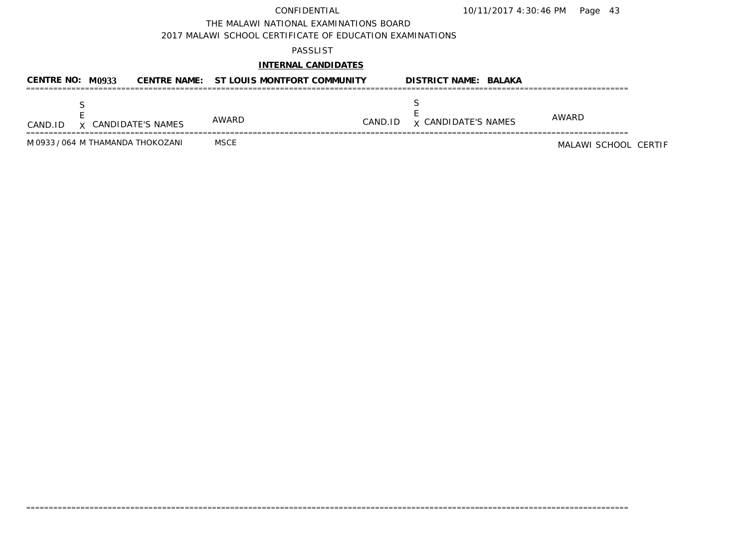10/11/2017 4:30:46 PM Page 43

THE MALAWI NATIONAL EXAMINATIONS BOARD

2017 MALAWI SCHOOL CERTIFICATE OF EDUCATION EXAMINATIONS

### PASSLIST

## **INTERNAL CANDIDATES**

| CENTRE NO: M0933 |                                   | CENTRE NAME: ST LOUIS MONTFORT COMMUNITY |         | <b>DISTRICT NAME: BALAKA</b> |                      |
|------------------|-----------------------------------|------------------------------------------|---------|------------------------------|----------------------|
| CAND.ID          | X CANDIDATE'S NAMES               | AWARD                                    | CAND.ID | <b>x</b> CANDIDATE'S NAMES   | AWARD                |
|                  | M 0933 / 064 M THAMANDA THOKOZANI | <b>MSCE</b>                              |         |                              | MALAWI SCHOOL CERTIF |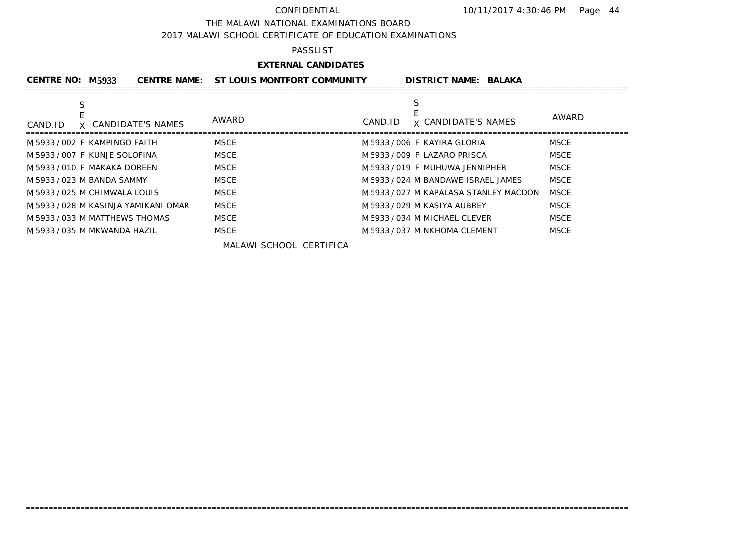### THE MALAWI NATIONAL EXAMINATIONS BOARD

2017 MALAWI SCHOOL CERTIFICATE OF EDUCATION EXAMINATIONS

### PASSLIST

## **EXTERNAL CANDIDATES**

| CENTRE NO: M5933                    | CENTRE NAME: ST LOUIS MONTFORT COMMUNITY | <b>DISTRICT NAME: BALAKA</b>                          |
|-------------------------------------|------------------------------------------|-------------------------------------------------------|
| S<br>X CANDIDATE'S NAMES<br>CAND.ID | AWARD                                    | S<br>AWARD<br><b>x CANDIDATE'S NAMES</b><br>CAND.ID   |
| M 5933/002 F KAMPINGO FAITH         | <b>MSCE</b>                              | M 5933/006 F KAYIRA GLORIA<br><b>MSCE</b>             |
| M 5933 / 007 F KUNJE SOLOFINA       | <b>MSCE</b>                              | <b>MSCE</b><br>M 5933/009 F LAZARO PRISCA             |
| M 5933 / 010 F MAKAKA DOREEN        | <b>MSCE</b>                              | <b>MSCE</b><br>M 5933/019 F MUHUWA JENNIPHER          |
| M 5933 / 023 M BANDA SAMMY          | <b>MSCE</b>                              | <b>MSCE</b><br>M 5933/024 M BANDAWE ISRAEL JAMES      |
| M 5933 / 025 M CHIMWALA LOUIS       | <b>MSCE</b>                              | <b>MSCE</b><br>M 5933 / 027 M KAPALASA STANLEY MACDON |
| M 5933/028 M KASINJA YAMIKANI OMAR  | <b>MSCE</b>                              | <b>MSCE</b><br>M 5933/029 M KASIYA AUBREY             |
| M 5933 / 033 M MATTHEWS THOMAS      | <b>MSCE</b>                              | <b>MSCE</b><br>M 5933 / 034 M MICHAEL CLEVER          |
| M 5933 / 035 M MKWANDA HAZIL        | <b>MSCE</b>                              | <b>MSCE</b><br>M 5933 / 037 M NKHOMA CLEMENT          |

=====================================================================================================================================

MALAWI SCHOOL CERTIFICA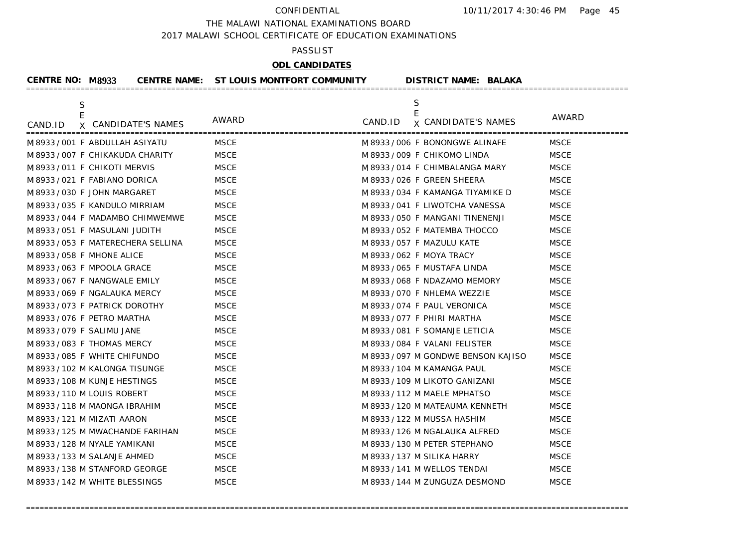THE MALAWI NATIONAL EXAMINATIONS BOARD

2017 MALAWI SCHOOL CERTIFICATE OF EDUCATION EXAMINATIONS

### PASSLIST

# **ODL CANDIDATES**

| <b>CENTRE NO: M8933</b>    |                                    | CENTRE NAME: ST LOUIS MONTFORT COMMUNITY |         | <b>DISTRICT NAME: BALAKA</b>        |             |
|----------------------------|------------------------------------|------------------------------------------|---------|-------------------------------------|-------------|
| S<br>E                     |                                    |                                          |         | S<br>E                              |             |
| CAND.ID                    | X CANDIDATE'S NAMES                | AWARD                                    | CAND.ID | <b>x CANDIDATE'S NAMES</b>          | AWARD       |
|                            | M 8933/001 F ABDULLAH ASIYATU      | <b>MSCE</b>                              |         | M 8933/006 F BONONGWE ALINAFE       | <b>MSCE</b> |
|                            | M 8933 / 007 F CHIKAKUDA CHARITY   | <b>MSCE</b>                              |         | M 8933 / 009 F CHIKOMO LINDA        | <b>MSCE</b> |
|                            | M 8933/011 F CHIKOTI MERVIS        | <b>MSCE</b>                              |         | M 8933 / 014 F CHIMBALANGA MARY     | <b>MSCE</b> |
|                            | M 8933/021 F FABIANO DORICA        | <b>MSCE</b>                              |         | M 8933 / 026 F GREEN SHEERA         | <b>MSCE</b> |
|                            | M 8933 / 030 F JOHN MARGARET       | <b>MSCE</b>                              |         | M 8933/034 F KAMANGA TIYAMIKE D     | <b>MSCE</b> |
|                            | M 8933/035 F KANDULO MIRRIAM       | <b>MSCE</b>                              |         | M 8933 / 041 F LIWOTCHA VANESSA     | <b>MSCE</b> |
|                            | M 8933 / 044 F MADAMBO CHIMWEMWE   | <b>MSCE</b>                              |         | M 8933/050 F MANGANI TINENENJI      | <b>MSCE</b> |
|                            | M 8933 / 051 F MASULANI JUDITH     | <b>MSCE</b>                              |         | M 8933 / 052 F MATEMBA THOCCO       | <b>MSCE</b> |
|                            | M 8933 / 053 F MATERECHERA SELLINA | <b>MSCE</b>                              |         | M 8933 / 057 F MAZULU KATE          | <b>MSCE</b> |
|                            | M 8933 / 058 F MHONE ALICE         | <b>MSCE</b>                              |         | M 8933 / 062 F MOYA TRACY           | <b>MSCE</b> |
|                            | M 8933 / 063 F MPOOLA GRACE        | <b>MSCE</b>                              |         | M 8933 / 065 F MUSTAFA LINDA        | <b>MSCE</b> |
|                            | M 8933 / 067 F NANGWALE EMILY      | <b>MSCE</b>                              |         | M 8933 / 068 F NDAZAMO MEMORY       | <b>MSCE</b> |
|                            | M 8933 / 069 F NGALAUKA MERCY      | <b>MSCE</b>                              |         | M 8933/070 F NHLEMA WEZZIE          | <b>MSCE</b> |
|                            | M 8933/073 F PATRICK DOROTHY       | <b>MSCE</b>                              |         | M 8933/074 F PAUL VERONICA          | <b>MSCE</b> |
|                            | M 8933/076 F PETRO MARTHA          | <b>MSCE</b>                              |         | M 8933/077 F PHIRI MARTHA           | <b>MSCE</b> |
| M 8933 / 079 F SALIMU JANE |                                    | <b>MSCE</b>                              |         | M 8933 / 081 F SOMANJE LETICIA      | <b>MSCE</b> |
|                            | M 8933 / 083 F THOMAS MERCY        | <b>MSCE</b>                              |         | M 8933/084 F VALANI FELISTER        | <b>MSCE</b> |
|                            | M 8933/085 F WHITE CHIFUNDO        | <b>MSCE</b>                              |         | M 8933 / 097 M GONDWE BENSON KAJISO | <b>MSCE</b> |
|                            | M 8933 / 102 M KALONGA TISUNGE     | <b>MSCE</b>                              |         | M 8933 / 104 M KAMANGA PAUL         | <b>MSCE</b> |
|                            | M 8933 / 108 M KUNJE HESTINGS      | <b>MSCE</b>                              |         | M 8933 / 109 M LIKOTO GANIZANI      | <b>MSCE</b> |
|                            | M 8933 / 110 M LOUIS ROBERT        | <b>MSCE</b>                              |         | M 8933 / 112 M MAELE MPHATSO        | <b>MSCE</b> |
|                            | M 8933 / 118 M MAONGA IBRAHIM      | <b>MSCE</b>                              |         | M 8933 / 120 M MATEAUMA KENNETH     | <b>MSCE</b> |
|                            | M 8933 / 121 M MIZATI AARON        | <b>MSCE</b>                              |         | M 8933 / 122 M MUSSA HASHIM         | <b>MSCE</b> |
|                            | M 8933 / 125 M MWACHANDE FARIHAN   | <b>MSCE</b>                              |         | M 8933 / 126 M NGALAUKA ALFRED      | <b>MSCE</b> |
|                            | M 8933 / 128 M NYALE YAMIKANI      | <b>MSCE</b>                              |         | M 8933 / 130 M PETER STEPHANO       | <b>MSCE</b> |
|                            | M 8933 / 133 M SALANJE AHMED       | <b>MSCE</b>                              |         | M 8933 / 137 M SILIKA HARRY         | <b>MSCE</b> |
|                            | M 8933 / 138 M STANFORD GEORGE     | <b>MSCE</b>                              |         | M 8933 / 141 M WELLOS TENDAI        | <b>MSCE</b> |
|                            | M 8933 / 142 M WHITE BLESSINGS     | <b>MSCE</b>                              |         | M 8933 / 144 M ZUNGUZA DESMOND      | <b>MSCE</b> |
|                            |                                    |                                          |         |                                     |             |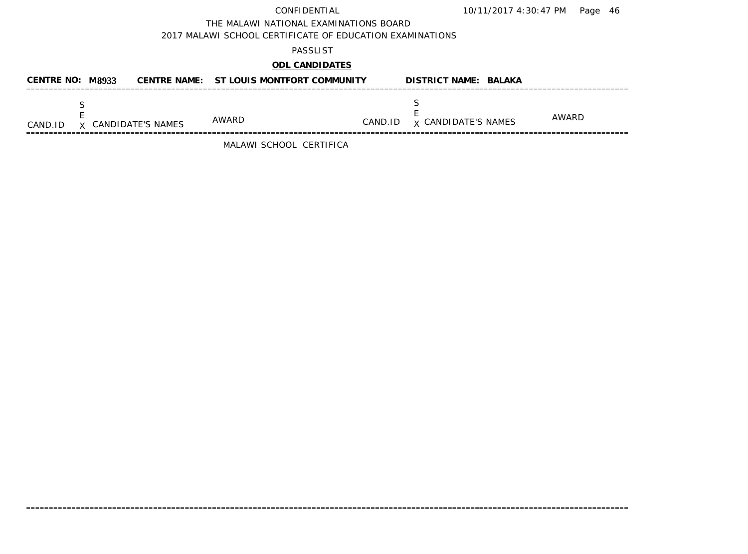THE MALAWI NATIONAL EXAMINATIONS BOARD

2017 MALAWI SCHOOL CERTIFICATE OF EDUCATION EXAMINATIONS

### PASSLIST

# **ODL CANDIDATES**

| CENTRE NO: M8933 |                            | CENTRE NAME: ST LOUIS MONTFORT COMMUNITY |         | <b>DISTRICT NAME: BALAKA</b> |       |
|------------------|----------------------------|------------------------------------------|---------|------------------------------|-------|
| CAND.ID          | <b>X</b> CANDIDATE'S NAMES | AWARD                                    | CAND.ID | <b>x CANDIDATE'S NAMES</b>   | AWARD |

=====================================================================================================================================

MALAWI SCHOOL CERTIFICA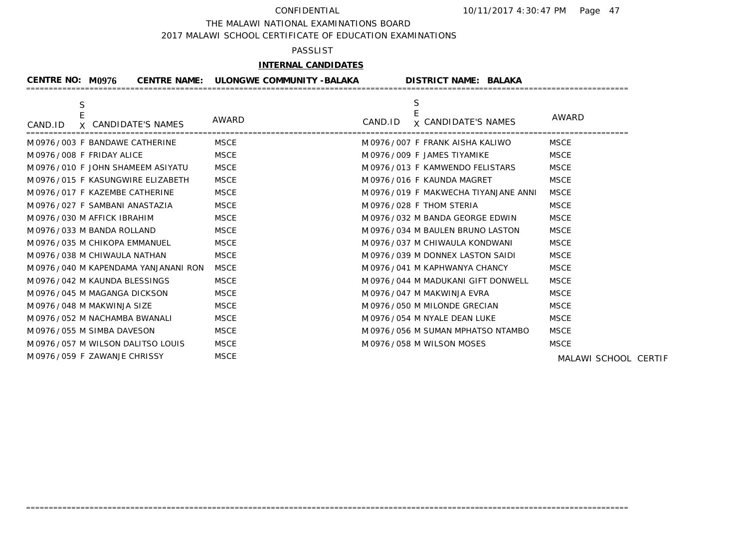THE MALAWI NATIONAL EXAMINATIONS BOARD

2017 MALAWI SCHOOL CERTIFICATE OF EDUCATION EXAMINATIONS

## PASSLIST

# **INTERNAL CANDIDATES**

| CENTRE NO: $M$ 0976                           | CENTRE NAME: ULONGWE COMMUNITY -BALAKA |         | <b>DISTRICT NAME: BALAKA</b>         |                      |
|-----------------------------------------------|----------------------------------------|---------|--------------------------------------|----------------------|
| $\mathsf S$<br>X CANDIDATE'S NAMES<br>CAND.ID | AWARD                                  | CAND.ID | S<br><b>x CANDIDATE'S NAMES</b>      | AWARD                |
| M0976/003 F BANDAWE CATHERINE                 | MSCE                                   |         | M 0976 / 007 F FRANK AISHA KALIWO    | MSCE                 |
| M0976/008 F FRIDAY ALICE                      | <b>MSCE</b>                            |         | M 0976 / 009 F JAMES TIYAMIKE        | <b>MSCE</b>          |
| M 0976 / 010 F JOHN SHAMEEM ASIYATU           | <b>MSCE</b>                            |         | M0976/013 F KAMWENDO FELISTARS       | <b>MSCE</b>          |
| M0976/015 F KASUNGWIRE ELIZABETH              | <b>MSCE</b>                            |         | M0976/016 F KAUNDA MAGRET            | <b>MSCE</b>          |
| M0976/017 F KAZEMBE CATHERINE                 | <b>MSCE</b>                            |         | M0976/019 F MAKWECHA TIYANJANE ANNI  | <b>MSCE</b>          |
| M0976/027 F SAMBANI ANASTAZIA                 | <b>MSCE</b>                            |         | M0976/028 F THOM STERIA              | <b>MSCE</b>          |
| M0976/030 M AFFICK IBRAHIM                    | <b>MSCE</b>                            |         | M0976/032 M BANDA GEORGE EDWIN       | <b>MSCE</b>          |
| M0976/033 M BANDA ROLLAND                     | <b>MSCE</b>                            |         | M 0976 / 034 M BAULEN BRUNO LASTON   | <b>MSCE</b>          |
| M 0976 / 035 M CHIKOPA EMMANUEL               | <b>MSCE</b>                            |         | M 0976/037 M CHIWAULA KONDWANI       | <b>MSCE</b>          |
| M0976/038 M CHIWAULA NATHAN                   | <b>MSCE</b>                            |         | M 0976/039 M DONNEX LASTON SAIDI     | <b>MSCE</b>          |
| M 0976/040 M KAPENDAMA YANJANANI RON          | <b>MSCE</b>                            |         | M 0976 / 041 M KAPHWANYA CHANCY      | <b>MSCE</b>          |
| M0976/042 M KAUNDA BLESSINGS                  | <b>MSCE</b>                            |         | M 0976 / 044 M MADUKANI GIFT DONWELL | <b>MSCE</b>          |
| M0976/045 M MAGANGA DICKSON                   | <b>MSCE</b>                            |         | M 0976 / 047 M MAKWINJA EVRA         | <b>MSCE</b>          |
| M0976/048 M MAKWINJA SIZE                     | <b>MSCE</b>                            |         | M0976/050 M MILONDE GRECIAN          | <b>MSCE</b>          |
| M0976/052 M NACHAMBA BWANALI                  | <b>MSCE</b>                            |         | M 0976 / 054 M NYALE DEAN LUKE       | <b>MSCE</b>          |
| M0976/055 M SIMBA DAVESON                     | <b>MSCE</b>                            |         | M 0976 / 056 M SUMAN MPHATSO NTAMBO  | <b>MSCE</b>          |
| M0976/057 M WILSON DALITSO LOUIS              | <b>MSCE</b>                            |         | M0976/058 M WILSON MOSES             | <b>MSCE</b>          |
| M0976/059 F ZAWANJE CHRISSY                   | <b>MSCE</b>                            |         |                                      | MALAWI SCHOOL CERTIF |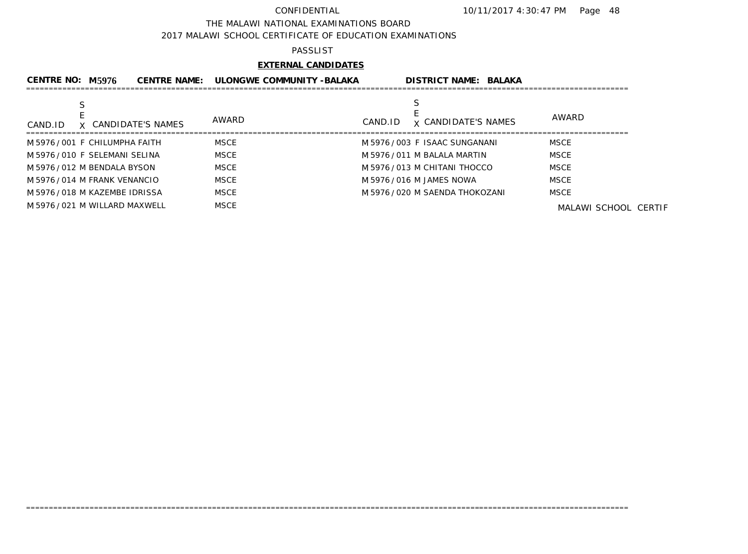### THE MALAWI NATIONAL EXAMINATIONS BOARD

2017 MALAWI SCHOOL CERTIFICATE OF EDUCATION EXAMINATIONS

### PASSLIST

## **EXTERNAL CANDIDATES**

| <b>CENTRE NO: M5976</b>        | <b>CENTRE NAME:</b>          | ULONGWE COMMUNITY -BALAKA | <b>DISTRICT NAME: BALAKA</b>    |                      |
|--------------------------------|------------------------------|---------------------------|---------------------------------|----------------------|
|                                |                              |                           |                                 |                      |
| CAND.ID                        | AWARD<br>X CANDIDATE'S NAMES | CAND.ID                   | <b>x CANDIDATE'S NAMES</b>      | AWARD                |
| M 5976/001 F CHILUMPHA FAITH   | MSCE                         |                           | M 5976/003 F ISAAC SUNGANANI    | <b>MSCE</b>          |
| M 5976/010 F SELEMANI SELINA   | <b>MSCE</b>                  |                           | M 5976 / 011 M BALALA MARTIN    | <b>MSCE</b>          |
| M 5976 / 012 M BENDALA BYSON   | <b>MSCE</b>                  |                           | M 5976/013 M CHITANI THOCCO     | <b>MSCE</b>          |
| M 5976 / 014 M FRANK VENANCIO  | <b>MSCE</b>                  |                           | M 5976 / 016 M JAMES NOWA       | <b>MSCE</b>          |
| M 5976/018 M KAZEMBE IDRISSA   | <b>MSCE</b>                  |                           | M 5976 / 020 M SAENDA THOKOZANI | <b>MSCE</b>          |
| M 5976 / 021 M WILLARD MAXWELL | <b>MSCE</b>                  |                           |                                 | MALAWI SCHOOL CERTIF |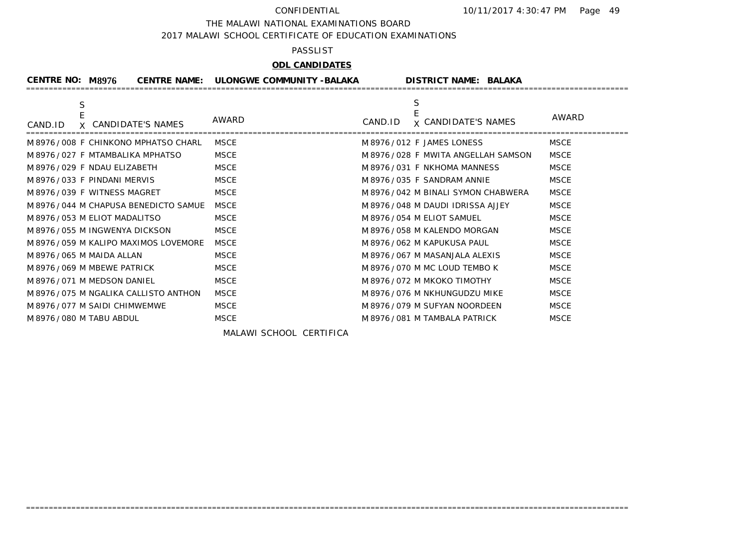THE MALAWI NATIONAL EXAMINATIONS BOARD

2017 MALAWI SCHOOL CERTIFICATE OF EDUCATION EXAMINATIONS

## PASSLIST

# **ODL CANDIDATES**

| <b>CENTRE NO: M8976</b>         |                                        | CENTRE NAME: ULONGWE COMMUNITY -BALAKA |         | <b>DISTRICT NAME: BALAKA</b>         |             |
|---------------------------------|----------------------------------------|----------------------------------------|---------|--------------------------------------|-------------|
| S<br>CAND.ID                    | X CANDIDATE'S NAMES                    | AWARD                                  | CAND.ID | S<br><b>x CANDIDATE'S NAMES</b>      | AWARD       |
|                                 | M 8976 / 008 F CHINKONO MPHATSO CHARL  | <b>MSCE</b>                            |         | M 8976/012 F JAMES LONESS            | <b>MSCE</b> |
| M 8976/027 F MTAMBALIKA MPHATSO |                                        | <b>MSCE</b>                            |         | M 8976 / 028 F MWITA ANGELLAH SAMSON | <b>MSCE</b> |
| M 8976/029 F NDAU ELIZABETH     |                                        | <b>MSCE</b>                            |         | M 8976/031 F NKHOMA MANNESS          | <b>MSCE</b> |
| M 8976/033 F PINDANI MERVIS     |                                        | <b>MSCE</b>                            |         | M 8976/035 F SANDRAM ANNIE           | <b>MSCE</b> |
| M 8976/039 F WITNESS MAGRET     |                                        | <b>MSCE</b>                            |         | M 8976/042 M BINALI SYMON CHABWERA   | <b>MSCE</b> |
|                                 | M 8976 / 044 M CHAPUSA BENEDICTO SAMUE | <b>MSCE</b>                            |         | M 8976/048 M DAUDI IDRISSA AJJEY     | <b>MSCE</b> |
| M 8976/053 M ELIOT MADALITSO    |                                        | <b>MSCE</b>                            |         | M 8976 / 054 M ELIOT SAMUEL          | <b>MSCE</b> |
| M 8976 / 055 M INGWENYA DICKSON |                                        | <b>MSCE</b>                            |         | M 8976 / 058 M KALENDO MORGAN        | <b>MSCE</b> |
|                                 | M 8976 / 059 M KALIPO MAXIMOS LOVEMORE | <b>MSCE</b>                            |         | M 8976 / 062 M KAPUKUSA PAUL         | <b>MSCE</b> |
| M 8976 / 065 M MAIDA ALLAN      |                                        | <b>MSCE</b>                            |         | M 8976/067 M MASANJALA ALEXIS        | <b>MSCE</b> |
| M 8976 / 069 M MBEWE PATRICK    |                                        | <b>MSCE</b>                            |         | M 8976/070 M MC LOUD TEMBO K         | <b>MSCE</b> |
| M 8976/071 M MEDSON DANIEL      |                                        | <b>MSCE</b>                            |         | M 8976 / 072 M MKOKO TIMOTHY         | <b>MSCE</b> |
|                                 | M 8976 / 075 M NGALIKA CALLISTO ANTHON | <b>MSCE</b>                            |         | M 8976/076 M NKHUNGUDZU MIKE         | <b>MSCE</b> |
| M 8976/077 M SAIDI CHIMWEMWE    |                                        | <b>MSCE</b>                            |         | M 8976/079 M SUFYAN NOORDEEN         | <b>MSCE</b> |
| M 8976 / 080 M TABU ABDUL       |                                        | <b>MSCE</b>                            |         | M 8976 / 081 M TAMBALA PATRICK       | <b>MSCE</b> |
|                                 |                                        |                                        |         |                                      |             |

=====================================================================================================================================

MALAWI SCHOOL CERTIFICA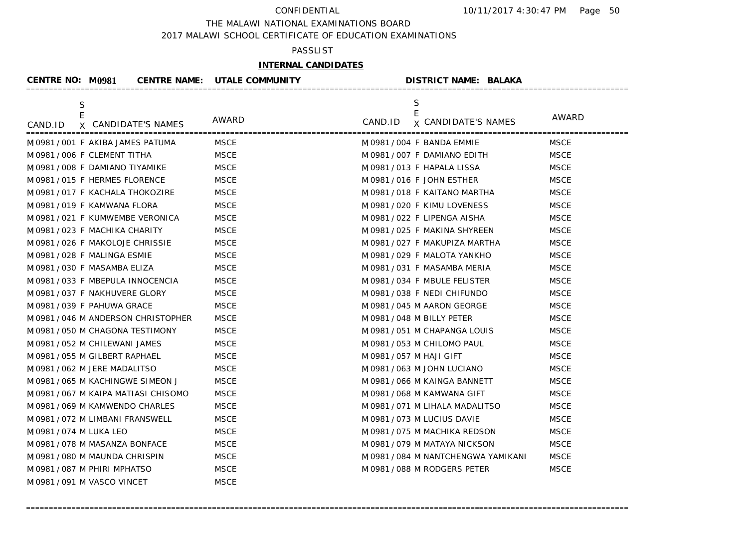THE MALAWI NATIONAL EXAMINATIONS BOARD

2017 MALAWI SCHOOL CERTIFICATE OF EDUCATION EXAMINATIONS

## PASSLIST

# **INTERNAL CANDIDATES**

| <b>CENTRE NO: M0981</b>                                           | <b>CENTRE NAME: UTALE COMMUNITY</b> | <b>DISTRICT NAME: BALAKA</b>                 |             |
|-------------------------------------------------------------------|-------------------------------------|----------------------------------------------|-------------|
| $\frac{\mathsf{S}}{\mathsf{E}}$<br>X CANDIDATE'S NAMES<br>CAND.ID | AWARD                               | S<br>E<br>CAND.ID <b>x</b> CANDIDATE'S NAMES | AWARD       |
| M0981/001 F AKIBA JAMES PATUMA                                    | <b>MSCE</b>                         | M 0981 / 004 F BANDA EMMIE                   | <b>MSCE</b> |
| M0981/006 F CLEMENT TITHA                                         | <b>MSCE</b>                         | M 0981 / 007 F DAMIANO EDITH                 | <b>MSCE</b> |
| M0981/008 F DAMIANO TIYAMIKE                                      | <b>MSCE</b>                         | M 0981/013 F HAPALA LISSA                    | <b>MSCE</b> |
| M0981/015 F HERMES FLORENCE                                       | <b>MSCE</b>                         | M 0981 / 016 F JOHN ESTHER                   | <b>MSCE</b> |
| M0981/017 F KACHALA THOKOZIRE                                     | <b>MSCE</b>                         | M 0981 / 018 F KAITANO MARTHA                | <b>MSCE</b> |
| M 0981 / 019 F KAMWANA FLORA                                      | <b>MSCE</b>                         | M0981/020 F KIMU LOVENESS                    | <b>MSCE</b> |
| M0981/021 F KUMWEMBE VERONICA                                     | <b>MSCE</b>                         | M 0981 / 022 F LIPENGA AISHA                 | <b>MSCE</b> |
| M0981/023 F MACHIKA CHARITY                                       | <b>MSCE</b>                         | M 0981 / 025 F MAKINA SHYREEN                | <b>MSCE</b> |
| M0981/026 F MAKOLOJE CHRISSIE                                     | <b>MSCE</b>                         | M 0981 / 027 F MAKUPIZA MARTHA               | <b>MSCE</b> |
| M0981/028 F MALINGA ESMIE                                         | <b>MSCE</b>                         | M 0981 / 029 F MALOTA YANKHO                 | <b>MSCE</b> |
| M0981/030 F MASAMBA ELIZA                                         | <b>MSCE</b>                         | M 0981/031 F MASAMBA MERIA                   | <b>MSCE</b> |
| M0981/033 F MBEPULA INNOCENCIA                                    | <b>MSCE</b>                         | M0981/034 F MBULE FELISTER                   | <b>MSCE</b> |
| M0981/037 F NAKHUVERE GLORY                                       | <b>MSCE</b>                         | M0981/038 F NEDI CHIFUNDO                    | <b>MSCE</b> |
| M0981/039 F PAHUWA GRACE                                          | <b>MSCE</b>                         | M 0981 / 045 M AARON GEORGE                  | <b>MSCE</b> |
| M0981/046 M ANDERSON CHRISTOPHER                                  | <b>MSCE</b>                         | M 0981 / 048 M BILLY PETER                   | <b>MSCE</b> |
| M 0981 / 050 M CHAGONA TESTIMONY                                  | <b>MSCE</b>                         | M 0981 / 051 M CHAPANGA LOUIS                | <b>MSCE</b> |
| M0981/052 M CHILEWANI JAMES                                       | <b>MSCE</b>                         | M 0981 / 053 M CHILOMO PAUL                  | <b>MSCE</b> |
| M 0981 / 055 M GILBERT RAPHAEL                                    | <b>MSCE</b>                         | M 0981 / 057 M HAJI GIFT                     | <b>MSCE</b> |
| M 0981 / 062 M JERE MADALITSO                                     | <b>MSCE</b>                         | M 0981 / 063 M JOHN LUCIANO                  | <b>MSCE</b> |
| M0981/065 M KACHINGWE SIMEON J                                    | <b>MSCE</b>                         | M 0981 / 066 M KAINGA BANNETT                | <b>MSCE</b> |
| M0981/067 M KAIPA MATIASI CHISOMO                                 | <b>MSCE</b>                         | M0981/068 M KAMWANA GIFT                     | <b>MSCE</b> |
| M0981/069 M KAMWENDO CHARLES                                      | <b>MSCE</b>                         | M 0981 / 071 M LIHALA MADALITSO              | <b>MSCE</b> |
| M0981/072 M LIMBANI FRANSWELL                                     | <b>MSCE</b>                         | M 0981 / 073 M LUCIUS DAVIE                  | <b>MSCE</b> |
| M 0981 / 074 M LUKA LEO                                           | <b>MSCE</b>                         | M0981/075 M MACHIKA REDSON                   | <b>MSCE</b> |
| M0981/078 M MASANZA BONFACE                                       | <b>MSCE</b>                         | M0981/079 M MATAYA NICKSON                   | <b>MSCE</b> |
| M0981/080 M MAUNDA CHRISPIN                                       | <b>MSCE</b>                         | M0981/084 M NANTCHENGWA YAMIKANI             | <b>MSCE</b> |
| M0981/087 M PHIRI MPHATSO                                         | <b>MSCE</b>                         | M0981/088 M RODGERS PETER                    | <b>MSCE</b> |
| M 0981 / 091 M VASCO VINCET                                       | <b>MSCE</b>                         |                                              |             |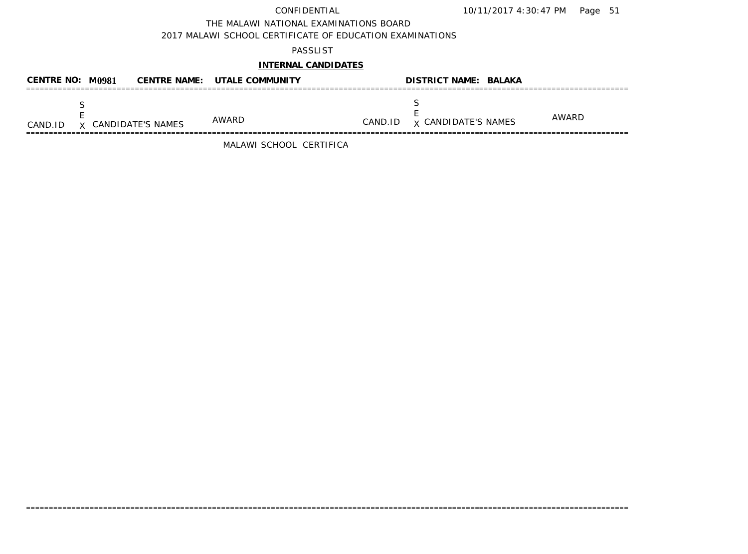THE MALAWI NATIONAL EXAMINATIONS BOARD

2017 MALAWI SCHOOL CERTIFICATE OF EDUCATION EXAMINATIONS

## PASSLIST

## **INTERNAL CANDIDATES**

| CENTRE NO: M0981 |                            | <b>CENTRE NAME: UTALE COMMUNITY</b> |         | <b>DISTRICT NAME: BALAKA</b> |       |
|------------------|----------------------------|-------------------------------------|---------|------------------------------|-------|
| CAND.ID          | <b>x</b> CANDIDATE'S NAMES | AWARD                               | CAND.ID | <b>x CANDIDATE'S NAMES</b>   | AWARD |

=====================================================================================================================================

MALAWI SCHOOL CERTIFICA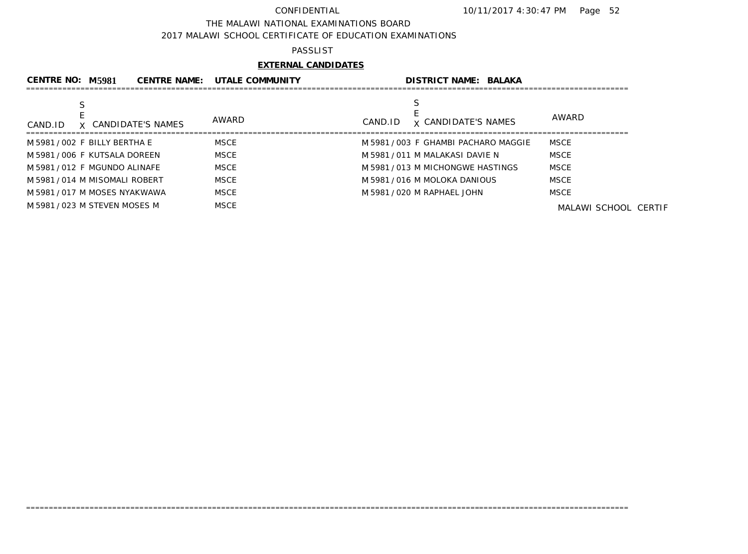### THE MALAWI NATIONAL EXAMINATIONS BOARD

2017 MALAWI SCHOOL CERTIFICATE OF EDUCATION EXAMINATIONS

### PASSLIST

## **EXTERNAL CANDIDATES**

| CENTRE NO: M5981               | <b>CENTRE NAME:</b> | <b>UTALE COMMUNITY</b> | <b>DISTRICT NAME: BALAKA</b>          |                      |
|--------------------------------|---------------------|------------------------|---------------------------------------|----------------------|
|                                |                     |                        |                                       |                      |
| CAND.ID                        | X CANDIDATE'S NAMES | AWARD                  | <b>x CANDIDATE'S NAMES</b><br>CAND.ID | AWARD                |
| M 5981/002 F BILLY BERTHA E    |                     | <b>MSCE</b>            | M 5981/003 F GHAMBI PACHARO MAGGIE    | <b>MSCE</b>          |
| M 5981 / 006 F KUTSALA DOREEN  |                     | <b>MSCE</b>            | M 5981 / 011 M MALAKASI DAVIE N       | MSCE                 |
| M 5981/012 F MGUNDO ALINAFE    |                     | MSCE                   | M 5981/013 M MICHONGWE HASTINGS       | <b>MSCE</b>          |
| M 5981 / 014 M MISOMALI ROBERT |                     | <b>MSCE</b>            | M 5981 / 016 M MOLOKA DANIOUS         | <b>MSCE</b>          |
| M 5981 / 017 M MOSES NYAKWAWA  |                     | <b>MSCE</b>            | M 5981 / 020 M RAPHAEL JOHN           | <b>MSCE</b>          |
| M 5981/023 M STEVEN MOSES M    |                     | MSCE                   |                                       | MALAWI SCHOOL CERTIF |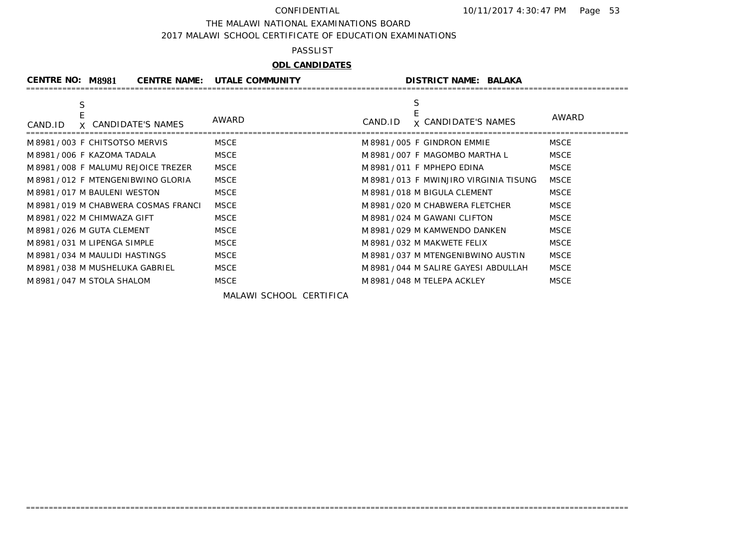THE MALAWI NATIONAL EXAMINATIONS BOARD

2017 MALAWI SCHOOL CERTIFICATE OF EDUCATION EXAMINATIONS

### PASSLIST

# **ODL CANDIDATES**

| <b>CENTRE NO: M8981</b>              | <b>CENTRE NAME: UTALE COMMUNITY</b> | <b>DISTRICT NAME: BALAKA</b>          |             |
|--------------------------------------|-------------------------------------|---------------------------------------|-------------|
| S<br>X CANDIDATE'S NAMES<br>CAND.ID  | AWARD                               | S<br>x CANDIDATE'S NAMES<br>CAND.ID   | AWARD       |
| M8981/003 F CHITSOTSO MERVIS         | <b>MSCE</b>                         | M 8981/005 F GINDRON EMMIE            | <b>MSCE</b> |
| M 8981/006 F KAZOMA TADALA           | <b>MSCE</b>                         | M 8981 / 007 F MAGOMBO MARTHA L       | <b>MSCE</b> |
| M 8981 / 008 F MALUMU REJOICE TREZER | <b>MSCE</b>                         | M 8981/011 F MPHEPO EDINA             | <b>MSCE</b> |
| M 8981/012 F MTENGENIBWINO GLORIA    | <b>MSCE</b>                         | M 8981/013 F MWINJIRO VIRGINIA TISUNG | <b>MSCE</b> |
| M8981/017 M BAULENI WESTON           | <b>MSCE</b>                         | M 8981 / 018 M BIGULA CLEMENT         | <b>MSCE</b> |
| M 8981/019 M CHABWERA COSMAS FRANCI  | <b>MSCE</b>                         | M 8981 / 020 M CHABWERA FLETCHER      | <b>MSCE</b> |
| M 8981 / 022 M CHIMWAZA GIFT         | <b>MSCE</b>                         | M 8981/024 M GAWANI CLIFTON           | <b>MSCE</b> |
| M 8981 / 026 M GUTA CLEMENT          | <b>MSCE</b>                         | M 8981 / 029 M KAMWENDO DANKEN        | <b>MSCE</b> |
| M 8981 / 031 M LIPENGA SIMPLE        | <b>MSCE</b>                         | M 8981 / 032 M MAKWETE FELIX          | <b>MSCE</b> |
| M 8981/034 M MAULIDI HASTINGS        | <b>MSCE</b>                         | M 8981/037 M MTENGENIBWINO AUSTIN     | <b>MSCE</b> |
| M 8981/038 M MUSHELUKA GABRIEL       | <b>MSCE</b>                         | M 8981 / 044 M SALIRE GAYESI ABDULLAH | <b>MSCE</b> |
| M 8981 / 047 M STOLA SHALOM          | <b>MSCE</b>                         | M 8981 / 048 M TELEPA ACKLEY          | <b>MSCE</b> |

=====================================================================================================================================

MALAWI SCHOOL CERTIFICA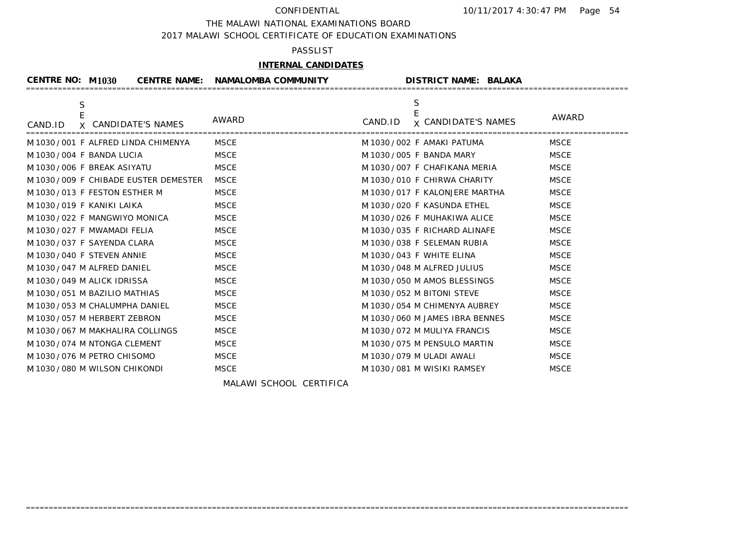THE MALAWI NATIONAL EXAMINATIONS BOARD

2017 MALAWI SCHOOL CERTIFICATE OF EDUCATION EXAMINATIONS

## PASSLIST

## **INTERNAL CANDIDATES**

| <b>CENTRE NO: M1030</b><br><b>CENTRE NAME:</b> | <b>NAMALOMBA COMMUNITY</b> | <b>DISTRICT NAME: BALAKA</b>                    |             |
|------------------------------------------------|----------------------------|-------------------------------------------------|-------------|
| $\mathsf S$<br>X CANDIDATE'S NAMES<br>CAND.ID  | AWARD                      | S<br>E<br><b>x CANDIDATE'S NAMES</b><br>CAND.ID | AWARD       |
| M 1030 / 001 F ALFRED LINDA CHIMENYA           | <b>MSCE</b>                | M 1030 / 002 F AMAKI PATUMA                     | <b>MSCE</b> |
| M 1030 / 004 F BANDA LUCIA                     | <b>MSCE</b>                | M 1030 / 005 F BANDA MARY                       | <b>MSCE</b> |
| M 1030/006 F BREAK ASIYATU                     | <b>MSCE</b>                | M 1030 / 007 F CHAFIKANA MERIA                  | <b>MSCE</b> |
| M 1030 / 009 F CHIBADE EUSTER DEMESTER         | <b>MSCE</b>                | M 1030/010 F CHIRWA CHARITY                     | <b>MSCE</b> |
| M 1030/013 F FESTON ESTHER M                   | <b>MSCE</b>                | M 1030 / 017 F KALONJERE MARTHA                 | <b>MSCE</b> |
| M1030/019 F KANIKI LAIKA                       | <b>MSCE</b>                | M 1030/020 F KASUNDA ETHEL                      | <b>MSCE</b> |
| M 1030/022 F MANGWIYO MONICA                   | <b>MSCE</b>                | M 1030/026 F MUHAKIWA ALICE                     | <b>MSCE</b> |
| M 1030 / 027 F MWAMADI FELIA                   | <b>MSCE</b>                | M 1030/035 F RICHARD ALINAFE                    | <b>MSCE</b> |
| M 1030 / 037 F SAYENDA CLARA                   | <b>MSCE</b>                | M 1030/038 F SELEMAN RUBIA                      | <b>MSCE</b> |
| M 1030/040 F STEVEN ANNIE                      | <b>MSCE</b>                | M 1030/043 F WHITE ELINA                        | <b>MSCE</b> |
| M 1030 / 047 M ALFRED DANIEL                   | <b>MSCE</b>                | M 1030 / 048 M ALFRED JULIUS                    | <b>MSCE</b> |
| M 1030/049 M ALICK IDRISSA                     | <b>MSCE</b>                | M 1030 / 050 M AMOS BLESSINGS                   | <b>MSCE</b> |
| M 1030 / 051 M BAZILIO MATHIAS                 | <b>MSCE</b>                | M 1030 / 052 M BITONI STEVE                     | <b>MSCE</b> |
| M 1030 / 053 M CHALUMPHA DANIEL                | <b>MSCE</b>                | M 1030 / 054 M CHIMENYA AUBREY                  | <b>MSCE</b> |
| M 1030 / 057 M HERBERT ZEBRON                  | <b>MSCE</b>                | M 1030/060 M JAMES IBRA BENNES                  | <b>MSCE</b> |
| M 1030 / 067 M MAKHALIRA COLLINGS              | <b>MSCE</b>                | M 1030 / 072 M MULIYA FRANCIS                   | <b>MSCE</b> |
| M 1030 / 074 M NTONGA CLEMENT                  | <b>MSCE</b>                | M 1030 / 075 M PENSULO MARTIN                   | <b>MSCE</b> |
| M 1030 / 076 M PETRO CHISOMO                   | <b>MSCE</b>                | M 1030 / 079 M ULADI AWALI                      | <b>MSCE</b> |
| M 1030 / 080 M WILSON CHIKONDI                 | <b>MSCE</b>                | M 1030 / 081 M WISIKI RAMSEY                    | <b>MSCE</b> |
|                                                |                            |                                                 |             |

=====================================================================================================================================

MALAWI SCHOOL CERTIFICA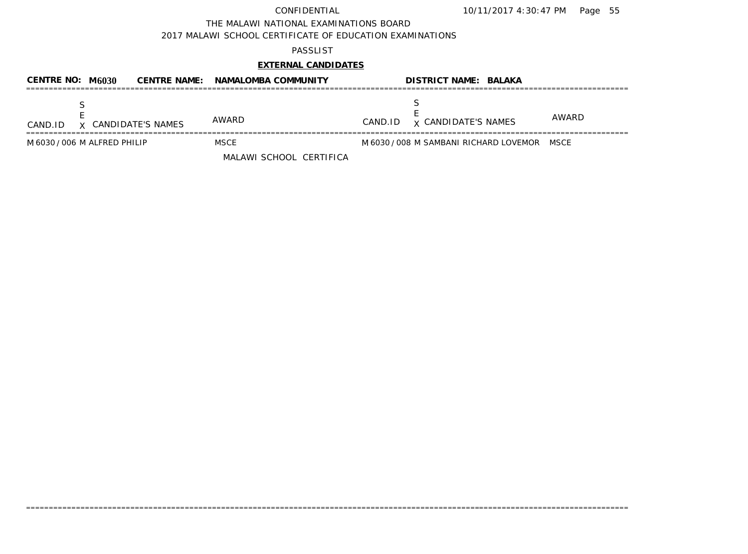THE MALAWI NATIONAL EXAMINATIONS BOARD

2017 MALAWI SCHOOL CERTIFICATE OF EDUCATION EXAMINATIONS

## PASSLIST

# **EXTERNAL CANDIDATES**

| CENTRE NO: $M6030$             | <b>CENTRE NAME: NAMALOMBA COMMUNITY</b> | <b>DISTRICT NAME: BALAKA</b>                |       |
|--------------------------------|-----------------------------------------|---------------------------------------------|-------|
| X CANDIDATE'S NAMES<br>CAND.ID | <b>AWARD</b>                            | <b>x CANDIDATE'S NAMES</b><br>CAND.ID       | AWARD |
| M 6030 / 006 M ALFRED PHILIP   | MSCE<br>MALAWI SCHOOL CERTIFICA         | M 6030 / 008 M SAMBANI RICHARD LOVEMOR MSCE |       |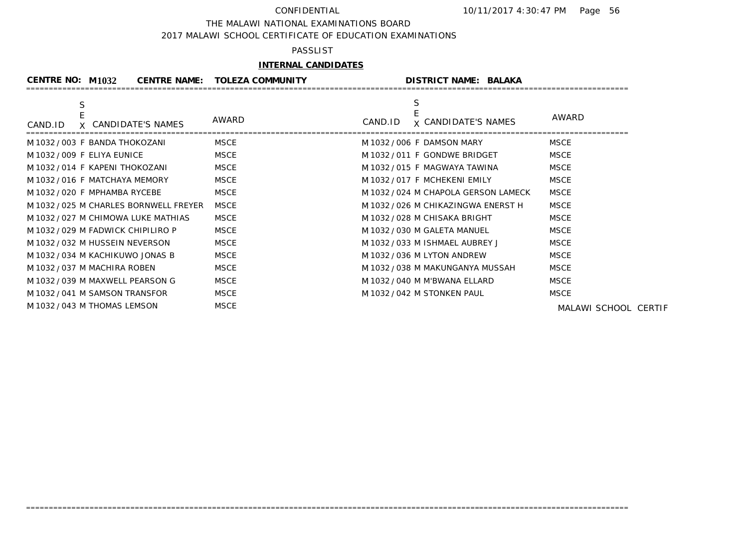### THE MALAWI NATIONAL EXAMINATIONS BOARD

2017 MALAWI SCHOOL CERTIFICATE OF EDUCATION EXAMINATIONS

### PASSLIST

# **INTERNAL CANDIDATES**

| <b>CENTRE NO: M1032</b>                | CENTRE NAME: TOLEZA COMMUNITY | <b>DISTRICT NAME: BALAKA</b>               |               |
|----------------------------------------|-------------------------------|--------------------------------------------|---------------|
| S<br>X CANDIDATE'S NAMES<br>CAND.ID    | AWARD                         | S<br><b>x CANDIDATE'S NAMES</b><br>CAND.ID | AWARD         |
| M 1032 / 003 F BANDA THOKOZANI         | <b>MSCE</b>                   | M 1032 / 006 F DAMSON MARY                 | <b>MSCE</b>   |
| M 1032 / 009 F ELIYA EUNICE            | <b>MSCE</b>                   | M 1032 / 011 F GONDWE BRIDGET              | <b>MSCE</b>   |
| M 1032 / 014 F KAPENI THOKOZANI        | <b>MSCE</b>                   | M 1032 / 015 F MAGWAYA TAWINA              | <b>MSCE</b>   |
| M 1032 / 016 F MATCHAYA MEMORY         | <b>MSCE</b>                   | M 1032/017 F MCHEKENI EMILY                | <b>MSCE</b>   |
| M 1032 / 020 F MPHAMBA RYCEBE          | <b>MSCE</b>                   | M 1032 / 024 M CHAPOLA GERSON LAMECK       | <b>MSCE</b>   |
| M 1032 / 025 M CHARLES BORNWELL FREYER | <b>MSCE</b>                   | M 1032 / 026 M CHIKAZINGWA ENERST H        | <b>MSCE</b>   |
| M 1032 / 027 M CHIMOWA LUKE MATHIAS    | <b>MSCE</b>                   | M 1032 / 028 M CHISAKA BRIGHT              | <b>MSCE</b>   |
| M 1032/029 M FADWICK CHIPILIRO P       | <b>MSCE</b>                   | M 1032 / 030 M GALETA MANUEL               | <b>MSCE</b>   |
| M 1032 / 032 M HUSSEIN NEVERSON        | <b>MSCE</b>                   | M 1032 / 033 M ISHMAEL AUBREY J            | <b>MSCE</b>   |
| M 1032/034 M KACHIKUWO JONAS B         | <b>MSCE</b>                   | M 1032 / 036 M LYTON ANDREW                | <b>MSCE</b>   |
| M 1032 / 037 M MACHIRA ROBEN           | <b>MSCE</b>                   | M 1032 / 038 M MAKUNGANYA MUSSAH           | <b>MSCE</b>   |
| M 1032 / 039 M MAXWELL PEARSON G       | <b>MSCE</b>                   | M 1032 / 040 M M'BWANA ELLARD              | <b>MSCE</b>   |
| M 1032 / 041 M SAMSON TRANSFOR         | <b>MSCE</b>                   | M 1032 / 042 M STONKEN PAUL                | <b>MSCE</b>   |
| M 1032 / 043 M THOMAS LEMSON           | <b>MSCE</b>                   |                                            | MALAWI SCHOOL |

=====================================================================================================================================

MALAWI SCHOOL CERTIF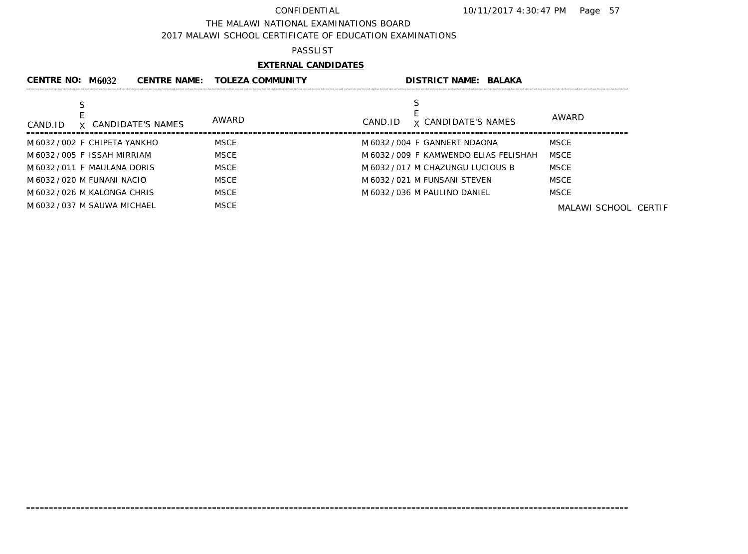### THE MALAWI NATIONAL EXAMINATIONS BOARD

2017 MALAWI SCHOOL CERTIFICATE OF EDUCATION EXAMINATIONS

### PASSLIST

# **EXTERNAL CANDIDATES**

| AWARD<br>AWARD<br><b>x CANDIDATE'S NAMES</b><br>CAND.ID<br>X CANDIDATE'S NAMES<br>CAND.ID            |  |
|------------------------------------------------------------------------------------------------------|--|
| <b>MSCE</b><br><b>MSCE</b><br>M 6032 / 002 F CHIPETA YANKHO<br>M 6032 / 004 F GANNERT NDAONA         |  |
| <b>MSCE</b><br>M 6032 / 005 F ISSAH MIRRIAM<br>M 6032 / 009 F KAMWENDO ELIAS FELISHAH<br><b>MSCE</b> |  |
| <b>MSCE</b><br><b>MSCE</b><br>M 6032/011 F MAULANA DORIS<br>M 6032 / 017 M CHAZUNGU LUCIOUS B        |  |
| <b>MSCE</b><br>MSCE<br>M 6032 / 021 M FUNSANI STEVEN<br>M 6032 / 020 M FUNANI NACIO                  |  |
| <b>MSCE</b><br><b>MSCE</b><br>M 6032 / 026 M KALONGA CHRIS<br>M 6032 / 036 M PAULINO DANIEL          |  |
| <b>MSCE</b><br>M 6032 / 037 M SAUWA MICHAEL<br>MALAWI SCHOOL CERTIF                                  |  |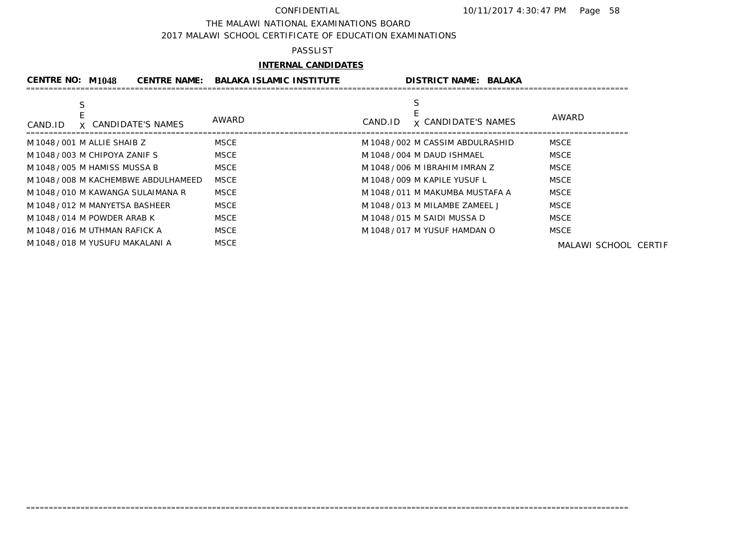### THE MALAWI NATIONAL EXAMINATIONS BOARD

2017 MALAWI SCHOOL CERTIFICATE OF EDUCATION EXAMINATIONS

## PASSLIST

# **INTERNAL CANDIDATES**

| <b>CENTRE NO: M1048</b>              | <b>CENTRE NAME:</b> | <b>BALAKA ISLAMIC INSTITUTE</b> | <b>DISTRICT NAME: BALAKA</b>      |                      |
|--------------------------------------|---------------------|---------------------------------|-----------------------------------|----------------------|
|                                      |                     |                                 |                                   |                      |
| X CANDIDATE'S NAMES<br>CAND.ID       | AWARD               | CAND.ID                         | <b>x CANDIDATE'S NAMES</b>        | AWARD                |
| M 1048/001 M ALLIE SHAIB Z           | <b>MSCE</b>         |                                 | M 1048 / 002 M CASSIM ABDULRASHID | <b>MSCE</b>          |
| M 1048 / 003 M CHIPOYA ZANIF S       | <b>MSCE</b>         |                                 | M 1048 / 004 M DAUD ISHMAEL       | <b>MSCE</b>          |
| M 1048 / 005 M HAMISS MUSSA B        | <b>MSCE</b>         |                                 | M 1048 / 006 M IBRAHIM IMRAN Z    | MSCE                 |
| M 1048 / 008 M KACHEMBWE ABDULHAMEED | <b>MSCE</b>         |                                 | M 1048 / 009 M KAPILE YUSUF L     | <b>MSCE</b>          |
| M 1048 / 010 M KAWANGA SULAIMANA R   | MSCE                |                                 | M 1048 / 011 M MAKUMBA MUSTAFA A  | MSCE                 |
| M 1048 / 012 M MANYETSA BASHEER      | <b>MSCE</b>         |                                 | M 1048 / 013 M MILAMBE ZAMEEL J   | <b>MSCE</b>          |
| M 1048 / 014 M POWDER ARAB K         | <b>MSCE</b>         |                                 | M 1048 / 015 M SAIDI MUSSA D      | <b>MSCE</b>          |
| M 1048 / 016 M UTHMAN RAFICK A       | <b>MSCE</b>         |                                 | M 1048 / 017 M YUSUF HAMDAN O     | MSCE                 |
| M 1048 / 018 M YUSUFU MAKALANI A     | <b>MSCE</b>         |                                 |                                   | MALAWI SCHOOL CERTIF |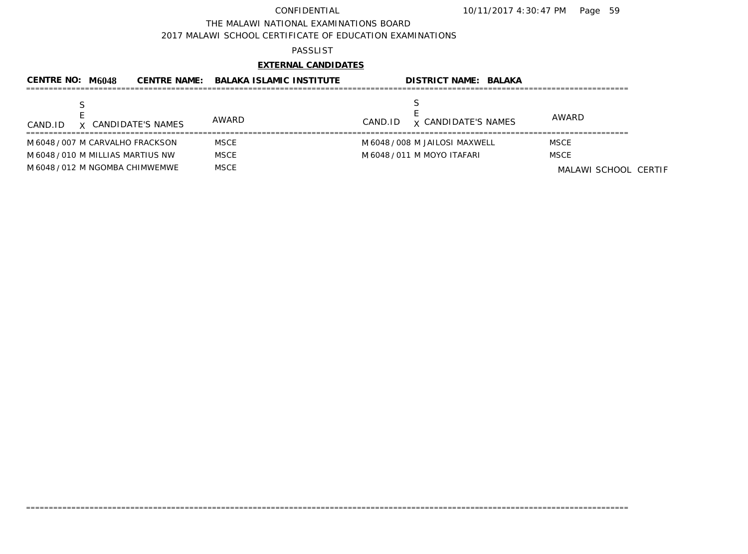### THE MALAWI NATIONAL EXAMINATIONS BOARD

2017 MALAWI SCHOOL CERTIFICATE OF EDUCATION EXAMINATIONS

## PASSLIST

# **EXTERNAL CANDIDATES**

| CENTRE NO: M6048                  |                     | CENTRE NAME: BALAKA ISLAMIC INSTITUTE | <b>DISTRICT NAME: BALAKA</b>          |                      |
|-----------------------------------|---------------------|---------------------------------------|---------------------------------------|----------------------|
| CAND.ID                           | X CANDIDATE'S NAMES | AWARD                                 | <b>x CANDIDATE'S NAMES</b><br>CAND.ID | AWARD                |
| M 6048 / 007 M CARVALHO FRACKSON  |                     | <b>MSCE</b>                           | M 6048 / 008 M JAILOSI MAXWELL        | <b>MSCE</b>          |
| M 6048 / 010 M MILLIAS MARTIUS NW |                     | <b>MSCE</b>                           | M 6048 / 011 M MOYO ITAFARI           | <b>MSCE</b>          |
| M 6048 / 012 M NGOMBA CHIMWEMWE   |                     | <b>MSCE</b>                           |                                       | MALAWI SCHOOL CERTIF |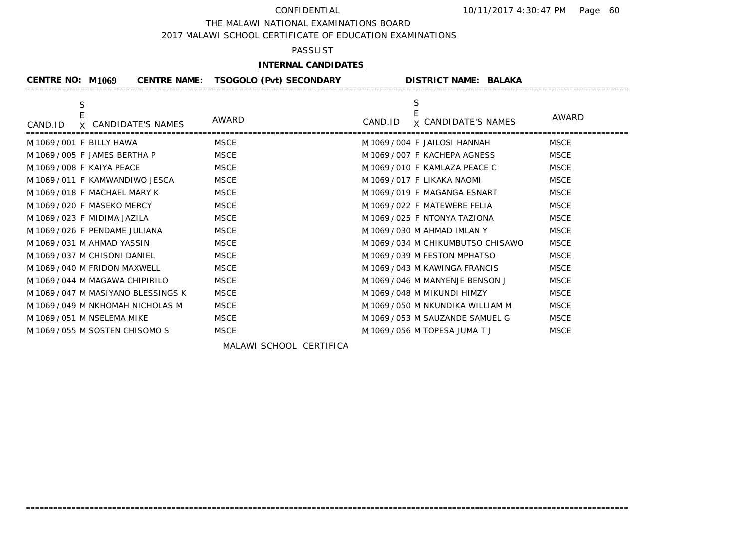### THE MALAWI NATIONAL EXAMINATIONS BOARD

2017 MALAWI SCHOOL CERTIFICATE OF EDUCATION EXAMINATIONS

## PASSLIST

## **INTERNAL CANDIDATES**

| <b>CENTRE NO: M1069</b>                  | CENTRE NAME: TSOGOLO (Pvt) SECONDARY | <b>DISTRICT NAME: BALAKA</b>               |             |
|------------------------------------------|--------------------------------------|--------------------------------------------|-------------|
| S<br>E<br>X CANDIDATE'S NAMES<br>CAND.ID | AWARD                                | S<br><b>x CANDIDATE'S NAMES</b><br>CAND.ID | AWARD       |
| M 1069 / 001 F BILLY HAWA                | <b>MSCE</b>                          | M 1069 / 004 F JAILOSI HANNAH              | <b>MSCE</b> |
| M 1069 / 005 F JAMES BERTHA P            | <b>MSCE</b>                          | M 1069 / 007 F KACHEPA AGNESS              | <b>MSCE</b> |
| M 1069 / 008 F KAIYA PEACE               | <b>MSCE</b>                          | M 1069 / 010 F KAMLAZA PEACE C             | <b>MSCE</b> |
| M 1069/011 F KAMWANDIWO JESCA            | <b>MSCE</b>                          | M 1069 / 017 F LIKAKA NAOMI                | <b>MSCE</b> |
| M 1069 / 018 F MACHAEL MARY K            | <b>MSCE</b>                          | M 1069 / 019 F MAGANGA ESNART              | <b>MSCE</b> |
| M 1069 / 020 F MASEKO MERCY              | <b>MSCE</b>                          | M 1069 / 022 F MATEWERE FELIA              | <b>MSCE</b> |
| M 1069 / 023 F MIDIMA JAZILA             | <b>MSCE</b>                          | M 1069 / 025 F NTONYA TAZIONA              | <b>MSCE</b> |
| M 1069 / 026 F PENDAME JULIANA           | <b>MSCE</b>                          | M 1069 / 030 M AHMAD IMLAN Y               | <b>MSCE</b> |
| M 1069 / 031 M AHMAD YASSIN              | <b>MSCE</b>                          | M 1069 / 034 M CHIKUMBUTSO CHISAWO         | <b>MSCE</b> |
| M 1069 / 037 M CHISONI DANIEL            | <b>MSCE</b>                          | M 1069 / 039 M FESTON MPHATSO              | <b>MSCE</b> |
| M 1069 / 040 M FRIDON MAXWELL            | <b>MSCE</b>                          | M 1069/043 M KAWINGA FRANCIS               | <b>MSCE</b> |
| M 1069/044 M MAGAWA CHIPIRILO            | <b>MSCE</b>                          | M 1069 / 046 M MANYENJE BENSON J           | <b>MSCE</b> |
| M 1069/047 M MASIYANO BLESSINGS K        | <b>MSCE</b>                          | M 1069 / 048 M MIKUNDI HIMZY               | <b>MSCE</b> |
| M 1069 / 049 M NKHOMAH NICHOLAS M        | <b>MSCE</b>                          | M 1069 / 050 M NKUNDIKA WILLIAM M          | <b>MSCE</b> |
| M 1069 / 051 M NSELEMA MIKE              | <b>MSCE</b>                          | M 1069 / 053 M SAUZANDE SAMUEL G           | <b>MSCE</b> |
| M 1069/055 M SOSTEN CHISOMO S            | <b>MSCE</b>                          | M 1069 / 056 M TOPESA JUMA T J             | <b>MSCE</b> |

=====================================================================================================================================

MALAWI SCHOOL CERTIFICA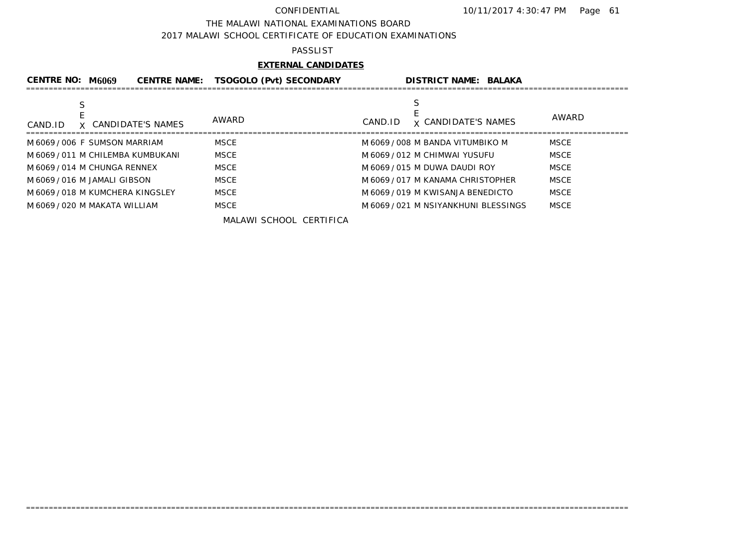### THE MALAWI NATIONAL EXAMINATIONS BOARD

2017 MALAWI SCHOOL CERTIFICATE OF EDUCATION EXAMINATIONS

### PASSLIST

## **EXTERNAL CANDIDATES**

| CENTRE NO: M6069                  | <b>CENTRE NAME:</b> | <b>TSOGOLO (Pvt) SECONDARY</b> | <b>DISTRICT NAME: BALAKA</b>          |             |
|-----------------------------------|---------------------|--------------------------------|---------------------------------------|-------------|
| X CANDIDATE'S NAMES<br>CAND.ID    |                     | AWARD                          | <b>x CANDIDATE'S NAMES</b><br>CAND.ID | AWARD       |
| M6069/006 F SUMSON MARRIAM        |                     | <b>MSCE</b>                    | M 6069 / 008 M BANDA VITUMBIKO M      | <b>MSCE</b> |
| M 6069 / 011 M CHILEMBA KUMBUKANI |                     | <b>MSCE</b>                    | M 6069 / 012 M CHIMWAI YUSUFU         | <b>MSCE</b> |
| M 6069 / 014 M CHUNGA RENNEX      |                     | <b>MSCE</b>                    | M 6069 / 015 M DUWA DAUDI ROY         | <b>MSCE</b> |
| M 6069 / 016 M JAMALI GIBSON      |                     | <b>MSCE</b>                    | M 6069/017 M KANAMA CHRISTOPHER       | <b>MSCE</b> |
| M 6069 / 018 M KUMCHERA KINGSLEY  |                     | <b>MSCE</b>                    | M 6069 / 019 M KWISANJA BENEDICTO     | <b>MSCE</b> |
| M 6069 / 020 M MAKATA WILLIAM     |                     | <b>MSCE</b>                    | M 6069 / 021 M NSIYANKHUNI BLESSINGS  | <b>MSCE</b> |
|                                   |                     | MALAWI SCHOOL CERTIFICA        |                                       |             |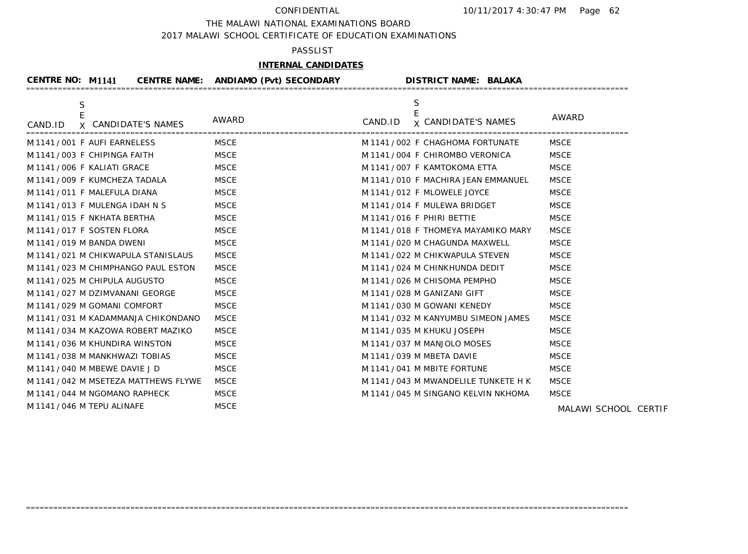THE MALAWI NATIONAL EXAMINATIONS BOARD

2017 MALAWI SCHOOL CERTIFICATE OF EDUCATION EXAMINATIONS

## PASSLIST

# **INTERNAL CANDIDATES**

| <b>CENTRE NO: M1141</b>                            | CENTRE NAME: ANDIAMO (Pvt) SECONDARY | <b>DISTRICT NAME: BALAKA</b>               |               |
|----------------------------------------------------|--------------------------------------|--------------------------------------------|---------------|
| S<br>$\mathsf E$<br>X CANDIDATE'S NAMES<br>CAND.ID | AWARD                                | S<br><b>x CANDIDATE'S NAMES</b><br>CAND.ID | AWARD         |
| M 1141/001 F AUFI EARNELESS                        | <b>MSCE</b>                          | M 1141 / 002 F CHAGHOMA FORTUNATE          | <b>MSCE</b>   |
| M 1141/003 F CHIPINGA FAITH                        | <b>MSCE</b>                          | M 1141 / 004 F CHIROMBO VERONICA           | <b>MSCE</b>   |
| M 1141/006 F KALIATI GRACE                         | <b>MSCE</b>                          | M 1141 / 007 F KAMTOKOMA ETTA              | <b>MSCE</b>   |
| M 1141/009 F KUMCHEZA TADALA                       | <b>MSCE</b>                          | M 1141 / 010 F MACHIRA JEAN EMMANUEL       | <b>MSCE</b>   |
| M 1141/011 F MALEFULA DIANA                        | <b>MSCE</b>                          | M 1141/012 F MLOWELE JOYCE                 | <b>MSCE</b>   |
| M 1141/013 F MULENGA IDAH N S                      | <b>MSCE</b>                          | M 1141/014 F MULEWA BRIDGET                | <b>MSCE</b>   |
| M 1141/015 F NKHATA BERTHA                         | <b>MSCE</b>                          | M 1141/016 F PHIRI BETTIE                  | <b>MSCE</b>   |
| M1141/017 F SOSTEN FLORA                           | <b>MSCE</b>                          | M 1141 / 018 F THOMEYA MAYAMIKO MARY       | <b>MSCE</b>   |
| M 1141 / 019 M BANDA DWENI                         | <b>MSCE</b>                          | M 1141 / 020 M CHAGUNDA MAXWELL            | <b>MSCE</b>   |
| M 1141 / 021 M CHIKWAPULA STANISLAUS               | <b>MSCE</b>                          | M 1141 / 022 M CHIKWAPULA STEVEN           | <b>MSCE</b>   |
| M 1141/023 M CHIMPHANGO PAUL ESTON                 | <b>MSCE</b>                          | M 1141 / 024 M CHINKHUNDA DEDIT            | <b>MSCE</b>   |
| M 1141 / 025 M CHIPULA AUGUSTO                     | <b>MSCE</b>                          | M 1141/026 M CHISOMA PEMPHO                | <b>MSCE</b>   |
| M 1141/027 M DZIMVANANI GEORGE                     | <b>MSCE</b>                          | M 1141 / 028 M GANIZANI GIFT               | <b>MSCE</b>   |
| M 1141 / 029 M GOMANI COMFORT                      | <b>MSCE</b>                          | M 1141 / 030 M GOWANI KENEDY               | <b>MSCE</b>   |
| M 1141 / 031 M KADAMMANJA CHIKONDANO               | <b>MSCE</b>                          | M 1141 / 032 M KANYUMBU SIMEON JAMES       | <b>MSCE</b>   |
| M 1141/034 M KAZOWA ROBERT MAZIKO                  | <b>MSCE</b>                          | M 1141 / 035 M KHUKU JOSEPH                | <b>MSCE</b>   |
| M 1141/036 M KHUNDIRA WINSTON                      | <b>MSCE</b>                          | M 1141 / 037 M MANJOLO MOSES               | <b>MSCE</b>   |
| M 1141/038 M MANKHWAZI TOBIAS                      | <b>MSCE</b>                          | M 1141 / 039 M MBETA DAVIE                 | <b>MSCE</b>   |
| M 1141 / 040 M MBEWE DAVIE J D                     | <b>MSCE</b>                          | M 1141 / 041 M MBITE FORTUNE               | <b>MSCE</b>   |
| M 1141 / 042 M MSETEZA MATTHEWS FLYWE              | <b>MSCE</b>                          | M 1141 / 043 M MWANDELILE TUNKETE H K      | <b>MSCE</b>   |
| M 1141 / 044 M NGOMANO RAPHECK                     | <b>MSCE</b>                          | M 1141 / 045 M SINGANO KELVIN NKHOMA       | <b>MSCE</b>   |
| M 1141/046 M TEPU ALINAFE                          | <b>MSCE</b>                          |                                            | MALAMI SCHOOL |

=====================================================================================================================================

MALAWI SCHOOL CERTIF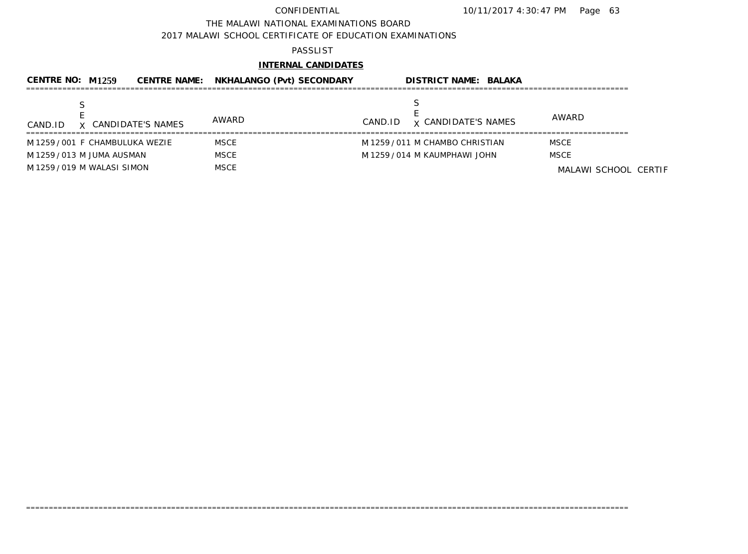### THE MALAWI NATIONAL EXAMINATIONS BOARD

2017 MALAWI SCHOOL CERTIFICATE OF EDUCATION EXAMINATIONS

### PASSLIST

# **INTERNAL CANDIDATES**

| CENTRE NO: $M1259$              |                     | <b>CENTRE NAME: NKHALANGO (Pvt) SECONDARY</b> |         | <b>DISTRICT NAME: BALAKA</b>    |                      |  |
|---------------------------------|---------------------|-----------------------------------------------|---------|---------------------------------|----------------------|--|
| CAND.ID                         | X CANDIDATE'S NAMES | AWARD                                         | CAND.ID | <b>x CANDIDATE'S NAMES</b>      | AWARD                |  |
| M 1259 / 001 F CHAMBULUKA WEZIE |                     | <b>MSCE</b>                                   |         | M 1259 / 011 M CHAMBO CHRISTIAN | <b>MSCE</b>          |  |
| M 1259 / 013 M JUMA AUSMAN      |                     | <b>MSCE</b>                                   |         | M 1259 / 014 M KAUMPHAWI JOHN   | <b>MSCE</b>          |  |
| M 1259 / 019 M WALASI SIMON     |                     | MSCE                                          |         |                                 | MALAWI SCHOOL CERTIF |  |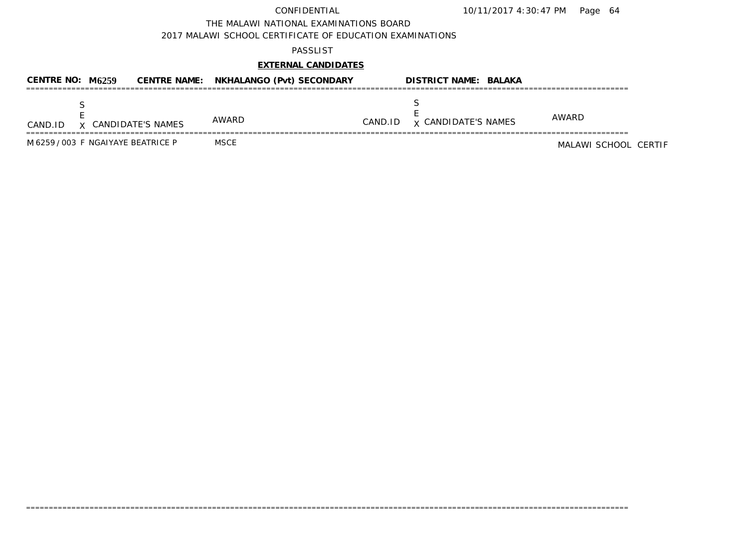THE MALAWI NATIONAL EXAMINATIONS BOARD

2017 MALAWI SCHOOL CERTIFICATE OF EDUCATION EXAMINATIONS

### PASSLIST

# **EXTERNAL CANDIDATES**

| CENTRE NO: $M6259$ |                                    | <b>CENTRE NAME: NKHALANGO (Pvt) SECONDARY</b> |         | <b>DISTRICT NAME: BALAKA</b> |                      |
|--------------------|------------------------------------|-----------------------------------------------|---------|------------------------------|----------------------|
| CAND.ID            | X CANDIDATE'S NAMES                | AWARD                                         | CAND.ID | <b>x CANDIDATE'S NAMES</b>   | AWARD                |
|                    | M 6259 / 003 F NGAIYAYE BEATRICE P | <b>MSCE</b>                                   |         |                              | MALAWI SCHOOL CERTIF |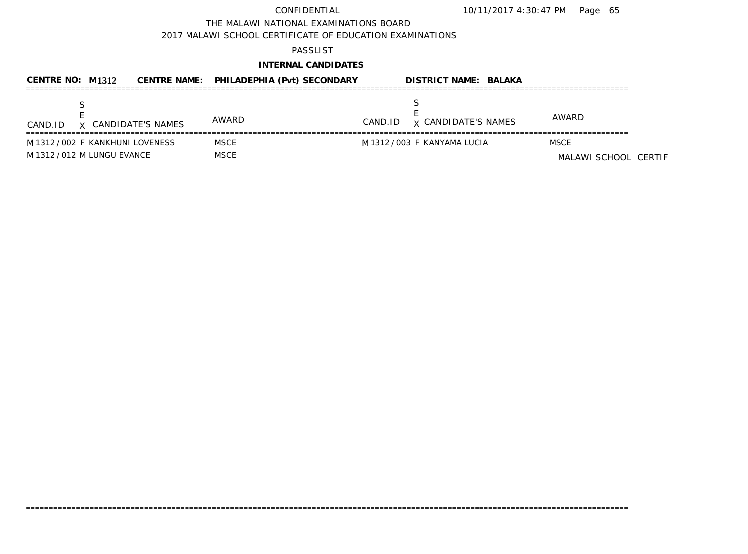THE MALAWI NATIONAL EXAMINATIONS BOARD

2017 MALAWI SCHOOL CERTIFICATE OF EDUCATION EXAMINATIONS

### PASSLIST

# **INTERNAL CANDIDATES**

| <b>CENTRE NO: M1312</b>                                      | CENTRE NAME: PHILADEPHIA (Pvt) SECONDARY |         | <b>DISTRICT NAME: BALAKA</b> |                                     |
|--------------------------------------------------------------|------------------------------------------|---------|------------------------------|-------------------------------------|
| X CANDIDATE'S NAMES<br>CAND.ID                               | AWARD                                    | CAND.ID | <b>x CANDIDATE'S NAMES</b>   | AWARD                               |
| M1312/002 F KANKHUNI LOVENESS<br>M 1312 / 012 M LUNGU EVANCE | MSCE<br>MSCE                             |         | M 1312 / 003 F KANYAMA LUCIA | <b>MSCE</b><br>MALAWI SCHOOL CERTIF |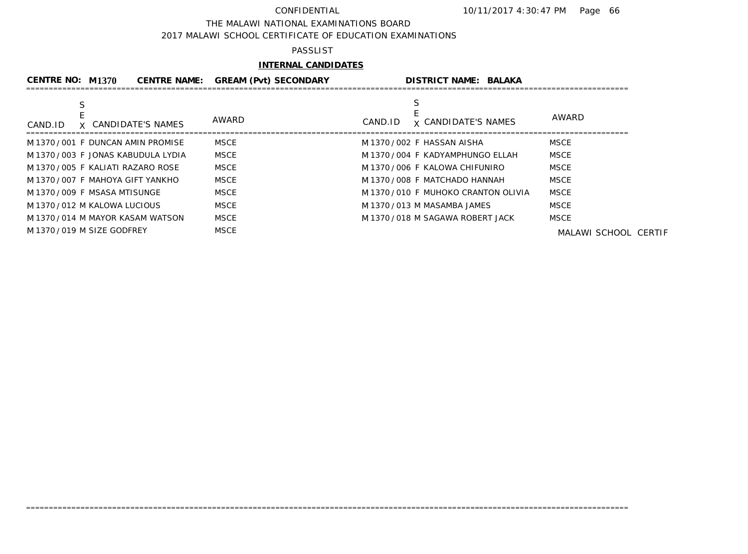### THE MALAWI NATIONAL EXAMINATIONS BOARD

2017 MALAWI SCHOOL CERTIFICATE OF EDUCATION EXAMINATIONS

### PASSLIST

# **INTERNAL CANDIDATES**

| <b>CENTRE NO: M1370</b>       |                                     | <b>CENTRE NAME: GREAM (Pvt) SECONDARY</b> | <b>DISTRICT NAME: BALAKA</b>          |                      |
|-------------------------------|-------------------------------------|-------------------------------------------|---------------------------------------|----------------------|
|                               |                                     |                                           |                                       |                      |
| CAND.ID                       | X CANDIDATE'S NAMES                 | AWARD                                     | <b>x CANDIDATE'S NAMES</b><br>CAND.ID | AWARD                |
|                               | M 1370 / 001 F DUNCAN AMIN PROMISE  | MSCE                                      | M 1370/002 F HASSAN AISHA             | <b>MSCE</b>          |
|                               | M 1370 / 003 F JONAS KABUDULA LYDIA | MSCE                                      | M 1370 / 004 F KADYAMPHUNGO ELLAH     | <b>MSCE</b>          |
|                               | M 1370 / 005 F KALIATI RAZARO ROSE  | MSCE                                      | M 1370/006 F KALOWA CHIFUNIRO         | <b>MSCE</b>          |
|                               | M 1370 / 007 F MAHOYA GIFT YANKHO   | MSCE                                      | M 1370 / 008 F MATCHADO HANNAH        | MSCE                 |
| M 1370 / 009 F MSASA MTISUNGE |                                     | MSCE                                      | M 1370/010 F MUHOKO CRANTON OLIVIA    | <b>MSCE</b>          |
| M 1370 / 012 M KALOWA LUCIOUS |                                     | MSCE                                      | M 1370 / 013 M MASAMBA JAMES          | MSCE                 |
|                               | M 1370/014 M MAYOR KASAM WATSON     | MSCE                                      | M 1370/018 M SAGAWA ROBERT JACK       | <b>MSCE</b>          |
| M 1370/019 M SIZE GODFREY     |                                     | <b>MSCE</b>                               |                                       | MALAWI SCHOOL CERTIF |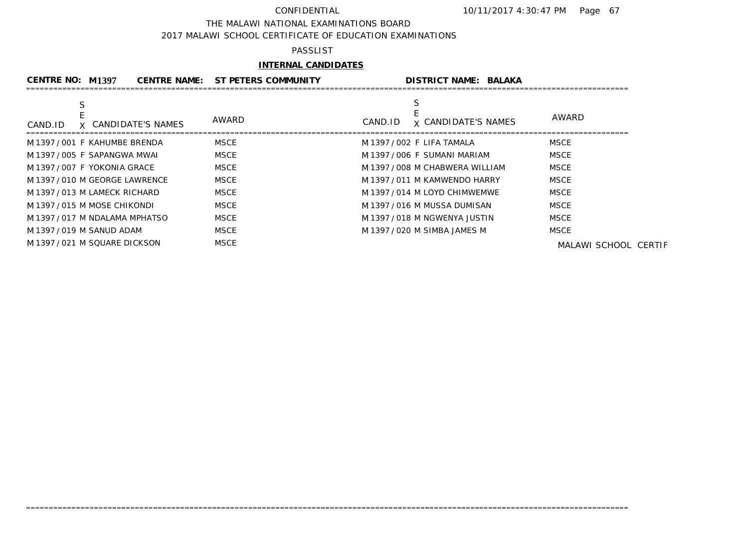### THE MALAWI NATIONAL EXAMINATIONS BOARD

2017 MALAWI SCHOOL CERTIFICATE OF EDUCATION EXAMINATIONS

## PASSLIST

# **INTERNAL CANDIDATES**

| CENTRE NO: M1397              |                                | <b>CENTRE NAME: ST PETERS COMMUNITY</b> |                              | <b>DISTRICT NAME: BALAKA</b>    |                      |
|-------------------------------|--------------------------------|-----------------------------------------|------------------------------|---------------------------------|----------------------|
| CAND.ID                       | X CANDIDATE'S NAMES            | AWARD                                   | CAND.ID                      | <b>x CANDIDATE'S NAMES</b>      | AWARD                |
| M 1397 / 001 F KAHUMBE BRENDA |                                | <b>MSCE</b>                             | M 1397 / 002 F LIFA TAMALA   |                                 | MSCE                 |
| M 1397 / 005 F SAPANGWA MWAI  |                                | MSCE                                    |                              | M 1397 / 006 F SUMANI MARIAM    | <b>MSCE</b>          |
| M 1397 / 007 F YOKONIA GRACE  |                                | MSCE                                    |                              | M 1397 / 008 M CHABWERA WILLIAM | MSCE                 |
|                               | M 1397 / 010 M GEORGE LAWRENCE | MSCE                                    |                              | M 1397 / 011 M KAMWENDO HARRY   | <b>MSCE</b>          |
| M 1397 / 013 M LAMECK RICHARD |                                | MSCE                                    |                              | M 1397 / 014 M LOYD CHIMWEMWE   | <b>MSCE</b>          |
| M 1397 / 015 M MOSE CHIKONDI  |                                | MSCE                                    |                              | M 1397 / 016 M MUSSA DUMISAN    | <b>MSCE</b>          |
|                               | M 1397 / 017 M NDALAMA MPHATSO | <b>MSCE</b>                             |                              | M 1397 / 018 M NGWENYA JUSTIN   | <b>MSCE</b>          |
| M 1397 / 019 M SANUD ADAM     |                                | MSCE                                    | M 1397 / 020 M SIMBA JAMES M |                                 | <b>MSCE</b>          |
| M 1397 / 021 M SQUARE DICKSON |                                | <b>MSCE</b>                             |                              |                                 | MALAWI SCHOOL CERTIF |